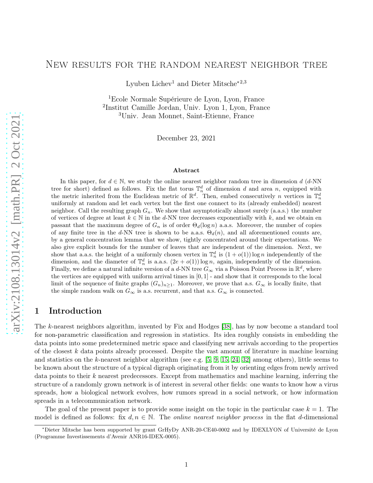## New results for the random nearest neighbor tree

Lyuben Lichev<sup>1</sup> and Dieter Mitsche<sup> $*2,3$ </sup>

<sup>1</sup>Ecole Normale Supérieure de Lyon, Lyon, France 2 Institut Camille Jordan, Univ. Lyon 1, Lyon, France <sup>3</sup>Univ. Jean Monnet, Saint-Etienne, France

December 23, 2021

#### Abstract

arXiv:2108.13014v2 [math.PR] 2 Oct 2021 [arXiv:2108.13014v2 \[math.PR\] 2 Oct 2021](http://arxiv.org/abs/2108.13014v2)

In this paper, for  $d \in \mathbb{N}$ , we study the online nearest neighbor random tree in dimension d (d-NN) tree for short) defined as follows. Fix the flat torus  $\mathbb{T}_n^d$  of dimension d and area n, equipped with the metric inherited from the Euclidean metric of  $\mathbb{R}^d$ . Then, embed consecutively *n* vertices in  $\mathbb{T}_n^d$ uniformly at random and let each vertex but the first one connect to its (already embedded) nearest neighbor. Call the resulting graph  $G_n$ . We show that asymptotically almost surely (a.a.s.) the number of vertices of degree at least  $k \in \mathbb{N}$  in the d-NN tree decreases exponentially with k, and we obtain en passant that the maximum degree of  $G_n$  is of order  $\Theta_d(\log n)$  a.a.s. Moreover, the number of copies of any finite tree in the d-NN tree is shown to be a.a.s.  $\Theta_d(n)$ , and all aforementioned counts are, by a general concentration lemma that we show, tightly concentrated around their expectations. We also give explicit bounds for the number of leaves that are independent of the dimension. Next, we show that a.a.s. the height of a uniformly chosen vertex in  $\mathbb{T}_n^d$  is  $(1+o(1))\log n$  independently of the dimension, and the diameter of  $\mathbb{T}_n^d$  is a.a.s.  $(2e+o(1))\log n$ , again, independently of the dimension. Finally, we define a natural infinite version of a d-NN tree  $G_{\infty}$  via a Poisson Point Process in  $\mathbb{R}^d$ , where the vertices are equipped with uniform arrival times in  $[0, 1]$  - and show that it corresponds to the local limit of the sequence of finite graphs  $(G_n)_{n\geq 1}$ . Moreover, we prove that a.s.  $G_{\infty}$  is locally finite, that the simple random walk on  $G_{\infty}$  is a.s. recurrent, and that a.s.  $G_{\infty}$  is connected.

## 1 Introduction

The k-nearest neighbors algorithm, invented by Fix and Hodges [\[38\]](#page-45-0), has by now become a standard tool for non-parametric classification and regression in statistics. Its idea roughly consists in embedding the data points into some predetermined metric space and classifying new arrivals according to the properties of the closest  $k$  data points already processed. Despite the vast amount of literature in machine learning and statistics on the k-nearest neighbor algorithm (see e.g. [\[5,](#page-43-0) [9,](#page-44-0) [15,](#page-44-1) [24,](#page-44-2) [32\]](#page-45-1) among others), little seems to be known about the structure of a typical digraph originating from it by orienting edges from newly arrived data points to their k nearest predecessors. Except from mathematics and machine learning, inferring the structure of a randomly grown network is of interest in several other fields: one wants to know how a virus spreads, how a biological network evolves, how rumors spread in a social network, or how information spreads in a telecommunication network.

The goal of the present paper is to provide some insight on the topic in the particular case  $k = 1$ . The model is defined as follows: fix  $d, n \in \mathbb{N}$ . The *online nearest neighbor process* in the flat d-dimensional

<sup>∗</sup>Dieter Mitsche has been supported by grant GrHyDy ANR-20-CE40-0002 and by IDEXLYON of Université de Lyon (Programme Investissements d'Avenir ANR16-IDEX-0005).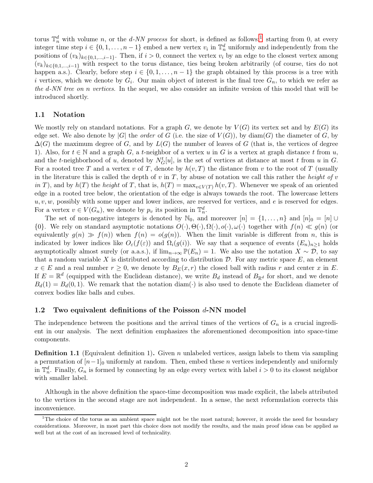torus  $\mathbb{T}_n^d$  with volume n, or the d-NN process for short, is defined as follows:<sup>[1](#page-1-0)</sup> starting from 0, at every integer time step  $i \in \{0, 1, \ldots, n-1\}$  embed a new vertex  $v_i$  in  $\mathbb{T}_n^d$  uniformly and independently from the positions of  $(v_k)_{k\in\{0,1,\ldots,i-1\}}$ . Then, if  $i>0$ , connect the vertex  $v_i$  by an edge to the closest vertex among  $(v_k)_{k\in\{0,1,\ldots,i-1\}}$  with respect to the torus distance, ties being broken arbitrarily (of course, ties do not happen a.s.). Clearly, before step  $i \in \{0, 1, \ldots, n-1\}$  the graph obtained by this process is a tree with i vertices, which we denote by  $G_i$ . Our main object of interest is the final tree  $G_n$ , to which we refer as the d-NN tree on n vertices. In the sequel, we also consider an infinite version of this model that will be introduced shortly.

### 1.1 Notation

We mostly rely on standard notations. For a graph G, we denote by  $V(G)$  its vertex set and by  $E(G)$  its edge set. We also denote by |G| the *order* of G (i.e. the size of  $V(G)$ ), by diam(G) the diameter of G, by  $\Delta(G)$  the maximum degree of G, and by  $L(G)$  the number of leaves of G (that is, the vertices of degree 1). Also, for  $t \in \mathbb{N}$  and a graph G, a t-neighbor of a vertex u in G is a vertex at graph distance t from u, and the t-neighborhood of u, denoted by  $N_G^t[u]$ , is the set of vertices at distance at most t from u in G. For a rooted tree T and a vertex v of T, denote by  $h(v, T)$  the distance from v to the root of T (usually in the literature this is called the depth of v in T, by abuse of notation we call this rather the height of v in T), and by  $h(T)$  the height of T, that is,  $h(T) = \max_{v \in V(T)} h(v, T)$ . Whenever we speak of an oriented edge in a rooted tree below, the orientation of the edge is always towards the root. The lowercase letters  $u, v, w$ , possibly with some upper and lower indices, are reserved for vertices, and  $e$  is reserved for edges. For a vertex  $v \in V(G_n)$ , we denote by  $p_v$  its position in  $\mathbb{T}_n^d$ .

The set of non-negative integers is denoted by  $\mathbb{N}_0$ , and moreover  $[n] = \{1, \ldots, n\}$  and  $[n]_0 = [n] \cup$  $\{0\}$ . We rely on standard asymptotic notations  $O(\cdot), \Theta(\cdot), \Omega(\cdot), o(\cdot), \omega(\cdot)$  together with  $f(n) \ll g(n)$  (or equivalently  $g(n) \gg f(n)$  when  $f(n) = o(g(n))$ . When the limit variable is different from n, this is indicated by lower indices like  $O_{\varepsilon}(f(\varepsilon))$  and  $\Omega_i(g(i))$ . We say that a sequence of events  $(E_n)_{n\geq 1}$  holds asymptotically almost surely (or a.a.s.), if  $\lim_{n\to\infty} \mathbb{P}(E_n) = 1$ . We also use the notation  $X \sim \mathcal{D}$ , to say that a random variable X is distributed according to distribution  $D$ . For any metric space E, an element  $x \in E$  and a real number  $r \geq 0$ , we denote by  $B_E(x,r)$  the closed ball with radius r and center x in E. If  $E = \mathbb{R}^d$  (equipped with the Euclidean distance), we write  $B_d$  instead of  $B_{\mathbb{R}^d}$  for short, and we denote  $B_d(1) = B_d(0, 1)$ . We remark that the notation diam( $\cdot$ ) is also used to denote the Euclidean diameter of convex bodies like balls and cubes.

#### 1.2 Two equivalent definitions of the Poisson  $d$ -NN model

The independence between the positions and the arrival times of the vertices of  $G_n$  is a crucial ingredient in our analysis. The next definition emphasizes the aforementioned decomposition into space-time components.

<span id="page-1-1"></span>**Definition 1.1** (Equivalent definition 1). Given n unlabeled vertices, assign labels to them via sampling a permutation of  $[n-1]_0$  uniformly at random. Then, embed these *n* vertices independently and uniformly in  $\mathbb{T}_n^d$ . Finally,  $G_n$  is formed by connecting by an edge every vertex with label  $i > 0$  to its closest neighbor with smaller label.

Although in the above definition the space-time decomposition was made explicit, the labels attributed to the vertices in the second stage are not independent. In a sense, the next reformulation corrects this inconvenience.

<span id="page-1-0"></span><sup>&</sup>lt;sup>1</sup>The choice of the torus as an ambient space might not be the most natural; however, it avoids the need for boundary considerations. Moreover, in most part this choice does not modify the results, and the main proof ideas can be applied as well but at the cost of an increased level of technicality.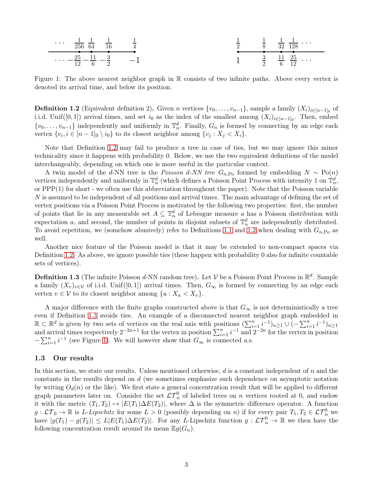<span id="page-2-2"></span>

Figure 1: The above nearest neighbor graph in R consists of two infinite paths. Above every vertex is denoted its arrival time, and below its position.

<span id="page-2-0"></span>**Definition 1.2** (Equivalent definition 2). Given n vertices  $\{v_0, \ldots, v_{n-1}\}$ , sample a family  $(X_i)_{i \in [n-1]_0}$  of i.i.d. Unif([0,1]) arrival times, and set  $i_0$  as the index of the smallest among  $(X_i)_{i\in[n-1]_0}$ . Then, embed  $\{v_0, \ldots, v_{n-1}\}\$  independently and uniformly in  $\mathbb{T}_n^d$ . Finally,  $G_n$  is formed by connecting by an edge each vertex  $\{v_i, i \in [n-1]_0 \setminus i_0\}$  to its closest neighbor among  $\{v_j : X_j < X_i\}$ .

Note that Definition [1.2](#page-2-0) may fail to produce a tree in case of ties, but we may ignore this minor technicality since it happens with probability 0. Below, we use the two equivalent definitions of the model interchangeably, depending on which one is more useful in the particular context.

A twin model of the d-NN tree is the Poisson d-NN tree  $G_{n,Po}$  formed by embedding  $N \sim Po(n)$ vertices independently and uniformly in  $\mathbb{T}_n^d$  (which defines a Poisson Point Process with intensity 1 on  $\mathbb{T}_n^d$ , or PPP(1) for short - we often use this abbreviation throughout the paper). Note that the Poisson variable N is assumed to be independent of all positions and arrival times. The main advantage of defining the set of vertex positions via a Poisson Point Process is motivated by the following two properties: first, the number of points that lie in any measurable set  $A \subseteq \mathbb{T}_n^d$  of Lebesgue measure a has a Poisson distribution with expectation a, and second, the number of points in disjoint subsets of  $\mathbb{T}_n^d$  are independently distributed. To avoid repetition, we (somehow abusively) refer to Definitions [1.1](#page-1-1) and [1.2](#page-2-0) when dealing with  $G_{n,P_o}$  as well.

Another nice feature of the Poisson model is that it may be extended to non-compact spaces via Definition [1.2.](#page-2-0) As above, we ignore possible ties (these happen with probability 0 also for infinite countable sets of vertices).

<span id="page-2-1"></span>**Definition 1.3** (The infinite Poisson d-NN random tree). Let  $V$  be a Poisson Point Process in  $\mathbb{R}^d$ . Sample a family  $(X_v)_{v\in\mathcal{V}}$  of i.i.d. Unif([0,1]) arrival times. Then,  $G_\infty$  is formed by connecting by an edge each vertex  $v \in V$  to its closest neighbor among  $\{u : X_u < X_v\}.$ 

A major difference with the finite graphs constructed above is that  $G_{\infty}$  is not deterministically a tree even if Definition [1.3](#page-2-1) avoids ties. An example of a disconnected nearest neighbor graph embedded in  $\mathbb{R} \subset \mathbb{R}^d$  is given by two sets of vertices on the real axis with positions  $(\sum_{i=1}^n i^{-1})_{n\geq 1} \cup (-\sum_{i=1}^n i^{-1})_{n\geq 1}$ and arrival times respectively  $2^{-2n+1}$  for the vertex in position  $\sum_{i=1}^{n} i^{-1}$  and  $2^{-2n}$  for the vertex in position  $-\sum_{i=1}^{n} i^{-1}$  (see Figure [1\)](#page-2-2). We will however show that  $G_{\infty}$  is connected a.s.

#### 1.3 Our results

In this section, we state our results. Unless mentioned otherwise,  $d$  is a constant independent of  $n$  and the constants in the results depend on d (we sometimes emphasize such dependence on asymptotic notation by writing  $O_d(n)$  or the like). We first state a general concentration result that will be applied to different graph parameters later on. Consider the set  $\mathcal{LT}_n^0$  of labeled trees on n vertices rooted at 0, and endow it with the metric  $(T_1, T_2) \mapsto |E(T_1)\Delta E(T_2)|$ , where  $\Delta$  is the symmetric difference operator. A function  $g: \mathcal{LT}_0 \to \mathbb{R}$  is L-Lipschitz for some  $L > 0$  (possibly depending on n) if for every pair  $T_1, T_2 \in \mathcal{LT}_n^0$  we have  $|g(T_1) - g(T_2)| \le L |E(T_1) \Delta E(T_2)|$ . For any L-Lipschitz function  $g: \mathcal{LT}_n^0 \to \mathbb{R}$  we then have the following concentration result around its mean  $\mathbb{E}g(G_n)$ .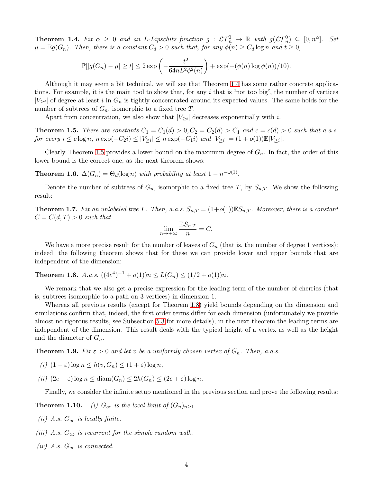<span id="page-3-0"></span>**Theorem 1.4.** Fix  $\alpha \geq 0$  and an L-Lipschitz function  $g: \mathcal{LT}_n^0 \to \mathbb{R}$  with  $g(\mathcal{LT}_n^0) \subseteq [0,n^{\alpha}]$ . Set  $\mu = \mathbb{E}g(G_n)$ . Then, there is a constant  $C_d > 0$  such that, for any  $\phi(n) \geq C_d \log n$  and  $t \geq 0$ ,

$$
\mathbb{P}[|g(G_n) - \mu| \ge t] \le 2 \exp\left(-\frac{t^2}{64nL^2\phi^2(n)}\right) + \exp(-(\phi(n)\log\phi(n))/10).
$$

Although it may seem a bit technical, we will see that Theorem [1.4](#page-3-0) has some rather concrete applications. For example, it is the main tool to show that, for any i that is "not too big", the number of vertices  $|V_{\geq i}|$  of degree at least i in  $G_n$  is tightly concentrated around its expected values. The same holds for the number of subtrees of  $G_n$ , isomorphic to a fixed tree T.

Apart from concentration, we also show that  $|V_{\geq i}|$  decreases exponentially with *i*.

<span id="page-3-1"></span>**Theorem 1.5.** There are constants  $C_1 = C_1(d) > 0, C_2 = C_2(d) > C_1$  and  $c = c(d) > 0$  such that a.a.s. for every  $i \leq c \log n$ ,  $n \exp(-C_2 i) \leq |V_{\geq i}| \leq n \exp(-C_1 i)$  and  $|V_{\geq i}| = (1 + o(1))\mathbb{E}|V_{\geq i}|$ .

Clearly Theorem [1.5](#page-3-1) provides a lower bound on the maximum degree of  $G_n$ . In fact, the order of this lower bound is the correct one, as the next theorem shows:

<span id="page-3-3"></span>**Theorem 1.6.**  $\Delta(G_n) = \Theta_d(\log n)$  with probability at least  $1 - n^{-\omega(1)}$ .

Denote the number of subtrees of  $G_n$ , isomorphic to a fixed tree T, by  $S_{n,T}$ . We show the following result:

<span id="page-3-4"></span>**Theorem 1.7.** Fix an unlabeled tree T. Then, a.a.s.  $S_{n,T} = (1+o(1))\mathbb{E}S_{n,T}$ . Moreover, there is a constant  $C = C(d,T) > 0$  such that

$$
\lim_{n \to +\infty} \frac{\mathbb{E}S_{n,T}}{n} = C.
$$

We have a more precise result for the number of leaves of  $G_n$  (that is, the number of degree 1 vertices): indeed, the following theorem shows that for these we can provide lower and upper bounds that are independent of the dimension:

<span id="page-3-2"></span>**Theorem 1.8.** A.a.s.  $((4e^4)^{-1} + o(1))n \le L(G_n) \le (1/2 + o(1))n$ .

We remark that we also get a precise expression for the leading term of the number of cherries (that is, subtrees isomorphic to a path on 3 vertices) in dimension 1.

Whereas all previous results (except for Theorem [1.8\)](#page-3-2) yield bounds depending on the dimension and simulations confirm that, indeed, the first order terms differ for each dimension (unfortunately we provide almost no rigorous results, see Subsection [5.3](#page-24-0) for more details), in the next theorem the leading terms are independent of the dimension. This result deals with the typical height of a vertex as well as the height and the diameter of  $G_n$ .

<span id="page-3-6"></span><span id="page-3-5"></span>**Theorem 1.9.** Fix  $\varepsilon > 0$  and let v be a uniformly chosen vertex of  $G_n$ . Then, a.a.s.

- <span id="page-3-7"></span>(i)  $(1 - \varepsilon) \log n \le h(v, G_n) \le (1 + \varepsilon) \log n$ ,
- (ii)  $(2e \varepsilon) \log n \leq \text{diam}(G_n) \leq 2h(G_n) \leq (2e + \varepsilon) \log n$ .

<span id="page-3-8"></span>Finally, we consider the infinite setup mentioned in the previous section and prove the following results:

<span id="page-3-9"></span>**Theorem 1.10.** (i)  $G_{\infty}$  is the local limit of  $(G_n)_{n\geq 1}$ .

- <span id="page-3-10"></span>(ii) A.s.  $G_{\infty}$  is locally finite.
- <span id="page-3-11"></span>(iii) A.s.  $G_{\infty}$  is recurrent for the simple random walk.
- (iv) A.s.  $G_{\infty}$  is connected.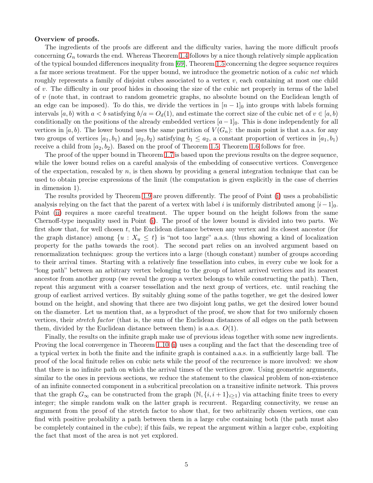#### Overview of proofs.

The ingredients of the proofs are different and the difficulty varies, having the more difficult proofs concerning  $G_n$  towards the end. Whereas Theorem [1.4](#page-3-0) follows by a nice though relatively simple application of the typical bounded differences inequality from [\[69\]](#page-47-0), Theorem [1.5](#page-3-1) concerning the degree sequence requires a far more serious treatment. For the upper bound, we introduce the geometric notion of a *cubic net* which roughly represents a family of disjoint cubes associated to a vertex  $v$ , each containing at most one child of v. The difficulty in our proof hides in choosing the size of the cubic net properly in terms of the label of v (note that, in contrast to random geometric graphs, no absolute bound on the Euclidean length of an edge can be imposed). To do this, we divide the vertices in  $[n-1]_0$  into groups with labels forming intervals [a, b) with  $a < b$  satisfying  $b/a = O_d(1)$ , and estimate the correct size of the cubic net of  $v \in [a, b)$ conditionally on the positions of the already embedded vertices  $[a-1]_0$ . This is done independently for all vertices in  $[a, b]$ . The lower bound uses the same partition of  $V(G_n)$ : the main point is that a.a.s. for any two groups of vertices  $[a_1, b_1]$  and  $[a_2, b_2]$  satisfying  $b_1 \leq a_2$ , a constant proportion of vertices in  $[a_1, b_1]$ receive a child from  $[a_2, b_2]$ . Based on the proof of Theorem [1.5,](#page-3-1) Theorem [1.6](#page-3-3) follows for free.

The proof of the upper bound in Theorem [1.7](#page-3-4) is based upon the previous results on the degree sequence, while the lower bound relies on a careful analysis of the embedding of consecutive vertices. Convergence of the expectation, rescaled by  $n$ , is then shown by providing a general integration technique that can be used to obtain precise expressions of the limit (the computation is given explicitly in the case of cherries in dimension 1).

The results provided by Theorem [1.9](#page-3-5) are proven differently. The proof of Point [\(i\)](#page-3-6) uses a probabilistic analysis relying on the fact that the parent of a vertex with label i is uniformly distributed among  $[i-1]_0$ . Point [\(ii\)](#page-3-7) requires a more careful treatment. The upper bound on the height follows from the same Chernoff-type inequality used in Point [\(i\)](#page-3-6). The proof of the lower bound is divided into two parts. We first show that, for well chosen  $t$ , the Euclidean distance between any vertex and its closest ancestor (for the graph distance) among  $\{u : X_u \leq t\}$  is "not too large" a.a.s. (thus showing a kind of localization property for the paths towards the root). The second part relies on an involved argument based on renormalization techniques: group the vertices into a large (though constant) number of groups according to their arrival times. Starting with a relatively fine tessellation into cubes, in every cube we look for a "long path" between an arbitrary vertex belonging to the group of latest arrived vertices and its nearest ancestor from another group (we reveal the group a vertex belongs to while constructing the path). Then, repeat this argument with a coarser tessellation and the next group of vertices, etc. until reaching the group of earliest arrived vertices. By suitably gluing some of the paths together, we get the desired lower bound on the height, and showing that there are two disjoint long paths, we get the desired lower bound on the diameter. Let us mention that, as a byproduct of the proof, we show that for two uniformly chosen vertices, their stretch factor (that is, the sum of the Euclidean distances of all edges on the path between them, divided by the Euclidean distance between them) is a.a.s.  $O(1)$ .

Finally, the results on the infinite graph make use of previous ideas together with some new ingredients. Proving the local convergence in Theorem 1.10 [\(i\)](#page-3-8) uses a coupling and the fact that the descending tree of a typical vertex in both the finite and the infinite graph is contained a.a.s. in a sufficiently large ball. The proof of the local finitude relies on cubic nets while the proof of the recurrence is more involved: we show that there is no infinite path on which the arrival times of the vertices grow. Using geometric arguments, similar to the ones in previous sections, we reduce the statement to the classical problem of non-existence of an infinite connected component in a subcritical precolation on a transitive infinite network. This proves that the graph  $G_{\infty}$  can be constructed from the graph  $(N, \{i, i+1\}_{i>1})$  via attaching finite trees to every integer; the simple random walk on the latter graph is recurrent. Regarding connectivity, we reuse an argument from the proof of the stretch factor to show that, for two arbitrarily chosen vertices, one can find with positive probability a path between them in a large cube containing both (the path must also be completely contained in the cube); if this fails, we repeat the argument within a larger cube, exploiting the fact that most of the area is not yet explored.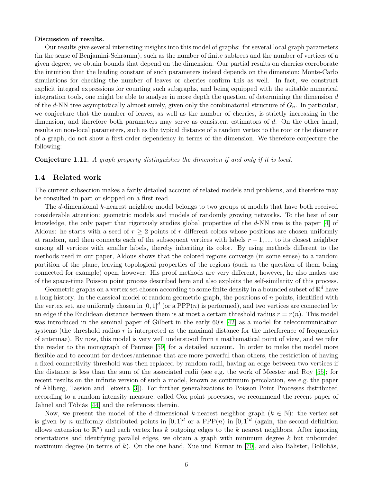#### Discussion of results.

Our results give several interesting insights into this model of graphs: for several local graph parameters (in the sense of Benjamini-Schramm), such as the number of finite subtrees and the number of vertices of a given degree, we obtain bounds that depend on the dimension. Our partial results on cherries corroborate the intuition that the leading constant of such parameters indeed depends on the dimension; Monte-Carlo simulations for checking the number of leaves or cherries confirm this as well. In fact, we construct explicit integral expressions for counting such subgraphs, and being equipped with the suitable numerical integration tools, one might be able to analyze in more depth the question of determining the dimension d of the d-NN tree asymptotically almost surely, given only the combinatorial structure of  $G_n$ . In particular, we conjecture that the number of leaves, as well as the number of cherries, is strictly increasing in the dimension, and therefore both parameters may serve as consistent estimators of d. On the other hand, results on non-local parameters, such as the typical distance of a random vertex to the root or the diameter of a graph, do not show a first order dependency in terms of the dimension. We therefore conjecture the following:

<span id="page-5-1"></span><span id="page-5-0"></span>Conjecture 1.11. A graph property distinguishes the dimension if and only if it is local.

### 1.4 Related work

The current subsection makes a fairly detailed account of related models and problems, and therefore may be consulted in part or skipped on a first read.

The d-dimensional k-nearest neighbor model belongs to two groups of models that have both received considerable attention: geometric models and models of randomly growing networks. To the best of our knowledge, the only paper that rigorously studies global properties of the d-NN tree is the paper [\[4\]](#page-43-1) of Aldous: he starts with a seed of  $r \geq 2$  points of r different colors whose positions are chosen uniformly at random, and then connects each of the subsequent vertices with labels  $r + 1, \ldots$  to its closest neighbor among all vertices with smaller labels, thereby inheriting its color. By using methods different to the methods used in our paper, Aldous shows that the colored regions converge (in some sense) to a random partition of the plane, leaving topological properties of the regions (such as the question of them being connected for example) open, however. His proof methods are very different, however, he also makes use of the space-time Poisson point process described here and also exploits the self-similarity of this process.

Geometric graphs on a vertex set chosen according to some finite density in a bounded subset of  $\mathbb{R}^d$  have a long history. In the classical model of random geometric graph, the positions of  $n$  points, identified with the vertex set, are uniformly chosen in  $[0,1]^d$  (or a PPP $(n)$  is performed), and two vertices are connected by an edge if the Euclidean distance between them is at most a certain threshold radius  $r = r(n)$ . This model was introduced in the seminal paper of Gilbert in the early 60's [\[42\]](#page-45-2) as a model for telecommunication systems (the threshold radius  $r$  is interpreted as the maximal distance for the interference of frequencies of antennae). By now, this model is very well understood from a mathematical point of view, and we refer the reader to the monograph of Penrose [\[59\]](#page-46-0) for a detailed account. In order to make the model more flexible and to account for devices/antennae that are more powerful than others, the restriction of having a fixed connectivity threshold was then replaced by random radii, having an edge between two vertices if the distance is less than the sum of the associated radii (see e.g. the work of Meester and Roy [\[55\]](#page-46-1); for recent results on the infinite version of such a model, known as continuum percolation, see e.g. the paper of Ahlberg, Tassion and Teixeira [\[3\]](#page-43-2)). For further generalizations to Poisson Point Processes distributed according to a random intensity measure, called Cox point processes, we recommend the recent paper of Jahnel and Tóbiás [\[44\]](#page-45-3) and the references therein.

Now, we present the model of the d-dimensional k-nearest neighbor graph  $(k \in \mathbb{N})$ : the vertex set is given by *n* uniformly distributed points in  $[0,1]^d$  or a PPP $(n)$  in  $[0,1]^d$  (again, the second definition allows extension to  $\mathbb{R}^d$  and each vertex has k outgoing edges to the k nearest neighbors. After ignoring orientations and identifying parallel edges, we obtain a graph with minimum degree  $k$  but unbounded maximum degree (in terms of k). On the one hand, Xue und Kumar in [\[70\]](#page-47-1), and also Balister, Bollobás,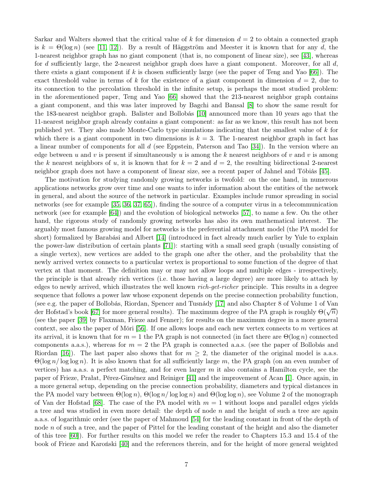Sarkar and Walters showed that the critical value of k for dimension  $d = 2$  to obtain a connected graph is  $k = \Theta(\log n)$  (see [\[11,](#page-44-3) [12\]](#page-44-4)). By a result of Häggström and Meester it is known that for any d, the 1-nearest neighbor graph has no giant component (that is, no component of linear size), see [\[43\]](#page-45-4), whereas for d sufficiently large, the 2-nearest neighbor graph does have a giant component. Moreover, for all  $d$ , there exists a giant component if k is chosen sufficiently large (see the paper of Teng and Yao  $|66|$ ). The exact threshold value in terms of k for the existence of a giant component in dimension  $d = 2$ , due to its connection to the percolation threshold in the infinite setup, is perhaps the most studied problem: in the aforementioned paper, Teng and Yao [\[66\]](#page-46-2) showed that the 213-nearest neighbor graph contains a giant component, and this was later improved by Bagchi and Bansal [\[8\]](#page-43-3) to show the same result for the 183-nearest neighbor graph. Balister and Bollobás [\[10\]](#page-44-5) announced more than 10 years ago that the 11-nearest neighbor graph already contains a giant component: as far as we know, this result has not been published yet. They also made Monte-Carlo type simulations indicating that the smallest value of k for which there is a giant component in two dimensions is  $k = 3$ . The 1-nearest neighbor graph in fact has a linear number of components for all d (see Eppstein, Paterson and Tao [\[34\]](#page-45-5)). In the version where an edge between u and v is present if simultaneously u is among the k nearest neighbors of v and v is among the k nearest neighbors of u, it is known that for  $k = 2$  and  $d = 2$ , the resulting bidirectional 2-nearest neighbor graph does not have a component of linear size, see a recent paper of Jahnel and Tóbiás [\[45\]](#page-45-6).

The motivation for studying randomly growing networks is twofold: on the one hand, in numerous applications networks grow over time and one wants to infer information about the entities of the network in general, and about the source of the network in particular. Examples include rumor spreading in social networks (see for example [\[35,](#page-45-7) [36,](#page-45-8) [37,](#page-45-9) [65\]](#page-46-3)), finding the source of a computer virus in a telecommunication network (see for example [\[64\]](#page-46-4)) and the evolution of biological networks [\[57\]](#page-46-5), to name a few. On the other hand, the rigorous study of randomly growing networks has also its own mathematical interest. The arguably most famous growing model for networks is the preferential attachment model (the PA model for short) formalized by Barabási and Albert [\[14\]](#page-44-6) (introduced in fact already much earlier by Yule to explain the power-law distribution of certain plants [\[71\]](#page-47-2)): starting with a small seed graph (usually consisting of a single vertex), new vertices are added to the graph one after the other, and the probability that the newly arrived vertex connects to a particular vertex is proportional to some function of the degree of that vertex at that moment. The definition may or may not allow loops and multiple edges - irrespectively, the principle is that already rich vertices (i.e. those having a large degree) are more likely to attach by edges to newly arrived, which illustrates the well known *rich-get-richer* principle. This results in a degree sequence that follows a power law whose exponent depends on the precise connection probability function, (see e.g. the paper of Bollobás, Riordan, Spencer and Tusnády [\[17\]](#page-44-7) and also Chapter 8 of Volume 1 of Van der Hofstad's book [\[67\]](#page-47-3) for more general results). The maximum degree of the PA graph is roughly  $\Theta(\sqrt{n})$ (see the paper [\[39\]](#page-45-10) by Flaxman, Frieze and Fenner); for results on the maximum degree in a more general context, see also the paper of Móri  $[56]$ . If one allows loops and each new vertex connects to m vertices at its arrival, it is known that for  $m = 1$  the PA graph is not connected (in fact there are  $\Theta(\log n)$  connected components a.a.s.), whereas for  $m = 2$  the PA graph is connected a.a.s. (see the paper of Bollobás and Riordan [\[16\]](#page-44-8)). The last paper also shows that for  $m \geq 2$ , the diameter of the original model is a.a.s.  $\Theta(\log n / \log \log n)$ . It is also known that for all sufficiently large m, the PA graph (on an even number of vertices) has a.a.s. a perfect matching, and for even larger  $m$  it also contains a Hamilton cycle, see the paper of Frieze, Prałat, Pérez-Giménez and Reiniger [\[41\]](#page-45-11) and the improvement of Acan [\[1\]](#page-43-4). Once again, in a more general setup, depending on the precise connection probability, diameters and typical distances in the PA model vary between  $\Theta(\log n)$ ,  $\Theta(\log n / \log \log n)$  and  $\Theta(\log \log n)$ , see Volume 2 of the monograph of Van der Hofstad [\[68\]](#page-47-4). The case of the PA model with  $m = 1$  without loops and parallel edges yields a tree and was studied in even more detail: the depth of node  $n$  and the height of such a tree are again a.a.s. of logarithmic order (see the paper of Mahmoud [\[54\]](#page-46-7) for the leading constant in front of the depth of node n of such a tree, and the paper of Pittel for the leading constant of the height and also the diameter of this tree [\[60\]](#page-46-8)). For further results on this model we refer the reader to Chapters 15.3 and 15.4 of the book of Frieze and Karoński [\[40\]](#page-45-12) and the references therein, and for the height of more general weighted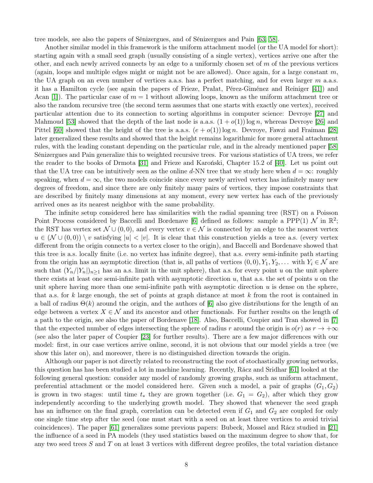tree models, see also the papers of Sénizergues, and of Sénizergues and Pain [\[63,](#page-46-9) [58\]](#page-46-10).

Another similar model in this framework is the uniform attachment model (or the UA model for short): starting again with a small seed graph (usually consisting of a single vertex), vertices arrive one after the other, and each newly arrived connects by an edge to a uniformly chosen set of  $m$  of the previous vertices (again, loops and multiple edges might or might not be are allowed). Once again, for a large constant  $m$ , the UA graph on an even number of vertices a.a.s. has a perfect matching, and for even larger  $m$  a.a.s. it has a Hamilton cycle (see again the papers of Frieze, Prałat, Pérez-Giménez and Reiniger [\[41\]](#page-45-11)) and Acan [\[1\]](#page-43-4)). The particular case of  $m = 1$  without allowing loops, known as the uniform attachment tree or also the random recursive tree (the second term assumes that one starts with exactly one vertex), received particular attention due to its connection to sorting algorithms in computer science: Devroye [\[27\]](#page-44-9) and Mahmoud [\[53\]](#page-46-11) showed that the depth of the last node is a.a.s.  $(1 + o(1)) \log n$ , whereas Devroye [\[26\]](#page-44-10) and Pittel [\[60\]](#page-46-8) showed that the height of the tree is a.a.s.  $(e + o(1)) \log n$ . Devroye, Fawzi and Fraiman [\[28\]](#page-45-13) later generalized these results and showed that the height remains logarithmic for more general attachment rules, with the leading constant depending on the particular rule, and in the already mentioned paper [\[58\]](#page-46-10) Sénizergues and Pain generalize this to weighted recursive trees. For various statistics of UA trees, we refer the reader to the books of Drmota [\[31\]](#page-45-14) and Frieze and Karoński, Chapter 15.2 of [\[40\]](#page-45-12). Let us point out that the UA tree can be intuitively seen as the online d-NN tree that we study here when  $d = \infty$ : roughly speaking, when  $d = \infty$ , the two models coincide since every newly arrived vertex has infinitely many new degrees of freedom, and since there are only finitely many pairs of vertices, they impose constraints that are described by finitely many dimensions at any moment, every new vertex has each of the previously arrived ones as its nearest neighbor with the same probability.

The infinite setup considered here has similarities with the radial spanning tree (RST) on a Poisson Point Process considered by Baccelli and Bordenave [\[6\]](#page-43-5) defined as follows: sample a PPP(1)  $\mathcal{N}$  in  $\mathbb{R}^2$ ; the RST has vertex set  $\mathcal{N} \cup (0,0)$ , and every vertex  $v \in \mathcal{N}$  is connected by an edge to the nearest vertex  $u \in (\mathcal{N} \cup (0,0)) \setminus v$  satisfying  $|u| < |v|$ . It is clear that this construction yields a tree a.s. (every vertex different from the origin connects to a vertex closer to the origin), and Baccelli and Bordenave showed that this tree is a.s. locally finite (i.e. no vertex has infinite degree), that a.s. every semi-infinite path starting from the origin has an asymptotic direction (that is, all paths of vertices  $(0,0), Y_1, Y_2, \ldots$  with  $Y_i \in \mathcal{N}$  are such that  $(Y_n/|Y_n|)_{n>1}$  has an a.s. limit in the unit sphere), that a.s. for every point u on the unit sphere there exists at least one semi-infinite path with asymptotic direction  $u$ , that a.s. the set of points  $u$  on the unit sphere having more than one semi-infinite path with asymptotic direction  $u$  is dense on the sphere, that a.s. for k large enough, the set of points at graph distance at most k from the root is contained in a ball of radius  $\Theta(k)$  around the origin, and the authors of [\[6\]](#page-43-5) also give distributions for the length of an edge between a vertex  $X \in \mathcal{N}$  and its ancestor and other functionals. For further results on the length of a path to the origin, see also the paper of Bordenave [\[18\]](#page-44-11). Also, Baccelli, Coupier and Tran showed in [\[7\]](#page-43-6) that the expected number of edges intersecting the sphere of radius r around the origin is  $o(r)$  as  $r \to +\infty$ (see also the later paper of Coupier [\[23\]](#page-44-12) for further results). There are a few major differences with our model: first, in our case vertices arrive online, second, it is not obvious that our model yields a tree (we show this later on), and moreover, there is no distinguished direction towards the origin.

Although our paper is not directly related to reconstructing the root of stochastically growing networks, this question has has been studied a lot in machine learning. Recently, Rácz and Sridhar [\[61\]](#page-46-12) looked at the following general question: consider any model of randomly growing graphs, such as uniform attachment, preferential attachment or the model considered here. Given such a model, a pair of graphs  $(G_1, G_2)$ is grown in two stages: until time  $t_*$  they are grown together (i.e.  $G_1 = G_2$ ), after which they grow independently according to the underlying growth model. They showed that whenever the seed graph has an influence on the final graph, correlation can be detected even if  $G_1$  and  $G_2$  are coupled for only one single time step after the seed (one must start with a seed on at least three vertices to avoid trivial coincidences). The paper [\[61\]](#page-46-12) generalizes some previous papers: Bubeck, Mossel and Rácz studied in [\[21\]](#page-44-13) the influence of a seed in PA models (they used statistics based on the maximum degree to show that, for any two seed trees  $S$  and  $T$  on at least 3 vertices with different degree profiles, the total variation distance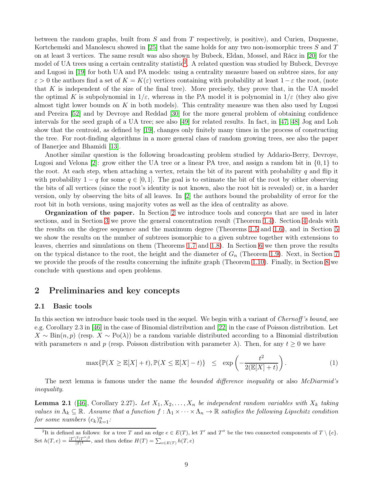between the random graphs, built from S and from T respectively, is positive), and Curien, Duquesne, Kortchemski and Manolescu showed in [\[25\]](#page-44-14) that the same holds for any two non-isomorphic trees  $S$  and  $T$ on at least 3 vertices. The same result was also shown by Bubeck, Eldan, Mossel, and Rácz in [\[20\]](#page-44-15) for the model of UA trees using a certain centrality statistic<sup>[2](#page-8-0)</sup>. A related question was studied by Bubeck, Devroye and Lugosi in [\[19\]](#page-44-16) for both UA and PA models: using a centrality measure based on subtree sizes, for any  $\varepsilon > 0$  the authors find a set of  $K = K(\varepsilon)$  vertices containing with probability at least  $1-\varepsilon$  the root, (note that K is independent of the size of the final tree). More precisely, they prove that, in the UA model the optimal K is subpolynomial in  $1/\varepsilon$ , whereas in the PA model it is polynomial in  $1/\varepsilon$  (they also give almost tight lower bounds on K in both models). This centrality measure was then also used by Lugosi and Pereira [\[52\]](#page-46-13) and by Devroye and Reddad [\[30\]](#page-45-15) for the more general problem of obtaining confidence intervals for the seed graph of a UA tree; see also [\[49\]](#page-46-14) for related results. In fact, in [\[47,](#page-46-15) [48\]](#page-46-16) Jog and Loh show that the centroid, as defined by [\[19\]](#page-44-16), changes only finitely many times in the process of constructing the tree. For root-finding algorithms in a more general class of random growing trees, see also the paper of Banerjee and Bhamidi [\[13\]](#page-44-17).

Another similar question is the following broadcasting problem studied by Addario-Berry, Devroye, Lugosi and Velona [\[2\]](#page-43-7): grow either the UA tree or a linear PA tree, and assign a random bit in  $\{0,1\}$  to the root. At each step, when attaching a vertex, retain the bit of its parent with probability  $q$  and flip it with probability  $1 - q$  for some  $q \in [0, 1]$ . The goal is to estimate the bit of the root by either observing the bits of all vertices (since the root's identity is not known, also the root bit is revealed) or, in a harder version, only by observing the bits of all leaves. In [\[2\]](#page-43-7) the authors bound the probability of error for the root bit in both versions, using majority votes as well as the idea of centrality as above.

Organization of the paper. In Section [2](#page-8-1) we introduce tools and concepts that are used in later sections, and in Section [3](#page-11-0) we prove the general concentration result (Theorem [1.4\)](#page-3-0). Section [4](#page-12-0) deals with the results on the degree sequence and the maximum degree (Theorems [1.5](#page-3-1) and [1.6\)](#page-3-3), and in Section [5](#page-19-0) we show the results on the number of subtrees isomorphic to a given subtree together with extensions to leaves, cherries and simulations on them (Theorems [1.7](#page-3-4) and [1.8\)](#page-3-2). In Section [6](#page-29-0) we then prove the results on the typical distance to the root, the height and the diameter of  $G_n$  (Theorem [1.9\)](#page-3-5). Next, in Section [7](#page-37-0) we provide the proofs of the results concerning the infinite graph (Theorem 1.10). Finally, in Section [8](#page-42-0) we conclude with questions and open problems.

## <span id="page-8-1"></span>2 Preliminaries and key concepts

### 2.1 Basic tools

In this section we introduce basic tools used in the sequel. We begin with a variant of *Chernoff's bound*, see e.g. Corollary 2.3 in [\[46\]](#page-45-16) in the case of Binomial distribution and [\[22\]](#page-44-18) in the case of Poisson distribution. Let  $X \sim Bin(n, p)$  (resp.  $X \sim Po(\lambda)$ ) be a random variable distributed according to a Binomial distribution with parameters n and p (resp. Poisson distribution with parameter  $\lambda$ ). Then, for any  $t \geq 0$  we have

<span id="page-8-3"></span>
$$
\max\{\mathbb{P}(X \ge \mathbb{E}[X] + t), \mathbb{P}(X \le \mathbb{E}[X] - t)\} \le \exp\left(-\frac{t^2}{2(\mathbb{E}[X] + t)}\right). \tag{1}
$$

The next lemma is famous under the name the bounded difference inequality or also McDiarmid's inequality.

<span id="page-8-2"></span>**Lemma 2.1** ([\[46\]](#page-45-16), Corollary 2.27). Let  $X_1, X_2, \ldots, X_n$  be independent random variables with  $X_k$  taking values in  $\Lambda_k \subseteq \mathbb{R}$ . Assume that a function  $f : \Lambda_1 \times \cdots \times \Lambda_n \to \mathbb{R}$  satisfies the following Lipschitz condition for some numbers  $(c_k)_{k=1}^n$ :

<span id="page-8-0"></span><sup>&</sup>lt;sup>2</sup>It is defined as follows: for a tree T and an edge  $e \in E(T)$ , let T' and T'' be the two connected components of  $T \setminus \{e\}$ . Set  $h(T, e) = \frac{|T'|^2 |T''|^2}{|T|^4}$ , and then define  $H(T) = \sum_{e \in E(T)} h(T, e)$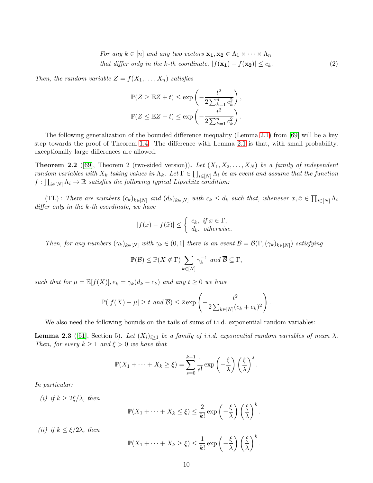For any  $k \in [n]$  and any two vectors  $\mathbf{x_1}, \mathbf{x_2} \in \Lambda_1 \times \cdots \times \Lambda_n$ that differ only in the k-th coordinate,  $|f(\mathbf{x_1}) - f(\mathbf{x_2})| \leq c_k$ . (2)

Then, the random variable  $Z = f(X_1, \ldots, X_n)$  satisfies

<span id="page-9-1"></span>
$$
\mathbb{P}(Z \ge \mathbb{E}Z + t) \le \exp\left(-\frac{t^2}{2\sum_{k=1}^n c_k^2}\right),
$$
  

$$
\mathbb{P}(Z \le \mathbb{E}Z - t) \le \exp\left(-\frac{t^2}{2\sum_{k=1}^n c_k^2}\right).
$$

The following generalization of the bounded difference inequality (Lemma [2.1\)](#page-8-2) from [\[69\]](#page-47-0) will be a key step towards the proof of Theorem [1.4.](#page-3-0) The difference with Lemma [2.1](#page-8-2) is that, with small probability, exceptionally large differences are allowed.

<span id="page-9-0"></span>**Theorem 2.2** ([\[69\]](#page-47-0), Theorem 2 (two-sided version)). Let  $(X_1, X_2, \ldots, X_N)$  be a family of independent random variables with  $X_k$  taking values in  $\Lambda_k$ . Let  $\Gamma \in \prod_{i \in [N]} \Lambda_i$  be an event and assume that the function  $f: \prod_{i \in [N]} \Lambda_i \to \mathbb{R}$  satisfies the following typical Lipschitz condition:

 $(TL)$ : There are numbers  $(c_k)_{k \in [N]}$  and  $(d_k)_{k \in [N]}$  with  $c_k \leq d_k$  such that, whenever  $x, \tilde{x} \in \prod_{i \in [N]} \Lambda_i$ differ only in the k-th coordinate, we have

$$
|f(x) - f(\tilde{x})| \le \begin{cases} c_k, & \text{if } x \in \Gamma, \\ d_k, & \text{otherwise.} \end{cases}
$$

Then, for any numbers  $(\gamma_k)_{k \in [N]}$  with  $\gamma_k \in (0,1]$  there is an event  $\mathcal{B} = \mathcal{B}(\Gamma, (\gamma_k)_{k \in [N]})$  satisfying

$$
\mathbb{P}(\mathcal{B}) \le \mathbb{P}(X \notin \Gamma) \sum_{k \in [N]} \gamma_k^{-1} \text{ and } \overline{\mathcal{B}} \subseteq \Gamma,
$$

such that for  $\mu = \mathbb{E}[f(X)], e_k = \gamma_k(d_k - c_k)$  and any  $t \geq 0$  we have

$$
\mathbb{P}(|f(X) - \mu| \ge t \text{ and } \overline{\mathcal{B}}) \le 2 \exp\left(-\frac{t^2}{2\sum_{k \in [N]}(c_k + e_k)^2}\right).
$$

We also need the following bounds on the tails of sums of i.i.d. exponential random variables:

<span id="page-9-2"></span>**Lemma 2.3** ([\[51\]](#page-46-17), Section 5). Let  $(X_i)_{i\geq 1}$  be a family of i.i.d. exponential random variables of mean  $\lambda$ . Then, for every  $k \geq 1$  and  $\xi > 0$  we have that

$$
\mathbb{P}(X_1 + \cdots + X_k \geq \xi) = \sum_{s=0}^{k-1} \frac{1}{s!} \exp\left(-\frac{\xi}{\lambda}\right) \left(\frac{\xi}{\lambda}\right)^s.
$$

In particular:

(i) if  $k \geq 2\xi/\lambda$ , then

$$
\mathbb{P}(X_1 + \dots + X_k \leq \xi) \leq \frac{2}{k!} \exp\left(-\frac{\xi}{\lambda}\right) \left(\frac{\xi}{\lambda}\right)^k.
$$

(*ii*) if  $k \leq \xi/2\lambda$ , then

$$
\mathbb{P}(X_1 + \cdots + X_k \ge \xi) \le \frac{1}{k!} \exp\left(-\frac{\xi}{\lambda}\right) \left(\frac{\xi}{\lambda}\right)^k.
$$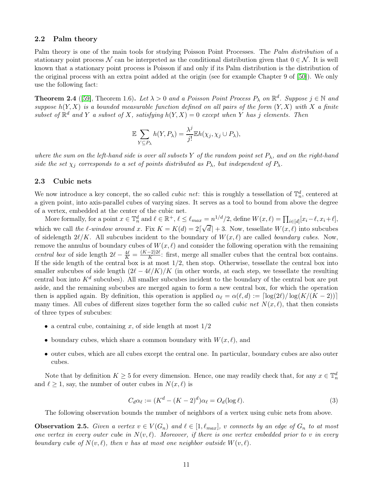### <span id="page-10-3"></span>2.2 Palm theory

Palm theory is one of the main tools for studying Poisson Point Processes. The *Palm distribution* of a stationary point process N can be interpreted as the conditional distribution given that  $0 \in \mathcal{N}$ . It is well known that a stationary point process is Poisson if and only if its Palm distribution is the distribution of the original process with an extra point added at the origin (see for example Chapter 9 of [\[50\]](#page-46-18)). We only use the following fact:

<span id="page-10-2"></span>**Theorem 2.4** ([\[59\]](#page-46-0), Theorem 1.6). Let  $\lambda > 0$  and a Poisson Point Process  $P_{\lambda}$  on  $\mathbb{R}^{d}$ . Suppose  $j \in \mathbb{N}$  and suppose  $h(Y, X)$  is a bounded measurable function defined on all pairs of the form  $(Y, X)$  with X a finite subset of  $\mathbb{R}^d$  and Y a subset of X, satisfying  $h(Y, X) = 0$  except when Y has j elements. Then

$$
\mathbb{E} \sum_{Y \subseteq P_{\lambda}} h(Y, P_{\lambda}) = \frac{\lambda^{j}}{j!} \mathbb{E} h(\chi_{j}, \chi_{j} \cup P_{\lambda}),
$$

where the sum on the left-hand side is over all subsets Y of the random point set  $P_{\lambda}$ , and on the right-hand side the set  $\chi_j$  corresponds to a set of points distributed as  $P_\lambda$ , but independent of  $P_\lambda$ .

### 2.3 Cubic nets

We now introduce a key concept, the so called *cubic net*: this is roughly a tessellation of  $\mathbb{T}_n^d$ , centered at a given point, into axis-parallel cubes of varying sizes. It serves as a tool to bound from above the degree of a vertex, embedded at the center of the cubic net.

More formally, for a point  $x \in \mathbb{T}_n^d$  and  $\ell \in \mathbb{R}^+, \ell \leq \ell_{max} = n^{1/d}/2$ , define  $W(x, \ell) = \prod_{i \in [d]} [x_i - \ell, x_i + \ell],$ which we call the  $\ell$ -window around x. Fix  $K = K(d) = 2\lceil \sqrt{d} \rceil + 3$ . Now, tessellate  $W(x, \ell)$  into subcubes of sidelength  $2\ell/K$ . All subcubes incident to the boundary of  $W(x,\ell)$  are called *boundary cubes*. Now, remove the annulus of boundary cubes of  $W(x, \ell)$  and consider the following operation with the remaining central box of side length  $2\ell - \frac{4\ell}{K} = \frac{(K-2)2\ell}{K}$ : first, merge all smaller cubes that the central box contains. If the side length of the central box is at most  $1/2$ , then stop. Otherwise, tessellate the central box into smaller subcubes of side length  $(2\ell - 4\ell/K)/K$  (in other words, at each step, we tessellate the resulting central box into  $K^d$  subcubes). All smaller subcubes incident to the boundary of the central box are put aside, and the remaining subcubes are merged again to form a new central box, for which the operation then is applied again. By definition, this operation is applied  $\alpha_\ell = \alpha(\ell, d) := \lceil \log(2\ell)/\log(K/(K-2)) \rceil$ many times. All cubes of different sizes together form the so called *cubic net*  $N(x, \ell)$ , that then consists of three types of subcubes:

- a central cube, containing x, of side length at most  $1/2$
- boundary cubes, which share a common boundary with  $W(x, \ell)$ , and
- outer cubes, which are all cubes except the central one. In particular, boundary cubes are also outer cubes.

Note that by definition  $K \geq 5$  for every dimension. Hence, one may readily check that, for any  $x \in \mathbb{T}_n^d$ and  $\ell \geq 1$ , say, the number of outer cubes in  $N(x, \ell)$  is

<span id="page-10-0"></span>
$$
C_d \alpha_\ell := (K^d - (K - 2)^d) \alpha_\ell = O_d(\log \ell). \tag{3}
$$

The following observation bounds the number of neighbors of a vertex using cubic nets from above.

<span id="page-10-1"></span>**Observation 2.5.** Given a vertex  $v \in V(G_n)$  and  $\ell \in [1, \ell_{max}]$ , v connects by an edge of  $G_n$  to at most one vertex in every outer cube in  $N(v, \ell)$ . Moreover, if there is one vertex embedded prior to v in every boundary cube of  $N(v, \ell)$ , then v has at most one neighbor outside  $W(v, \ell)$ .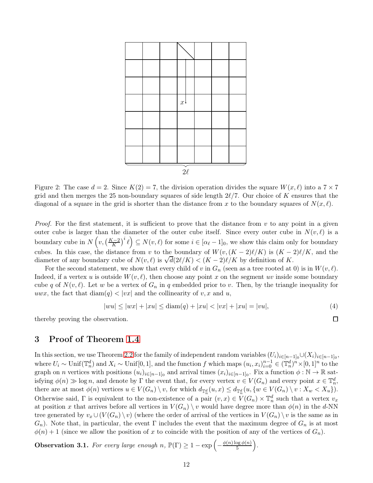<span id="page-11-1"></span>

Figure 2: The case  $d = 2$ . Since  $K(2) = 7$ , the division operation divides the square  $W(x, \ell)$  into a  $7 \times 7$ grid and then merges the 25 non-boundary squares of side length  $2\ell/7$ . Our choice of K ensures that the diagonal of a square in the grid is shorter than the distance from x to the boundary squares of  $N(x, \ell)$ .

*Proof.* For the first statement, it is sufficient to prove that the distance from  $v$  to any point in a given outer cube is larger than the diameter of the outer cube itself. Since every outer cube in  $N(v, \ell)$  is a boundary cube in  $N(v, \left(\frac{K-2}{K}\right)^i \ell) \subseteq N(v, \ell)$  for some  $i \in [\alpha_{\ell}-1]_0$ , we show this claim only for boundary cubes. In this case, the distance from v to the boundary of  $W(v,(K-2)\ell/K)$  is  $(K-2)\ell/K$ , and the diameter of any boundary cube of  $N(v,\ell)$  is  $\sqrt{d}(2\ell/K) < (K-2)\ell/K$  by definition of K.

For the second statement, we show that every child of v in  $G_n$  (seen as a tree rooted at 0) is in  $W(v, \ell)$ . Indeed, if a vertex u is outside  $W(v, \ell)$ , then choose any point x on the segment uv inside some boundary cube q of  $N(v, \ell)$ . Let w be a vertex of  $G_n$  in q embedded prior to v. Then, by the triangle inequality for uwx, the fact that  $\text{diam}(q) < |vx|$  and the collinearity of v, x and u,

$$
|wu| \le |wx| + |xu| \le \text{diam}(q) + |xu| < |vx| + |xu| = |vu|,\tag{4}
$$

<span id="page-11-0"></span>thereby proving the observation.

# 3 Proof of Theorem [1.4](#page-3-0)

In this section, we use Theorem [2.2](#page-9-0) for the family of independent random variables  $(U_i)_{i\in[n-1]_0}\cup (X_i)_{i\in[n-1]_0}$ , where  $U_i \sim \text{Unif}(\mathbb{T}_n^d)$  and  $X_i \sim \text{Unif}[0,1]$ , and the function f which maps  $(u_i, x_i)_{i=0}^{n-1} \in (\mathbb{T}_n^d)^n \times [0,1]^n$  to the graph on *n* vertices with positions  $(u_i)_{i\in[n-1]_0}$  and arrival times  $(x_i)_{i\in[n-1]_0}$ . Fix a function  $\phi : \mathbb{N} \to \mathbb{R}$  satisfying  $\phi(n) \gg \log n$ , and denote by  $\Gamma$  the event that, for every vertex  $v \in V(G_n)$  and every point  $x \in \mathbb{T}_n^d$ , there are at most  $\phi(n)$  vertices  $u \in V(G_n) \setminus v$ , for which  $d_{\mathbb{T}_n^d}(u, x) \leq d_{\mathbb{T}_n^d}(u, \{w \in V(G_n) \setminus v : X_w < X_u\}).$ Otherwise said,  $\Gamma$  is equivalent to the non-existence of a pair  $(v, x) \in V(G_n) \times \mathbb{T}_n^d$  such that a vertex  $v_x$ at position x that arrives before all vertices in  $V(G_n) \setminus v$  would have degree more than  $\phi(n)$  in the d-NN tree generated by  $v_x \cup (V(G_n) \setminus v)$  (where the order of arrival of the vertices in  $V(G_n) \setminus v$  is the same as in  $G_n$ ). Note that, in particular, the event Γ includes the event that the maximum degree of  $G_n$  is at most  $\phi(n) + 1$  (since we allow the position of x to coincide with the position of any of the vertices of  $G_n$ ).

**Observation 3.1.** For every large enough n,  $\mathbb{P}(\Gamma) \geq 1 - \exp\left(-\frac{\phi(n)\log\phi(n)}{5}\right)$  $\frac{\log \phi(n)}{5}$ .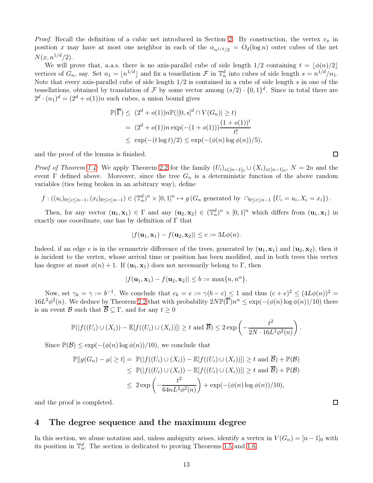*Proof.* Recall the definition of a cubic net introduced in Section [2.](#page-8-1) By construction, the vertex  $v_x$  in position x may have at most one neighbor in each of the  $\alpha_{n^{1/d}/2} = O_d(\log n)$  outer cubes of the net  $N(x, n^{1/d}/2).$ 

We will prove that, a.a.s. there is no axis-parallel cube of side length  $1/2$  containing  $t = |\phi(n)/2|$ vertices of  $G_n$ , say. Set  $n_1 = \lfloor n^{1/d} \rfloor$  and fix a tessellation  $\mathcal F$  in  $\mathbb T_n^d$  into cubes of side length  $s = n^{1/d}/n_1$ . Note that every axis-parallel cube of side length  $1/2$  is contained in a cube of side length s in one of the tessellations, obtained by translation of F by some vector among  $(s/2) \cdot \{0,1\}^d$ . Since in total there are  $2^d \cdot (n_1)^d = (2^d + o(1))n$  such cubes, a union bound gives

$$
\mathbb{P}(\overline{\Gamma}) \le (2^d + o(1))n \mathbb{P}(|[0, s]^d \cap V(G_n)| \ge t)
$$
  
=  $(2^d + o(1))n \exp(-(1 + o(1))) \frac{(1 + o(1))^t}{t!}$   
 $\le \exp(-(t \log t)/2) \le \exp(-( \phi(n) \log \phi(n))/5),$ 

and the proof of the lemma is finished.

*Proof of Theorem [1.4:](#page-3-0)* We apply Theorem [2.2](#page-9-0) for the family  $(U_i)_{i\in[n-1]_0} \cup (X_i)_{i\in[n-1]_0}$ ,  $N = 2n$  and the event Γ defined above. Moreover, since the tree  $G_n$  is a deterministic function of the above random variables (ties being broken in an arbitrary way), define

$$
f: ((u_i)_{0 \le i \le n-1}, (x_i)_{0 \le i \le n-1}) \in (\mathbb{T}_n^d)^n \times [0,1]^n \mapsto g(G_n \text{ generated by } \cap_{0 \le i \le n-1} \{U_i = u_i, X_i = x_i\}).
$$

Then, for any vector  $(\mathbf{u}_1, \mathbf{x}_1) \in \Gamma$  and any  $(\mathbf{u}_2, \mathbf{x}_2) \in (\mathbb{T}_n^d)^n \times [0, 1]^n$  which differs from  $(\mathbf{u}_1, \mathbf{x}_1)$  in exactly one coordinate, one has by definition of Γ that

$$
|f(\mathbf{u}_1,\mathbf{x}_1)-f(\mathbf{u}_2,\mathbf{x}_2)|\leq c:=3L\phi(n).
$$

Indeed, if an edge e is in the symmetric difference of the trees, generated by  $(\mathbf{u}_1, \mathbf{x}_1)$  and  $(\mathbf{u}_2, \mathbf{x}_2)$ , then it is incident to the vertex, whose arrival time or position has been modified, and in both trees this vertex has degree at most  $\phi(n) + 1$ . If  $(\mathbf{u}_1, \mathbf{x}_1)$  does not necessarily belong to Γ, then

$$
|f(\mathbf{u}_1, \mathbf{x}_1) - f(\mathbf{u}_2, \mathbf{x}_2)| \le b := \max\{n, n^{\alpha}\}.
$$

Now, set  $\gamma_k = \gamma := b^{-1}$ . We conclude that  $e_k = e := \gamma(b - c) \leq 1$  and thus  $(c + e)^2 \leq (4L\phi(n))^2 =$  $16L^2\phi^2(n)$ . We deduce by Theorem [2.2](#page-9-0) that with probability  $2N\mathbb{P}(\overline{\Gamma})n^{\alpha} \leq \exp(-(\phi(n)\log \phi(n))/10)$  there is an event B such that  $\overline{\mathcal{B}} \subseteq \Gamma$ , and for any  $t \geq 0$ 

$$
\mathbb{P}(|f((U_i)\cup (X_i)) - \mathbb{E}[f((U_i)\cup (X_i))]| \geq t \text{ and } \overline{\mathcal{B}}) \leq 2\exp\left(-\frac{t^2}{2N\cdot 16L^2\phi^2(n)}\right).
$$

Since  $\mathbb{P}(\mathcal{B}) \leq \exp(-(\phi(n) \log \phi(n))/10)$ , we conclude that

$$
\mathbb{P}[|g(G_n) - \mu| \ge t] = \mathbb{P}(|f((U_i) \cup (X_i)) - \mathbb{E}[f((U_i) \cup (X_i))]| \ge t \text{ and } \overline{\mathcal{B}}) + \mathbb{P}(\mathcal{B})
$$
  
\n
$$
\le \mathbb{P}(|f((U_i) \cup (X_i)) - \mathbb{E}[f((U_i) \cup (X_i))]| \ge t \text{ and } \overline{\mathcal{B}}) + \mathbb{P}(\mathcal{B})
$$
  
\n
$$
\le 2 \exp\left(-\frac{t^2}{64nL^2\phi^2(n)}\right) + \exp(-(\phi(n)\log\phi(n))/10),
$$

and the proof is completed.

### <span id="page-12-0"></span>4 The degree sequence and the maximum degree

In this section, we abuse notation and, unless ambiguity arises, identify a vertex in  $V(G_n) = [n-1]_0$  with its position in  $\mathbb{T}_n^d$ . The section is dedicated to proving Theorems [1.5](#page-3-1) and [1.6.](#page-3-3)

 $\Box$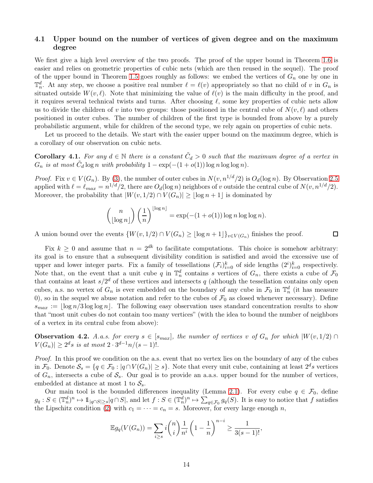### 4.1 Upper bound on the number of vertices of given degree and on the maximum degree

We first give a high level overview of the two proofs. The proof of the upper bound in Theorem [1.6](#page-3-3) is easier and relies on geometric properties of cubic nets (which are then reused in the sequel). The proof of the upper bound in Theorem [1.5](#page-3-1) goes roughly as follows: we embed the vertices of  $G_n$  one by one in  $\mathbb{T}_n^d$ . At any step, we choose a positive real number  $\ell = \ell(v)$  appropriately so that no child of v in  $G_n$  is situated outside  $W(v, \ell)$ . Note that minimizing the value of  $\ell(v)$  is the main difficulty in the proof, and it requires several technical twists and turns. After choosing  $\ell$ , some key properties of cubic nets allow us to divide the children of v into two groups: those positioned in the central cube of  $N(v, \ell)$  and others positioned in outer cubes. The number of children of the first type is bounded from above by a purely probabilistic argument, while for children of the second type, we rely again on properties of cubic nets.

Let us proceed to the details. We start with the easier upper bound on the maximum degree, which is a corollary of our observation on cubic nets.

<span id="page-13-1"></span>**Corollary 4.1.** For any  $d \in \mathbb{N}$  there is a constant  $\tilde{C}_d > 0$  such that the maximum degree of a vertex in  $G_n$  is at most  $\tilde{C}_d \log n$  with probability  $1 - \exp(-(1 + o(1)) \log n \log \log n)$ .

*Proof.* Fix  $v \in V(G_n)$ . By [\(3\)](#page-10-0), the number of outer cubes in  $N(v, n^{1/d}/2)$  is  $O_d(\log n)$ . By Observation [2.5](#page-10-1) applied with  $\ell = \ell_{max} = n^{1/d}/2$ , there are  $O_d(\log n)$  neighbors of v outside the central cube of  $N(v, n^{1/d}/2)$ . Moreover, the probability that  $|W(v, 1/2) \cap V(G_n)| \geq |\log n + 1|$  is dominated by

$$
\binom{n}{\lfloor \log n \rfloor} \left(\frac{1}{n}\right)^{\lfloor \log n \rfloor} = \exp(-(1+o(1))\log n \log \log n).
$$

 $\Box$ 

A union bound over the events  $\{W(v, 1/2) \cap V(G_n) \geq \lfloor \log n + 1 \rfloor\}_{v \in V(G_n)}$  finishes the proof.

Fix  $k \geq 0$  and assume that  $n = 2^{dk}$  to facilitate computations. This choice is somehow arbitrary: its goal is to ensure that a subsequent divisibility condition is satisfied and avoid the excessive use of upper and lower integer parts. Fix a family of tessellations  $(\mathcal{F}_i)_{i=0}^k$  of side lengths  $(2^i)_{i=0}^k$  respectively. Note that, on the event that a unit cube q in  $\mathbb{T}_n^d$  contains s vertices of  $G_n$ , there exists a cube of  $\mathcal{F}_0$ that contains at least  $s/2^d$  of these vertices and intersects q (although the tessellation contains only open cubes, a.s. no vertex of  $G_n$  is ever embedded on the boundary of any cube in  $\mathcal{F}_0$  in  $\mathbb{T}_n^d$  (it has measure 0), so in the sequel we abuse notation and refer to the cubes of  $\mathcal{F}_0$  as closed whenever necessary). Define  $s_{max} := \log n/3 \log \log n$ . The following easy observation uses standard concentration results to show that "most unit cubes do not contain too many vertices" (with the idea to bound the number of neighbors of a vertex in its central cube from above):

<span id="page-13-0"></span>**Observation 4.2.** A.a.s. for every  $s \in [s_{max}]$ , the number of vertices v of  $G_n$  for which  $|W(v, 1/2)| \cap$  $|V(G_n)| \geq 2^d s$  is at most  $2 \cdot 3^{d-1} n/(s-1)!$ .

Proof. In this proof we condition on the a.s. event that no vertex lies on the boundary of any of the cubes in  $\mathcal{F}_0$ . Denote  $\mathcal{S}_s = \{q \in \mathcal{F}_0 : |q \cap V(G_n)| \geq s\}$ . Note that every unit cube, containing at least  $2^d s$  vertices of  $G_n$ , intersects a cube of  $S_s$ . Our goal is to provide an a.a.s. upper bound for the number of vertices, embedded at distance at most 1 to  $S_s$ .

Our main tool is the bounded differences inequality (Lemma [2.1\)](#page-8-2). For every cube  $q \in \mathcal{F}_0$ , define  $g_q: S \in (\mathbb{T}_n^d)^n \mapsto 1_{\lfloor q \cap S \rfloor \geq s} |q \cap S|$ , and let  $f: S \in (\mathbb{T}_n^d)^n \mapsto \sum_{q \in \mathcal{F}_0} g_q(S)$ . It is easy to notice that f satisfies the Lipschitz condition [\(2\)](#page-9-1) with  $c_1 = \cdots = c_n = s$ . Moreover, for every large enough n,

$$
\mathbb{E}g_q(V(G_n)) = \sum_{i \ge s} i \binom{n}{i} \frac{1}{n^i} \left(1 - \frac{1}{n}\right)^{n-i} \ge \frac{1}{3(s-1)!},
$$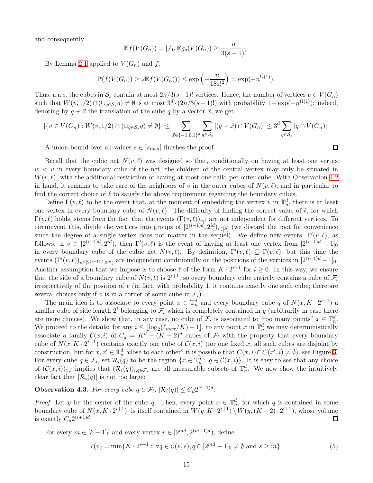and consequently

$$
\mathbb{E}f(V(G_n)) = |\mathcal{F}_0| \mathbb{E}g_q(V(G_n)) \ge \frac{n}{3(s-1)!}.
$$

By Lemma [2.1](#page-8-2) applied to  $V(G_n)$  and f,

$$
\mathbb{P}(f(V(G_n)) \ge 2\mathbb{E}f(V(G_n))) \le \exp\left(-\frac{n}{18s!^2}\right) = \exp(-n^{\Omega(1)}).
$$

Thus, a.a.s. the cubes in  $S_s$  contain at most  $2n/3(s-1)!$  vertices. Hence, the number of vertices  $v \in V(G_n)$ such that  $W(v, 1/2) \cap (\cup_{q \in S_s} q) \neq \emptyset$  is at most  $3^d \cdot (2n/3(s-1)!)$  with probability  $1 - \exp(-n^{\Omega(1)})$ : indeed, denoting by  $q + \vec{x}$  the translation of the cube q by a vector  $\vec{x}$ , we get

$$
|\{v \in V(G_n) : W(v, 1/2) \cap (\cup_{q \in S_s} q) \neq \emptyset\}| \leq \sum_{\vec{x} \in \{-1, 0, 1\}^d} \sum_{q \in S_s} |(q + \vec{x}) \cap V(G_n)| \leq 3^d \sum_{q \in S_s} |q \cap V(G_n)|.
$$

A union bound over all values  $s \in [s_{\text{max}}]$  finishes the proof.

Recall that the cubic net  $N(v, \ell)$  was designed so that, conditionally on having at least one vertex  $w < v$  in every boundary cube of the net, the children of the central vertex may only be situated in  $W(v, \ell)$ , with the additional restriction of having at most one child per outer cube. With Observation [4.2](#page-13-0) in hand, it remains to take care of the neighbors of v in the outer cubes of  $N(v, \ell)$ , and in particular to find the correct choice of  $\ell$  to satisfy the above requirement regarding the boundary cubes.

Define  $\Gamma(v,\ell)$  to be the event that, at the moment of embedding the vertex v in  $\mathbb{T}_n^d$ , there is at least one vertex in every boundary cube of  $N(v, \ell)$ . The difficulty of finding the correct value of  $\ell$ , for which  $\Gamma(v,\ell)$  holds, stems from the fact that the events  $(\Gamma(v,\ell))_{v,\ell}$  are not independent for different vertices. To circumvent this, divide the vertices into groups of  $[2^{(i-1)d}, 2^{id})_{i \in [k]}$  (we discard the root for convenience since the degree of a single vertex does not matter in the sequel). We define new events,  $\Gamma'(v,\ell)$ , as follows: if  $v \in [2^{(i-1)d}, 2^{id})$ , then  $\Gamma'(v, \ell)$  is the event of having at least one vertex from  $[2^{(i-1)d} - 1]_0$ in every boundary cube of the cubic net  $N(v, \ell)$ . By definition,  $\Gamma'(v, \ell) \subseteq \Gamma(v, \ell)$ , but this time the events  $(\Gamma'(v,\ell))_{v\in[2^{(i-1)d},2^{id})}$  are independent conditionally on the positions of the vertices in  $[2^{(i-1)d}-1]_0$ . Another assumption that we impose is to choose  $\ell$  of the form  $K \cdot 2^{i+1}$  for  $i \geq 0$ . In this way, we ensure that the side of a boundary cube of  $N(v, \ell)$  is  $2^{i+1}$ , so every boundary cube entirely contains a cube of  $\mathcal{F}_i$ irrespectively of the position of v (in fact, with probability 1, it contains exactly one such cube; there are several choices only if v is in a corner of some cube in  $\mathcal{F}_i$ .

The main idea is to associate to every point  $x \in \mathbb{T}_n^d$  and every boundary cube q of  $N(x, K \cdot 2^{i+1})$  a smaller cube of side length  $2^i$  belonging to  $\mathcal{F}_i$  which is completely contained in q (arbitrarily in case there are more choices). We show that, in any case, no cube of  $\mathcal{F}_i$  is associated to "too many points"  $x \in \mathbb{T}_n^d$ . We proceed to the details: for any  $i \leq \lfloor \log_2(\ell_{max}/K) - 1 \rfloor$ , to any point x in  $\mathbb{T}_n^d$  we may deterministically associate a family  $C(x, i)$  of  $C_d = K^d - (K - 2)^d$  cubes of  $\mathcal{F}_i$  with the property that every boundary cube of  $N(x, K \cdot 2^{i+1})$  contains exactly one cube of  $\mathcal{C}(x, i)$  (for one fixed x, all such cubes are disjoint by construction, but for  $x, x' \in \mathbb{T}_n^d$  "close to each other" it is possible that  $C(x, i) \cap C(x', i) \neq \emptyset$ ); see Figure [3.](#page-15-0) For every cube  $q \in \mathcal{F}_i$ , set  $\mathcal{R}_i(q)$  to be the region  $\{x \in \mathbb{T}_n^d : q \in \mathcal{C}(x,i)\}\)$ . It is easy to see that any choice of  $(\mathcal{C}(x,i))_{x,i}$  implies that  $(\mathcal{R}_i(q))_{i,q \in \mathcal{F}_i}$  are all measurable subsets of  $\mathbb{T}_n^d$ . We now show the intuitively clear fact that  $|\mathcal{R}_i(q)|$  is not too large:

<span id="page-14-0"></span>**Observation 4.3.** For every cube  $q \in \mathcal{F}_i$ ,  $|\mathcal{R}_i(q)| \leq C_d 2^{(i+1)d}$ .

*Proof.* Let y be the center of the cube q. Then, every point  $x \in \mathbb{T}_n^d$ , for which q is contained in some boundary cube of  $N(x, K \cdot 2^{i+1})$ , is itself contained in  $W(y, K \cdot 2^{i+1}) \setminus W(y, (K - 2) \cdot 2^{i+1})$ , whose volume is exactly  $C_d 2^{(i+1)d}$ .  $\Box$ 

For every  $m \in [k-1]_0$  and every vertex  $v \in [2^{md}, 2^{(m+1)d})$ , define

$$
\ell(v) = \min\{K \cdot 2^{s+1} : \forall q \in \mathcal{C}(v, s), q \cap [2^{md} - 1]_0 \neq \emptyset \text{ and } s \geq m\}.
$$
 (5)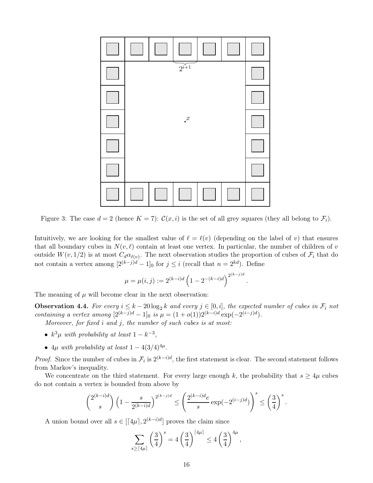<span id="page-15-0"></span>

Figure 3: The case  $d = 2$  (hence  $K = 7$ ):  $\mathcal{C}(x, i)$  is the set of all grey squares (they all belong to  $\mathcal{F}_i$ ).

Intuitively, we are looking for the smallest value of  $\ell = \ell(v)$  (depending on the label of v) that ensures that all boundary cubes in  $N(v, \ell)$  contain at least one vertex. In particular, the number of children of v outside  $W(v, 1/2)$  is at most  $C_d \alpha_{\ell(v)}$ . The next observation studies the proportion of cubes of  $\mathcal{F}_i$  that do not contain a vertex among  $[2^{(k-j)d} - 1]_0$  for  $j \leq i$  (recall that  $n = 2^{kd}$ ). Define

$$
\mu = \mu(i,j) := 2^{(k-i)d} \left( 1 - 2^{-(k-i)d} \right)^{2^{(k-j)d}}.
$$

The meaning of  $\mu$  will become clear in the next observation:

<span id="page-15-1"></span>**Observation 4.4.** For every  $i \leq k - 20 \log_2 k$  and every  $j \in [0, i]$ , the expected number of cubes in  $\mathcal{F}_i$  not containing a vertex among  $[2^{(k-j)d} - 1]_0$  is  $\mu = (1 + o(1))2^{(k-i)d} \exp(-2^{(i-j)d}).$ 

Moreover, for fixed  $i$  and  $j$ , the number of such cubes is at most:

- $k^3\mu$  with probability at least  $1 k^{-3}$ ,
- $4\mu$  with probability at least  $1 4(3/4)^{4\mu}$ .

*Proof.* Since the number of cubes in  $\mathcal{F}_i$  is  $2^{(k-i)d}$ , the first statement is clear. The second statement follows from Markov's inequality.

We concentrate on the third statement. For every large enough k, the probability that  $s \geq 4\mu$  cubes do not contain a vertex is bounded from above by

$$
\binom{2^{(k-i)d}}{s}\left(1-\frac{s}{2^{(k-i)d}}\right)^{2^{(k-j)d}}\leq \left(\frac{2^{(k-i)d}e}{s}\exp(-2^{(i-j)d})\right)^s\leq \left(\frac{3}{4}\right)^s.
$$

A union bound over all  $s \in [\lceil 4\mu \rceil, 2^{(k-i)d}]$  proves the claim since

$$
\sum_{s\geq \lceil 4\mu\rceil} \left(\frac{3}{4}\right)^s = 4\left(\frac{3}{4}\right)^{\lceil 4\mu\rceil} \leq 4\left(\frac{3}{4}\right)^{4\mu},
$$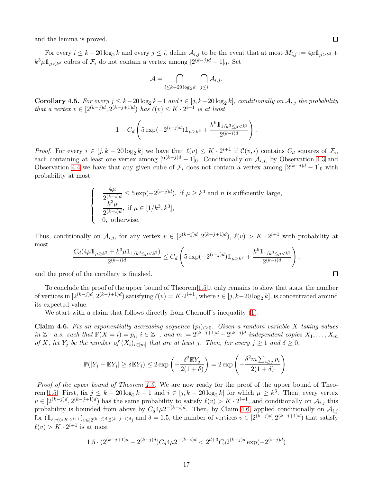and the lemma is proved.

For every  $i \leq k - 20 \log_2 k$  and every  $j \leq i$ , define  $\mathcal{A}_{i,j}$  to be the event that at most  $M_{i,j} := 4\mu \mathbb{1}_{\mu \geq k^3} +$  $k^3 \mu \mathbb{1}_{\mu < k^3}$  cubes of  $\mathcal{F}_i$  do not contain a vertex among  $[2^{(k-j)d} - 1]_0$ . Set

$$
\mathcal{A} = \bigcap_{i \leq k-20\log_2 k} \ \bigcap_{j \leq i} \mathcal{A}_{i,j}.
$$

Corollary 4.5. For every  $j \leq k-20 \log_2 k-1$  and  $i \in [j, k-20 \log_2 k]$ , conditionally on  $\mathcal{A}_{i,j}$  the probability that a vertex  $v \in [2^{(k-j)d}, 2^{(k-j+1)d})$  has  $\ell(v) \leq K \cdot 2^{i+1}$  is at least

$$
1 - C_d \left( 5 \exp(-2^{(i-j)d}) 1_{\mu \geq k^3} + \frac{k^6 1_{1/k^3 \leq \mu < k^3}}{2^{(k-i)d}} \right).
$$

*Proof.* For every  $i \in [j, k - 20 \log_2 k]$  we have that  $\ell(v) \leq K \cdot 2^{i+1}$  if  $\mathcal{C}(v, i)$  contains  $C_d$  squares of  $\mathcal{F}_i$ , each containing at least one vertex among  $[2^{(k-j)d} - 1]_0$ . Conditionally on  $\mathcal{A}_{i,j}$ , by Observation [4.3](#page-14-0) and Observation [4.4](#page-15-1) we have that any given cube of  $\mathcal{F}_i$  does not contain a vertex among  $[2^{(k-j)d} - 1]_0$  with probability at most

$$
\begin{cases}\n\frac{4\mu}{2^{(k-i)d}} \le 5 \exp(-2^{(i-j)d}), \text{ if } \mu \ge k^3 \text{ and } n \text{ is sufficiently large,} \\
\frac{k^3\mu}{2^{(k-i)d}}, \text{ if } \mu \in [1/k^3, k^3], \\
0, \text{ otherwise.} \n\end{cases}
$$

Thus, conditionally on  $A_{i,j}$ , for any vertex  $v \in [2^{(k-j)d}, 2^{(k-j+1)d})$ ,  $\ell(v) > K \cdot 2^{i+1}$  with probability at most

$$
\frac{C_d (4\mu 1_{\mu \geq k^3} + k^3 \mu 1_{1/k^3 \leq \mu < k^3})}{2^{(k-i)d}} \leq C_d \left(5 \exp(-2^{(i-j)d}) 1_{\mu \geq k^3} + \frac{k^6 1_{1/k^3 \leq \mu < k^3}}{2^{(k-i)d}}\right),
$$

and the proof of the corollary is finished.

To conclude the proof of the upper bound of Theorem [1.5](#page-3-1) it only remains to show that a.a.s. the number of vertices in  $[2^{(k-j)d}, 2^{(k-j+1)d})$  satisfying  $\ell(v) = K \cdot 2^{i+1}$ , where  $i \in [j, k-20 \log_2 k]$ , is concentrated around its expected value.

We start with a claim that follows directly from Chernoff's inequality  $(1)$ :

<span id="page-16-0"></span>Claim 4.6. Fix an exponentially decreasing sequence  $(p_i)_{i>0}$ . Given a random variable X taking values in  $\mathbb{Z}^+$  a.s. such that  $\mathbb{P}(X = i) = p_i$ ,  $i \in \mathbb{Z}^+$ , and  $m := 2^{(k-j+1)d} - 2^{(k-j)d}$  independent copies  $X_1, \ldots, X_m$ of X, let  $Y_j$  be the number of  $(X_i)_{i \in [m]}$  that are at least j. Then, for every  $j \ge 1$  and  $\delta \ge 0$ ,

$$
\mathbb{P}(|Y_j - \mathbb{E}Y_j| \ge \delta \mathbb{E}Y_j) \le 2 \exp\left(-\frac{\delta^2 \mathbb{E}Y_j}{2(1+\delta)}\right) = 2 \exp\left(-\frac{\delta^2 m \sum_{i \ge j} p_i}{2(1+\delta)}\right).
$$

Proof of the upper bound of Theorem [1.5.](#page-3-1) We are now ready for the proof of the upper bound of Theo-rem [1.5.](#page-3-1) First, fix  $j \leq k - 20 \log_2 k - 1$  and  $i \in [j, k - 20 \log_2 k]$  for which  $\mu \geq k^3$ . Then, every vertex  $v \in [2^{(k-j)d}, 2^{(k-j+1)d})$  has the same probability to satisfy  $\ell(v) > K \cdot 2^{i+1}$ , and conditionally on  $\mathcal{A}_{i,j}$  this probability is bounded from above by  $C_d 4\mu 2^{-(k-i)d}$ . Then, by Claim [4.6,](#page-16-0) applied conditionally on  $\mathcal{A}_{i,j}$ for  $(\mathbb{1}_{\ell(v)>K\cdot2^{i+1}})_{v\in[2^{(k-j)d},2^{(k-j+1)d})}$  and  $\delta=1.5$ , the number of vertices  $v\in[2^{(k-j)d},2^{(k-j+1)d})$  that satisfy  $\ell(v) > K \cdot 2^{i+1}$  is at most

$$
1.5 \cdot (2^{(k-j+1)d} - 2^{(k-j)d}) C_d 4\mu 2^{-(k-i)d} < 2^{d+3} C_d 2^{(k-j)d} \exp(-2^{(i-j)d})
$$

 $\Box$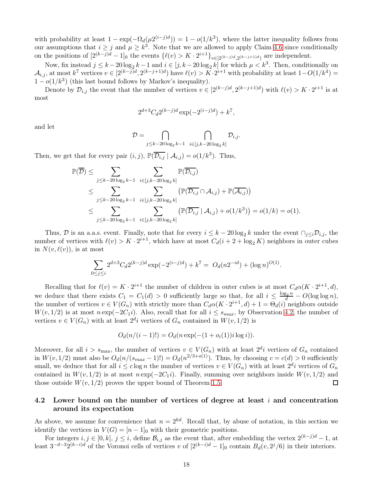with probability at least  $1 - \exp(-\Omega_d(\mu 2^{(i-j)d})) = 1 - o(1/k^3)$ , where the latter inequality follows from our assumptions that  $i \geq j$  and  $\mu \geq k^3$ . Note that we are allowed to apply Claim [4.6](#page-16-0) since conditionally on the positions of  $[2^{(k-j)d} - 1]_0$  the events  $\{\ell(v) > K \cdot 2^{i+1}\}_{v \in [2^{(k-j)d}, 2^{(k-j+1)d})}$  are independent.

Now, fix instead  $j \leq k - 20 \log_2 k - 1$  and  $i \in [j, k - 20 \log_2 k]$  for which  $\mu < k^3$ . Then, conditionally on  $\mathcal{A}_{i,j}$ , at most  $k^7$  vertices  $v \in [2^{(k-j)d}, 2^{(k-j+1)d})$  have  $\ell(v) > K \cdot 2^{i+1}$  with probability at least  $1-O(1/k^4)$  $1 - o(1/k^3)$  (this last bound follows by Markov's inequality).

Denote by  $\mathcal{D}_{i,j}$  the event that the number of vertices  $v \in [2^{(k-j)d}, 2^{(k-j+1)d})$  with  $\ell(v) > K \cdot 2^{i+1}$  is at most

$$
2^{d+3}C_d 2^{(k-j)d} \exp(-2^{(i-j)d}) + k^7,
$$

and let

$$
\mathcal{D} = \bigcap_{j \leq k-20 \log_2 k - 1} \bigcap_{i \in [j,k-20 \log_2 k]} \mathcal{D}_{i,j}.
$$

Then, we get that for every pair  $(i, j)$ ,  $\mathbb{P}(\overline{\mathcal{D}_{i,j}} \mid \mathcal{A}_{i,j}) = o(1/k^3)$ . Thus,

$$
\mathbb{P}(\overline{\mathcal{D}}) \leq \sum_{j \leq k-20 \log_2 k - 1} \sum_{i \in [j,k-20 \log_2 k]} \mathbb{P}(\overline{\mathcal{D}_{i,j}})
$$
  
\n
$$
\leq \sum_{j \leq k-20 \log_2 k - 1} \sum_{i \in [j,k-20 \log_2 k]} (\mathbb{P}(\overline{\mathcal{D}_{i,j}} \cap \mathcal{A}_{i,j}) + \mathbb{P}(\overline{\mathcal{A}_{i,j}}))
$$
  
\n
$$
\leq \sum_{j \leq k-20 \log_2 k - 1} \sum_{i \in [j,k-20 \log_2 k]} (\mathbb{P}(\overline{\mathcal{D}_{i,j}} \mid \mathcal{A}_{i,j}) + o(1/k^3)) = o(1/k) = o(1).
$$

Thus, D is an a.a.s. event. Finally, note that for every  $i \leq k - 20 \log_2 k$  under the event  $\bigcap_{j \leq i} \mathcal{D}_{i,j}$ , the number of vertices with  $\ell(v) > K \cdot 2^{i+1}$ , which have at most  $C_d(i + 2 + \log_2 K)$  neighbors in outer cubes in  $N(v, \ell(v))$ , is at most

$$
\sum_{0 \le j \le i} 2^{d+3} C_d 2^{(k-j)d} \exp(-2^{(i-j)d}) + k^7 = O_d(n2^{-id}) + (\log n)^{O(1)}.
$$

Recalling that for  $\ell(v) = K \cdot 2^{i+1}$  the number of children in outer cubes is at most  $C_d \alpha(K \cdot 2^{i+1}, d)$ , we deduce that there exists  $C_1 = C_1(d) > 0$  sufficiently large so that, for all  $i \leq \frac{\log_2 n}{d} - O(\log \log n)$ , the number of vertices  $v \in V(G_n)$  with strictly more than  $C_d \alpha(K \cdot 2^{i+1}, d) + 1 = \Theta_d(i)$  neighbors outside  $W(v, 1/2)$  is at most  $n \exp(-2C_1i)$ . Also, recall that for all  $i \leq s_{max}$ , by Observation [4.2,](#page-13-0) the number of vertices  $v \in V(G_n)$  with at least  $2^{d_i}$  vertices of  $G_n$  contained in  $W(v, 1/2)$  is

$$
O_d(n/(i-1)!) = O_d(n \exp(-(1 + o_i(1))i \log i)).
$$

Moreover, for all  $i > s_{\text{max}}$ , the number of vertices  $v \in V(G_n)$  with at least  $2^{d_i}$  vertices of  $G_n$  contained in  $W(v, 1/2)$  must also be  $O_d(n/(s_{max}-1)!)=O_d(n^{2/3+o(1)})$ . Thus, by choosing  $c=c(d)>0$  sufficiently small, we deduce that for all  $i \leq c \log n$  the number of vertices  $v \in V(G_n)$  with at least  $2^{d}i$  vertices of  $G_n$ contained in  $W(v, 1/2)$  is at most  $n \exp(-2C_1i)$ . Finally, summing over neighbors inside  $W(v, 1/2)$  and those outside  $W(v, 1/2)$  proves the upper bound of Theorem 1.5. those outside  $W(v, 1/2)$  proves the upper bound of Theorem [1.5.](#page-3-1)

## 4.2 Lower bound on the number of vertices of degree at least  $i$  and concentration around its expectation

As above, we assume for convenience that  $n = 2^{kd}$ . Recall that, by abuse of notation, in this section we identify the vertices in  $V(G) = [n-1]_0$  with their geometric positions.

For integers  $i, j \in [0, k]$ ,  $j \leq i$ , define  $\mathcal{B}_{i,j}$  as the event that, after embedding the vertex  $2^{(k-j)d} - 1$ , at least  $3^{-d-3}2^{(k-i)d}$  of the Voronoi cells of vertices v of  $[2^{(k-i)d} - 1]_0$  contain  $B_d(v, 2^j/6)$  in their interiors.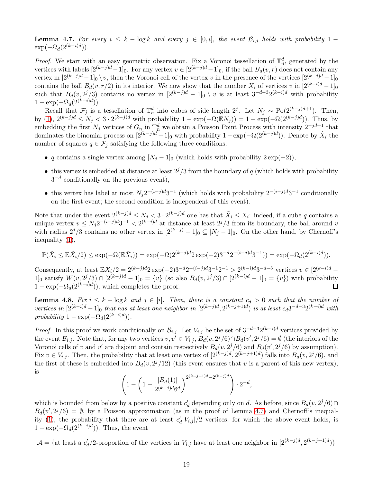<span id="page-18-0"></span>**Lemma 4.7.** For every  $i \leq k - \log k$  and every  $j \in [0, i]$ , the event  $\mathcal{B}_{i,j}$  holds with probability 1 –  $\exp(-\Omega_d(2^{(k-i)d}))$ .

*Proof.* We start with an easy geometric observation. Fix a Voronoi tessellation of  $\mathbb{T}_n^d$ , generated by the vertices with labels  $[2^{(k-j)d}-1]_0$ . For any vertex  $v \in [2^{(k-j)d}-1]_0$ , if the ball  $B_d(v,r)$  does not contain any vertex in  $[2^{(k-j)d}-1]_0 \setminus v$ , then the Voronoi cell of the vertex v in the presence of the vertices  $[2^{(k-j)d}-1]_0$ contains the ball  $B_d(v, r/2)$  in its interior. We now show that the number  $X_i$  of vertices v in  $[2^{(k-i)d} - 1]_0$ such that  $B_d(v, 2^j/3)$  contains no vertex in  $[2^{(k-j)d} - 1]_0 \setminus v$  is at least  $3^{-d-3}2^{(k-j)d}$  with probability  $1 - \exp(-\Omega_d(2^{(k-i)d})).$ 

Recall that  $\mathcal{F}_j$  is a tessellation of  $\mathbb{T}_n^d$  into cubes of side length 2<sup>j</sup>. Let  $N_j \sim \text{Po}(2^{(k-j)d+1})$ . Then, by [\(1\)](#page-8-3),  $2^{(k-j)d} \leq N_j < 3 \cdot 2^{(k-j)d}$  with probability  $1 - \exp(-\Omega(\mathbb{E} N_j)) = 1 - \exp(-\Omega(2^{(k-j)d}))$ . Thus, by embedding the first  $N_j$  vertices of  $G_n$  in  $\mathbb{T}_n^d$  we obtain a Poisson Point Process with intensity  $2^{-jd+1}$  that dominates the binomial process on  $[2^{(k-j)d]}-1]_0$  with probability  $1-\exp(-\Omega(2^{(k-j)d}))$ . Denote by  $\tilde{X}_i$  the number of squares  $q \in \mathcal{F}_j$  satisfying the following three conditions:

- q contains a single vertex among  $[N_j 1]_0$  (which holds with probability  $2 \exp(-2)$ ),
- this vertex is embedded at distance at least  $2^{j}/3$  from the boundary of q (which holds with probability  $3^{-d}$  conditionally on the previous event),
- this vertex has label at most  $N_j 2^{-(i-j)d} 3^{-1}$  (which holds with probability  $2^{-(i-j)d} 3^{-1}$  conditionally on the first event; the second condition is independent of this event).

Note that under the event  $2^{(k-j)d} \le N_j < 3 \cdot 2^{(k-j)d}$  one has that  $\tilde{X}_i \le X_i$ : indeed, if a cube q contains a unique vertex  $v \n\t\le N_j 2^{-(i-j)d} 3^{-1} < 2^{(k-i)d}$  at distance at least  $2^j/3$  from its boundary, the ball around v with radius  $2^{j}/3$  contains no other vertex in  $[2^{(k-j)} - 1]_0 \subseteq [N_j - 1]_0$ . On the other hand, by Chernoff's inequality [\(1\)](#page-8-3),

$$
\mathbb{P}(\tilde{X}_i \le \mathbb{E}\tilde{X}_i/2) \le \exp(-\Omega(\mathbb{E}\tilde{X}_i)) = \exp(-\Omega(2^{(k-j)d}2\exp(-2)3^{-d}2^{-(i-j)d}3^{-1})) = \exp(-\Omega_d(2^{(k-i)d})).
$$

Consequently, at least  $\mathbb{E} \tilde{X}_i/2 = 2^{(k-j)d} 2 \exp(-2) 3^{-d} 2^{-(i-j)d} 3^{-1} 2^{-1} > 2^{(k-i)d} 3^{-d-3}$  vertices  $v \in [2^{(k-i)d} - 1]$ 1<sup>0</sup><sub>0</sub> satisfy  $W(v, 2^{j}/3)$  ∩  $[2^{(k-j)d} - 1]_0 = \{v\}$  (so also  $B_d(v, 2^{j}/3)$  ∩  $[2^{(k-i)d} - 1]_0 = \{v\}$ ) with probability  $1 - \exp(-\Omega_d(2^{(k-i)d}))$ , which completes the proof.

<span id="page-18-1"></span>**Lemma 4.8.** Fix  $i \leq k - \log k$  and  $j \in [i]$ . Then, there is a constant  $c_d > 0$  such that the number of vertices in  $[2^{(k-i)d} - 1]_0$  that has at least one neighbor in  $[2^{(k-j)d}, 2^{(k-j+1)d})$  is at least  $c_d3^{-d-3}2^{(k-i)d}$  with probability  $1 - \exp(-\Omega_d(2^{(k-i)d})).$ 

*Proof.* In this proof we work conditionally on  $\mathcal{B}_{i,j}$ . Let  $V_{i,j}$  be the set of  $3^{-d-3}2^{(k-i)d}$  vertices provided by the event  $\mathcal{B}_{i,j}$ . Note that, for any two vertices  $v, v' \in V_{i,j}$ ,  $B_d(v, 2^j/6) \cap B_d(v', 2^j/6) = \emptyset$  (the interiors of the Voronoi cells of v and v' are disjoint and contain respectively  $B_d(v, 2^j/6)$  and  $B_d(v', 2^j/6)$  by assumption). Fix  $v \in V_{i,j}$ . Then, the probability that at least one vertex of  $[2^{(k-j)d}, 2^{(k-j+1)d})$  falls into  $B_d(v, 2^j/6)$ , and the first of these is embedded into  $B_d(v, 2^j/12)$  (this event ensures that v is a parent of this new vertex), is

$$
\left(1 - \left(1 - \frac{|B_d(1)|}{2^{(k-j)d}6^d}\right)^{2^{(k-j+1)d} - 2^{(k-j)d}}\right) \cdot 2^{-d},
$$

which is bounded from below by a positive constant  $c'_d$  depending only on d. As before, since  $B_d(v, 2^j/6) \cap$  $B_d(v', 2^j/6) = \emptyset$ , by a Poisson approximation (as in the proof of Lemma [4.7\)](#page-18-0) and Chernoff's inequal-ity [\(1\)](#page-8-3), the probability that there are at least  $c'_d|V_{i,j}|/2$  vertices, for which the above event holds, is  $1 - \exp(-\Omega_d(2^{(k-i)d}))$ . Thus, the event

 $\mathcal{A} = \{ \text{at least a } c'_d/2 \text{-proportion of the vertices in } V_{i,j} \text{ have at least one neighbor in } [2^{(k-j)d}, 2^{(k-j+1)d}) \}$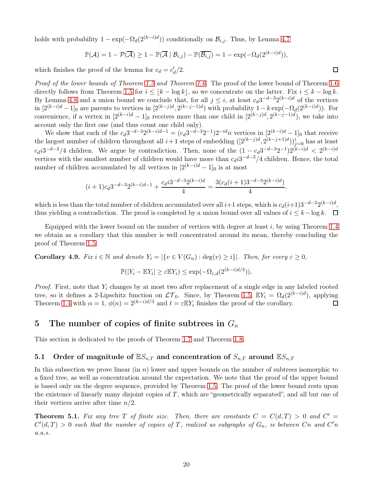holds with probability  $1 - \exp(-\Omega_d(2^{(k-i)d}))$  conditionally on  $\mathcal{B}_{i,j}$ . Thus, by Lemma [4.7](#page-18-0)

$$
\mathbb{P}(\mathcal{A}) = 1 - \mathcal{P}(\overline{\mathcal{A}}) \ge 1 - \mathbb{P}(\overline{\mathcal{A}} \mid \mathcal{B}_{i,j}) - \mathbb{P}(\overline{\mathcal{B}_{i,j}}) = 1 - \exp(-\Omega_d(2^{(k-i)d})),
$$

which finishes the proof of the lemma for  $c_d = c'_d/2$ .

Proof of the lower bounds of Theorem [1.5](#page-3-1) and Theorem [1.6.](#page-3-3) The proof of the lower bound of Theorem [1.6](#page-3-3) directly follows from Theorem [1.5](#page-3-1) for  $i \leq |k - \log k|$ , so we concentrate on the latter. Fix  $i \leq k - \log k$ . By Lemma [4.8](#page-18-1) and a union bound we conclude that, for all  $j \leq i$ , at least  $c_d 3^{-d-3} 2^{(k-i)d}$  of the vertices in  $[2^{(k-i)d}-1]_0$  are parents to vertices in  $[2^{(k-j)d}, 2^{(k-j-1)d})$  with probability  $1-k \exp(-\Omega_d(2^{(k-i)d}))$ . For convenience, if a vertex in  $[2^{(k-i)d} - 1]_0$  receives more than one child in  $[2^{(k-j)d}, 2^{(k-j-1)d})$ , we take into account only the first one (and thus count one child only).

We show that each of the  $c_d 3^{-d-3} 2^{(k-i)d-1} = (c_d 3^{-d-3} 2^{-1}) 2^{-id} n$  vertices in  $[2^{(k-i)d} - 1]_0$  that receive the largest number of children throughout all  $i+1$  steps of embedding  $([2^{(k-j)d}, 2^{(k-j+1)d}))_{j=0}^i$  has at least  $c_d i3^{-d-3}/4$  children. We argue by contradiction. Then, none of the  $(1 - c_d 3^{-d-3} 2^{-1})2^{(k-i)d} < 2^{(k-i)d}$ vertices with the smallest number of children would have more than  $c_d i3^{-d-3}/4$  children. Hence, the total number of children accumulated by all vertices in  $[2^{(k-i)d} - 1]_0$  is at most

$$
(i+1)c_d 3^{-d-3}2^{(k-i)d-1} + \frac{c_d i 3^{-d-3}2^{(k-i)d}}{4} = \frac{3(c_d (i+1)3^{-d-3}2^{(k-i)d})}{4}.
$$

which is less than the total number of children accumulated over all  $i+1$  steps, which is  $c_d(i+1)3^{-d-3}2^{(k-i)d}$ , thus yielding a contradiction. The proof is completed by a union bound over all values of  $i \leq k - \log k$ .  $\Box$ 

Equipped with the lower bound on the number of vertices with degree at least i, by using Theorem [1.4](#page-3-0) we obtain as a corollary that this number is well concentrated around its mean, thereby concluding the proof of Theorem [1.5:](#page-3-1)

**Corollary 4.9.** Fix  $i \in \mathbb{N}$  and denote  $Y_i = |\{v \in V(G_n) : \text{deg}(v) \geq i\}|$ . Then, for every  $\varepsilon \geq 0$ ,

$$
\mathbb{P}(|Y_i - \mathbb{E}Y_i| \ge \varepsilon \mathbb{E}Y_i) \le \exp(-\Omega_{\varepsilon,d}(2^{(k-i)d/3})).
$$

*Proof.* First, note that  $Y_i$  changes by at most two after replacement of a single edge in any labeled rooted tree, so it defines a 2-Lipschitz function on  $\mathcal{LT}_0$ . Since, by Theorem [1.5,](#page-3-1)  $\mathbb{E}Y_i = \Omega_d(2^{(k-i)d})$ , applying Theorem [1.4](#page-3-0) with  $\alpha = 1$ ,  $\phi(n) = 2^{(k-i)d/3}$  and  $t = \varepsilon \mathbb{E}Y_i$  finishes the proof of the corollary.  $\Box$ 

### <span id="page-19-0"></span>5 The number of copies of finite subtrees in  $G_n$

This section is dedicated to the proofs of Theorem [1.7](#page-3-4) and Theorem [1.8.](#page-3-2)

## 5.1 Order of magnitude of  $\mathbb{E}S_{n,T}$  and concentration of  $S_{n,T}$  around  $\mathbb{E}S_{n,T}$

In this subsection we prove linear (in  $n$ ) lower and upper bounds on the number of subtrees isomorphic to a fixed tree, as well as concentration around the expectation. We note that the proof of the upper bound is based only on the degree sequence, provided by Theorem [1.5.](#page-3-1) The proof of the lower bound rests upon the existence of linearly many disjoint copies of  $T$ , which are "geometrically separated", and all but one of their vertices arrive after time  $n/2$ .

<span id="page-19-1"></span>**Theorem 5.1.** Fix any tree T of finite size. Then, there are constants  $C = C(d,T) > 0$  and  $C' = C(d,T)$  $C'(d,T) > 0$  such that the number of copies of T, realized as subgraphs of  $G_n$ , is between  $Cn$  and  $C'n$ a.a.s.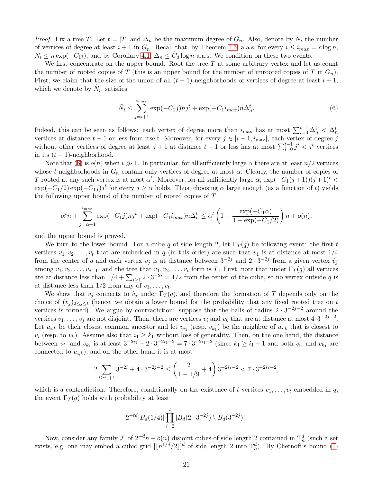*Proof.* Fix a tree T. Let  $t = |T|$  and  $\Delta_n$  be the maximum degree of  $G_n$ . Also, denote by  $N_i$  the number of vertices of degree at least  $i+1$  in  $G_n$ . Recall that, by Theorem [1.5,](#page-3-1) a.a.s. for every  $i \leq i_{max} = c \log n$ ,  $N_i \leq n \exp(-C_1 i)$ , and by Corollary [4.1,](#page-13-1)  $\Delta_n \leq \tilde{C}_d \log n$  a.a.s. We condition on these two events.

We first concentrate on the upper bound. Root the tree  $T$  at some arbitrary vertex and let us count the number of rooted copies of T (this is an upper bound for the number of unrooted copies of T in  $G_n$ ). First, we claim that the size of the union of all  $(t-1)$ -neighborhoods of vertices of degree at least  $i+1$ , which we denote by  $\tilde{N}_i$ , satisfies

<span id="page-20-0"></span>
$$
\tilde{N}_i \le \sum_{j=i+1}^{i_{max}} \exp(-C_1 j) n j^t + \exp(-C_1 i_{max}) n \Delta_n^t. \tag{6}
$$

Indeed, this can be seen as follows: each vertex of degree more than  $i_{\max}$  has at most  $\sum_{i=0}^{t-1} \Delta_n^i < \Delta_n^t$ vertices at distance  $t-1$  or less from itself. Moreover, for every  $j \in [i+1, i_{\text{max}}]$ , each vertex of degree j without other vertices of degree at least  $j + 1$  at distance  $t - 1$  or less has at most  $\sum_{i=0}^{t-1} j^i < j^t$  vertices in its  $(t-1)$ -neighborhood.

Note that [\(6\)](#page-20-0) is  $o(n)$  when  $i \gg 1$ . In particular, for all sufficiently large  $\alpha$  there are at least  $n/2$  vertices whose t-neighborhoods in  $G_n$  contain only vertices of degree at most  $\alpha$ . Clearly, the number of copies of T rooted at any such vertex is at most  $\alpha^t$ . Moreover, for all sufficiently large  $\alpha$ ,  $\exp(-C_1(j+1))(j+1)^t$  $\exp(-C_1/2)\exp(-C_1j)j^t$  for every  $j \ge \alpha$  holds. Thus, choosing  $\alpha$  large enough (as a function of t) yields the following upper bound of the number of rooted copies of  $T$ :

$$
\alpha^t n + \sum_{j=\alpha+1}^{i_{max}} \exp(-C_1 j) n j^t + \exp(-C_1 i_{max}) n \Delta_n^t \le \alpha^t \left(1 + \frac{\exp(-C_1 \alpha)}{1 - \exp(-C_1/2)}\right) n + o(n),
$$

and the upper bound is proved.

We turn to the lower bound. For a cube q of side length 2, let  $\Gamma_T(q)$  be following event: the first t vertices  $v_1, v_2, \ldots, v_t$  that are embedded in q (in this order) are such that  $v_1$  is at distance at most  $1/4$ from the center of q and each vertex  $v_j$  is at distance between  $3^{-2j}$  and  $2 \cdot 3^{-2j}$  from a given vertex  $\hat{v}_j$ among  $v_1, v_2, \ldots, v_{j-1}$ , and the tree that  $v_1, v_2, \ldots, v_t$  form is T. First, note that under  $\Gamma_T(q)$  all vertices are at distance less than  $1/4 + \sum_{i\geq 1} 2 \cdot 3^{-2i} = 1/2$  from the center of the cube, so no vertex outside q is at distance less than  $1/2$  from any of  $v_1, \ldots, v_t$ .

We show that  $v_j$  connects to  $\hat{v}_j$  under  $\Gamma_T(q)$ , and therefore the formation of T depends only on the choice of  $(\hat{v}_i)_{i\leq i\leq t}$  (hence, we obtain a lower bound for the probability that any fixed rooted tree on t vertices is formed). We argue by contradiction: suppose that the balls of radius  $2 \cdot 3^{-2j-2}$  around the vertices  $v_1, \ldots, v_j$  are not disjoint. Then, there are vertices  $v_i$  and  $v_k$  that are at distance at most  $4 \cdot 3^{-2j-2}$ . Let  $u_{i,k}$  be their closest common ancestor and let  $v_{i_1}$  (resp.  $v_{k_1}$ ) be the neighbor of  $u_{i,k}$  that is closest to  $v_i$  (resp. to  $v_k$ ). Assume also that  $i_1 \geq k_1$  without loss of generality. Then, on the one hand, the distance between  $v_{i_1}$  and  $v_{k_1}$  is at least  $3^{-2i_1} - 2 \cdot 3^{-2i_1 - 2} = 7 \cdot 3^{-2i_1 - 2}$  (since  $k_1 \ge i_1 + 1$  and both  $v_{i_1}$  and  $v_{k_1}$  are connected to  $u_{i,k}$ , and on the other hand it is at most

$$
2\sum_{i\geq i_1+1}3^{-2i}+4\cdot 3^{-2j-2}\leq \left(\frac{2}{1-1/9}+4\right)3^{-2i_1-2}< 7\cdot 3^{-2i_1-2},
$$

which is a contradiction. Therefore, conditionally on the existence of t vertices  $v_1, \ldots, v_t$  embedded in q, the event  $\Gamma_T(q)$  holds with probability at least

$$
2^{-td}|B_d(1/4)|\prod_{i=2}^t|B_d(2\cdot3^{-2j})\setminus B_d(3^{-2j})|.
$$

Now, consider any family  $\mathcal F$  of  $2^{-d}n + o(n)$  disjoint cubes of side length 2 contained in  $\mathbb T_n^d$  (such a set exists, e.g. one may embed a cubic grid  $\lfloor (n^{1/d}/2) \rfloor^d$  of side length 2 into  $\mathbb{T}_n^d$ ). By Chernoff's bound [\(1\)](#page-8-3)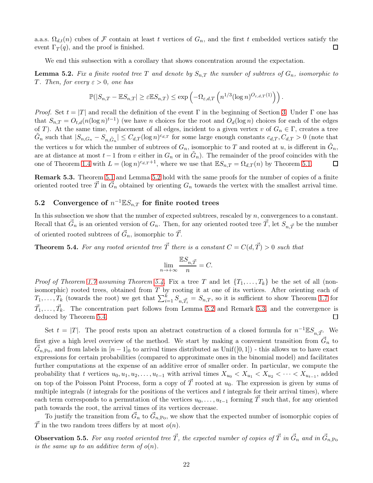a.a.s.  $\Omega_{d,t}(n)$  cubes of F contain at least t vertices of  $G_n$ , and the first t embedded vertices satisfy the event  $\Gamma_T(q)$ , and the proof is finished. event  $\Gamma_T(q)$ , and the proof is finished.

We end this subsection with a corollary that shows concentration around the expectation.

<span id="page-21-0"></span>**Lemma 5.2.** Fix a finite rooted tree T and denote by  $S_{n,T}$  the number of subtrees of  $G_n$ , isomorphic to T. Then, for every  $\varepsilon > 0$ , one has

$$
\mathbb{P}(|S_{n,T} - \mathbb{E}S_{n,T}| \geq \varepsilon \mathbb{E}S_{n,T}) \leq \exp\left(-\Omega_{\varepsilon,d,T}\left(n^{1/3}(\log n)^{O_{\varepsilon,d,T}(1)}\right)\right).
$$

*Proof.* Set  $t = |T|$  and recall the definition of the event Γ in the beginning of Section [3.](#page-11-0) Under Γ one has that  $S_{n,T} = O_{t,d}(n(\log n)^{t-1})$  (we have n choices for the root and  $O_d(\log n)$  choices for each of the edges of T). At the same time, replacement of all edges, incident to a given vertex v of  $G_n \in \Gamma$ , creates a tree  $\tilde{G}_n$  such that  $|S_{n,G_n} - S_{n,\tilde{G}_n}| \leq C_{d,T} (\log n)^{c_{d,T}}$  for some large enough constants  $c_{d,T}, C_{d,T} > 0$  (note that the vertices u for which the number of subtrees of  $G_n$ , isomorphic to T and rooted at u, is different in  $\tilde{G}_n$ , are at distance at most  $t-1$  from v either in  $G_n$  or in  $\tilde{G}_n$ ). The remainder of the proof coincides with the one of Theorem [1.4](#page-3-0) with  $L = (\log n)^{c_{d,T}+1}$ , where we use that  $\mathbb{E}S_{n,T} = \Omega_{d,T}(n)$  by Theorem [5.1.](#page-19-1)  $\Box$ 

<span id="page-21-2"></span>Remark 5.3. Theorem [5.1](#page-19-1) and Lemma [5.2](#page-21-0) hold with the same proofs for the number of copies of a finite oriented rooted tree  $\vec{T}$  in  $\vec{G}_n$  obtained by orienting  $G_n$  towards the vertex with the smallest arrival time.

# 5.2 Convergence of  $n^{-1} \mathbb{E} S_{n,T}$  for finite rooted trees

In this subsection we show that the number of expected subtrees, rescaled by  $n$ , convergences to a constant. Recall that  $\vec{G}_n$  is an oriented version of  $G_n$ . Then, for any oriented rooted tree  $\vec{T}$ , let  $S_{n,\vec{T}}$  be the number of oriented rooted subtrees of  $\vec{G}_n$ , isomorphic to  $\vec{T}$ .

<span id="page-21-1"></span>**Theorem 5.4.** For any rooted oriented tree  $\vec{T}$  there is a constant  $C = C(d, \vec{T}) > 0$  such that

$$
\lim_{n \to +\infty} \frac{\mathbb{E}S_{n,\vec{T}}}{n} = C.
$$

*Proof of Theorem [1.7](#page-3-4) assuming Theorem [5.4.](#page-21-1)* Fix a tree T and let  $\{T_1, \ldots, T_k\}$  be the set of all (nonisomorphic) rooted trees, obtained from T by rooting it at one of its vertices. After orienting each of  $T_1, \ldots, T_k$  (towards the root) we get that  $\sum_{i=1}^k S_{n,\vec{T}_i} = S_{n,T}$ , so it is sufficient to show Theorem [1.7](#page-3-4) for  $\vec{T}_1, \ldots, \vec{T}_k$ . The concentration part follows from Lemma [5.2](#page-21-0) and Remark [5.3,](#page-21-2) and the convergence is deduced by Theorem [5.4.](#page-21-1)  $\Box$ 

Set  $t = |T|$ . The proof rests upon an abstract construction of a closed formula for  $n^{-1} \mathbb{E}S_{n,\vec{T}}$ . We first give a high level overview of the method. We start by making a convenient transition from  $\vec{G}_n$  to  $\vec{G}_{n,\text{Po}}$ , and from labels in  $[n-1]_0$  to arrival times distributed as Unif([0,1]) - this allows us to have exact expressions for certain probabilities (compared to approximate ones in the binomial model) and facilitates further computations at the expense of an additive error of smaller order. In particular, we compute the probability that t vertices  $u_0, u_1, u_2, \ldots, u_{t-1}$  with arrival times  $X_{u_0} < X_{u_1} < X_{u_2} < \cdots < X_{u_{t-1}}$ , added on top of the Poisson Point Process, form a copy of  $\vec{T}$  rooted at  $u_0$ . The expression is given by sums of multiple integrals ( $t$  integrals for the positions of the vertices and  $t$  integrals for their arrival times), where each term corresponds to a permutation of the vertices  $u_0, \ldots, u_{t-1}$  forming  $\overline{T}$  such that, for any oriented path towards the root, the arrival times of its vertices decrease.

To justify the transition from  $\vec{G}_n$  to  $\vec{G}_{n,\text{Po}}$ , we show that the expected number of isomorphic copies of  $\overline{T}$  in the two random trees differs by at most  $o(n)$ .

<span id="page-21-3"></span>**Observation 5.5.** For any rooted oriented tree  $\vec{T}$ , the expected number of copies of  $\vec{T}$  in  $\vec{G}_n$  and in  $\vec{G}_{n,\text{Po}}$ is the same up to an additive term of  $o(n)$ .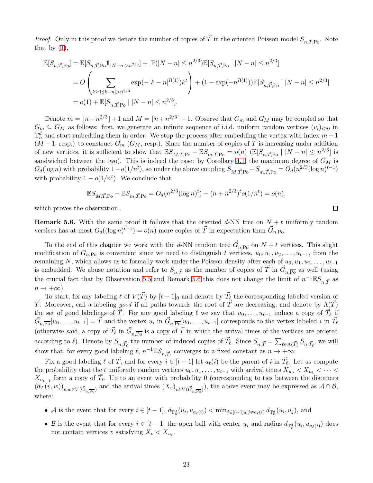*Proof.* Only in this proof we denote the number of copies of  $\vec{T}$  in the oriented Poisson model  $S_{n,\vec{T},\text{Po}}$ . Note that by  $(1)$ ,

$$
\mathbb{E}[S_{n,\vec{T},\text{Po}}] = \mathbb{E}[S_{n,\vec{T},\text{Po}}1_{|N-n|>n^{2/3}}] + \mathbb{P}(|N-n| \leq n^{2/3})\mathbb{E}[S_{n,\vec{T},\text{Po}} | |N-n| \leq n^{2/3}]
$$
  
=  $O\left(\sum_{k\geq 1; |k-n|>n^{2/3}} \exp(-|k-n|^{\Omega(1)})k^t\right) + (1 - \exp(-n^{\Omega(1)}))\mathbb{E}[S_{n,\vec{T},\text{Po}} | |N-n| \leq n^{2/3}]$   
=  $o(1) + \mathbb{E}[S_{n,\vec{T},\text{Po}} | |N-n| \leq n^{2/3}].$ 

Denote  $m = \lfloor n - n^{2/3} \rfloor + 1$  and  $M = \lceil n + n^{2/3} \rceil - 1$ . Observe that  $G_m$  and  $G_M$  may be coupled so that  $G_m \subseteq G_M$  as follows: first, we generate an infinite sequence of i.i.d. uniform random vertices  $(v_i)_{i>0}$  in  $\mathbb{T}_n^d$  and start embedding them in order. We stop the process after embedding the vertex with index  $m-1$  $(M-1, \text{resp.})$  to construct  $G_m$   $(G_M, \text{resp.})$ . Since the number of copies of T is increasing under addition of new vertices, it is sufficient to show that  $\mathbb{E}S_{M,\vec{T},\text{Po}} - \mathbb{E}S_{m,\vec{T},\text{Po}} = o(n)$  ( $\mathbb{E}[S_{n,\vec{T},\text{Po}} \mid |N-n| \leq n^{2/3}]$  is sandwiched between the two). This is indeed the case: by Corollary [4.1,](#page-13-1) the maximum degree of  $G_M$  is  $O_d(\log n)$  with probability  $1-o(1/n^t)$ , so under the above coupling  $S_{M,\vec{T},\text{Po}} - S_{m,\vec{T},\text{Po}} = O_d(n^{2/3}(\log n)^{t-1})$ with probability  $1 - o(1/n<sup>t</sup>)$ . We conclude that

$$
\mathbb{E}S_{M,\vec{T},\text{Po}} - \mathbb{E}S_{m,\vec{T},\text{Po}} = O_d(n^{2/3}(\log n)^t) + (n + n^{2/3})^t o(1/n^t) = o(n),
$$

which proves the observation.

<span id="page-22-0"></span>**Remark 5.6.** With the same proof it follows that the oriented d-NN tree on  $N + t$  uniformly random vertices has at most  $O_d((\log n)^{t-1}) = o(n)$  more copies of  $\vec{T}$  in expectation than  $\vec{G}_{n,\text{Po}}$ .

To the end of this chapter we work with the d-NN random tree  $\vec{G}_{n,\overline{P_{0}}}$  on  $N+t$  vertices. This slight modification of  $G_{n,P_0}$  is convenient since we need to distinguish t vertices,  $u_0, u_1, u_2, \ldots, u_{t-1}$ , from the remaining N, which allows us to formally work under the Poisson density after each of  $u_0, u_1, u_2, \ldots, u_{t-1}$ is embedded. We abuse notation and refer to  $S_{n,\vec{T}}$  as the number of copies of  $\vec{T}$  in  $\vec{G}_{n,\overline{P_{0}}}$  as well (using the crucial fact that by Observation [5.5](#page-21-3) and Remark [5.6](#page-22-0) this does not change the limit of  $n^{-1} \mathbb{E} S_{n,\vec{T}}$  as  $n \to +\infty$ ).

To start, fix any labeling  $\ell$  of  $V(\vec{T})$  by  $[t-1]_0$  and denote by  $\vec{T}_{\ell}$  the corresponding labeled version of T. Moreover, call a labeling good if all paths towards the root of T are decreasing, and denote by  $\Lambda(\vec{T})$ the set of good labelings of  $\vec{T}$ . For any good labeling  $\ell$  we say that  $u_0, \ldots, u_{t-1}$  induce a copy of  $\vec{T}_{\ell}$  if  $\vec{G}_{n,\overline{P0}}[u_0,\ldots,u_{t-1}] = \vec{T}$  and the vertex  $u_i$  in  $\vec{G}_{n,\overline{P0}}[u_0,\ldots,u_{t-1}]$  corresponds to the vertex labeled i in  $\vec{T}_{\ell}$ (otherwise said, a copy of  $\vec{T}_{\ell}$  in  $\vec{G}_{n,\overline{P_o}}$  is a copy of  $\vec{T}$  in which the arrival times of the vertices are ordered according to  $\ell$ ). Denote by  $S_{n, \vec{T}_{\ell}}$  the number of induced copies of  $\vec{T}_{\ell}$ . Since  $S_{n, \vec{T}} = \sum_{\ell \in \Lambda(\vec{T})} S_{n, \vec{T}_{\ell}}$ , we will show that, for every good labeling  $\ell$ ,  $n^{-1} \mathbb{E} S_{n, \vec{T}_{\ell}}$  converges to a fixed constant as  $n \to +\infty$ .

Fix a good labeling  $\ell$  of  $\vec{T}$ , and for every  $i \in [t-1]$  let  $a_{\ell}(i)$  be the parent of i in  $\vec{T}_{\ell}$ . Let us compute the probability that the t uniformly random vertices  $u_0, u_1, \ldots, u_{t-1}$  with arrival times  $X_{u_0} < X_{u_1} < \cdots <$  $X_{u_{t-1}}$  form a copy of  $\vec{T}_{\ell}$ . Up to an event with probability 0 (corresponding to ties between the distances  $(d_T(v,w))_{v,w\in V(\vec{G}_{n,\overline{P_o}})}$  and the arrival times  $(X_v)_{v\in V(\vec{G}_{n,\overline{P_o}})}$ , the above event may be expressed as  $\mathcal{A}\cap\mathcal{B}$ , where:

- A is the event that for every  $i \in [t-1]$ ,  $d_{\mathbb{T}_n^d}(u_i, u_{a_\ell(i)}) < \min_{j \in [i-1]_0, j \neq a_\ell(i)} d_{\mathbb{T}_n^d}(u_i, u_j)$ , and
- B is the event that for every  $i \in [t-1]$  the open ball with center  $u_i$  and radius  $d_{\mathbb{T}_n^d}(u_i, u_{a_\ell(i)})$  does not contain vertices v satisfying  $X_v < X_{u_i}$ .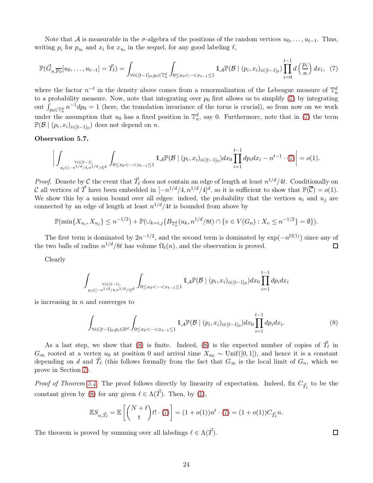Note that A is measurable in the  $\sigma$ -algebra of the positions of the random vertices  $u_0, \ldots, u_{t-1}$ . Thus, writing  $p_i$  for  $p_{u_i}$  and  $x_i$  for  $x_{u_i}$  in the sequel, for any good labeling  $\ell$ ,

<span id="page-23-0"></span>
$$
\mathbb{P}(\vec{G}_{n,\overline{P_0}}[u_0,\ldots,u_{t-1}] = \vec{T_{\ell}}) = \int_{\forall i \in [t-1]_0, p_i \in \mathbb{T}_n^d} \int_{0 \le x_0 < \cdots < x_{t-1} \le 1} 1 \mathcal{A} \mathbb{P}(\mathcal{B} \mid (p_i, x_i)_{i \in [t-1]_0}) \prod_{i=0}^{t-1} d\left(\frac{p_i}{n}\right) dx_i, \tag{7}
$$

where the factor  $n^{-t}$  in the density above comes from a renormalization of the Lebesgue measure of  $\mathbb{T}_n^d$ to a probability measure. Now, note that integrating over  $p_0$  first allows us to simplify [\(7\)](#page-23-0) by integrating out  $\int_{p_0 \in \mathbb{T}_n^d} n^{-1} dp_0 = 1$  (here, the translation invariance of the torus is crucial), so from now on we work under the assumption that  $u_0$  has a fixed position in  $\mathbb{T}_n^d$ , say 0. Furthermore, note that in [\(7\)](#page-23-0) the term  $\mathbb{P}(\mathcal{B} \mid (p_i, x_i)_{i \in [t-1]_0})$  does not depend on n.

#### Observation 5.7.

$$
\bigg|\int_{p_i \in [t-1] \atop p_i \in [-n^{1/d}/4,n^{1/d}/4]^d} \int_{0 \le x_0 < \cdots < x_{t-1} \le 1} 1\!\!1_{\mathcal{A}} \mathbb{P}(\mathcal{B} \mid (p_i, x_i)_{i \in [t-1] \atop 0}) dx_0 \prod_{i=1}^{t-1} dp_i dx_i - n^{t-1} \cdot (7) \bigg| = o(1).
$$

*Proof.* Denote by C the event that  $\vec{T}_{\ell}$  does not contain an edge of length at least  $n^{1/d}/4t$ . Conditionally on C all vertices of  $\vec{T}$  have been embedded in  $[-n^{1/d}/4, n^{1/d}/4]^d$ , so it is sufficient to show that  $\mathbb{P}(\vec{C}) = o(1)$ . We show this by a union bound over all edges: indeed, the probability that the vertices  $u_i$  and  $u_j$  are connected by an edge of length at least  $n^{1/d}/4t$  is bounded from above by

$$
\mathbb{P}(\min\{X_{u_i}, X_{u_j}\} \le n^{-1/2}) + \mathbb{P}(\cup_{k=i,j}\{B_{\mathbb{T}_n^d}(u_k, n^{1/d}/8t) \cap \{v \in V(G_n) : X_v \le n^{-1/2}\} = \emptyset\}).
$$

The first term is dominated by  $2n^{-1/2}$ , and the second term is dominated by  $\exp(-n^{\Omega(1)})$  since any of the two balls of radius  $n^{1/d}/8t$  has volume  $\Omega_t(n)$ , and the observation is proved.  $\Box$ 

Clearly

$$
\int_{p_i \in [-n^{1/d}/4, n^{1/d}/4]^d} \int_{0 \le x_0 < \dots < x_{t-1} \le 1} 1_{\mathcal{A}} \mathbb{P}(\mathcal{B} \mid (p_i, x_i)_{i \in [t-1]_0}) dx_0 \prod_{i=1}^{t-1} dp_i dx_i
$$

is increasing in  $n$  and converges to

$$
\int_{\forall i \in [t-1]_0, p_i \in \mathbb{R}^d} \int_{0 \le x_0 < \dots < x_{t-1} \le 1} \mathbb{1}_{\mathcal{A}} \mathbb{P}(\mathcal{B} \mid (p_i, x_i)_{i \in [t-1]_0}) dx_0 \prod_{i=1}^{t-1} dp_i dx_i. \tag{8}
$$

<span id="page-23-1"></span> $\Box$ 

As a last step, we show that [\(8\)](#page-23-1) is finite. Indeed, [\(8\)](#page-23-1) is the expected number of copies of  $\vec{T}_{\ell}$  in  $G_{\infty}$  rooted at a vertex  $u_0$  at position 0 and arrival time  $X_{u_0} \sim \text{Unif}([0,1])$ , and hence it is a constant depending on d and  $\vec{T}_{\ell}$  (this follows formally from the fact that  $G_{\infty}$  is the local limit of  $G_n$ , which we prove in Section [7\)](#page-37-0).

*Proof of Theorem [5.4.](#page-21-1)* The proof follows directly by linearity of expectation. Indeed, fix  $C_{\vec{T}_{\ell}}$  to be the constant given by [\(8\)](#page-23-1) for any given  $\ell \in \Lambda(\vec{T})$ . Then, by [\(1\)](#page-8-3),

$$
\mathbb{E}S_{n,\vec{T}_{\ell}}=\mathbb{E}\left[\binom{N+t}{t}t!\cdot(7)\right]=(1+o(1))n^t\cdot(7)=(1+o(1))C_{\vec{T}_{\ell}}n.
$$

The theorem is proved by summing over all labelings  $\ell \in \Lambda(\overrightarrow{T})$ .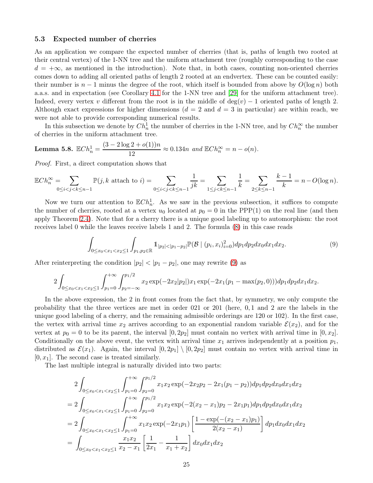#### <span id="page-24-0"></span>5.3 Expected number of cherries

As an application we compare the expected number of cherries (that is, paths of length two rooted at their central vertex) of the 1-NN tree and the uniform attachment tree (roughly corresponding to the case  $d = +\infty$ , as mentioned in the introduction). Note that, in both cases, counting non-oriented cherries comes down to adding all oriented paths of length 2 rooted at an endvertex. These can be counted easily: their number is  $n-1$  minus the degree of the root, which itself is bounded from above by  $O(\log n)$  both a.a.s. and in expectation (see Corollary [4.1](#page-13-1) for the 1-NN tree and [\[29\]](#page-45-17) for the uniform attachment tree). Indeed, every vertex v different from the root is in the middle of deg(v) – 1 oriented paths of length 2. Although exact expressions for higher dimensions  $(d = 2 \text{ and } d = 3 \text{ in particular})$  are within reach, we were not able to provide corresponding numerical results.

In this subsection we denote by  $Ch_n^1$  the number of cherries in the 1-NN tree, and by  $Ch_n^{\infty}$  the number of cherries in the uniform attachment tree.

**Lemma 5.8.** 
$$
\mathbb{E}Ch_n^1 = \frac{(3-2\log 2 + o(1))n}{12} \approx 0.134n
$$
 and  $\mathbb{E}Ch_n^{\infty} = n - o(n)$ .

Proof. First, a direct computation shows that

$$
\mathbb{E}Ch_n^{\infty} = \sum_{0 \le i < j < k \le n-1} \mathbb{P}(j,k \text{ attach to } i) = \sum_{0 \le i < j < k \le n-1} \frac{1}{jk} = \sum_{1 \le j < k \le n-1} \frac{1}{k} = \sum_{2 \le k \le n-1} \frac{k-1}{k} = n - O(\log n).
$$

Now we turn our attention to  $\mathbb{E}Ch_n^1$ . As we saw in the previous subsection, it suffices to compute the number of cherries, rooted at a vertex  $u_0$  located at  $p_0 = 0$  in the PPP(1) on the real line (and then apply Theorem [2.4\)](#page-10-2). Note that for a cherry there is a unique good labeling up to automorphism: the root receives label 0 while the leaves receive labels 1 and 2. The formula [\(8\)](#page-23-1) in this case reads

<span id="page-24-1"></span>
$$
\int_{0 \le x_0 < x_1 < x_2 \le 1} \int_{p_1, p_2 \in \mathbb{R}} 1_{|p_2| < |p_1 - p_2|} \mathbb{P}(\mathcal{B} \mid (p_i, x_i)_{i=0}^2) dp_1 dp_2 dx_0 dx_1 dx_2. \tag{9}
$$

After reinterpreting the condition  $|p_2| < |p_1 - p_2|$ , one may rewrite [\(9\)](#page-24-1) as

$$
2\int_{0\leq x_0
$$

In the above expression, the 2 in front comes from the fact that, by symmetry, we only compute the probability that the three vertices are met in order 021 or 201 (here, 0, 1 and 2 are the labels in the unique good labeling of a cherry, and the remaining admissible orderings are 120 or 102). In the first case, the vertex with arrival time  $x_2$  arrives according to an exponential random variable  $\mathcal{E}(x_2)$ , and for the vertex at  $p_0 = 0$  to be its parent, the interval  $[0, 2p_2]$  must contain no vertex with arrival time in  $[0, x_2]$ . Conditionally on the above event, the vertex with arrival time  $x_1$  arrives independently at a position  $p_1$ , distributed as  $\mathcal{E}(x_1)$ . Again, the interval  $[0, 2p_1] \setminus [0, 2p_2]$  must contain no vertex with arrival time in  $[0, x_1]$ . The second case is treated similarly.

The last multiple integral is naturally divided into two parts:

$$
2\int_{0 \le x_0 < x_1 < x_2 \le 1} \int_{p_1=0}^{+\infty} \int_{p_2=0}^{p_1/2} x_1 x_2 \exp(-2x_2 p_2 - 2x_1 (p_1 - p_2)) dp_1 dp_2 dx_0 dx_1 dx_2
$$
\n
$$
= 2\int_{0 \le x_0 < x_1 < x_2 \le 1} \int_{p_1=0}^{+\infty} \int_{p_2=0}^{p_1/2} x_1 x_2 \exp(-2(x_2 - x_1) p_2 - 2x_1 p_1) dp_1 dp_2 dx_0 dx_1 dx_2
$$
\n
$$
= 2\int_{0 \le x_0 < x_1 < x_2 \le 1} \int_{p_1=0}^{+\infty} x_1 x_2 \exp(-2x_1 p_1) \left[ \frac{1 - \exp(-(x_2 - x_1) p_1)}{2(x_2 - x_1)} \right] dp_1 dx_0 dx_1 dx_2
$$
\n
$$
= \int_{0 \le x_0 < x_1 < x_2 \le 1} \frac{x_1 x_2}{x_2 - x_1} \left[ \frac{1}{2x_1} - \frac{1}{x_1 + x_2} \right] dx_0 dx_1 dx_2
$$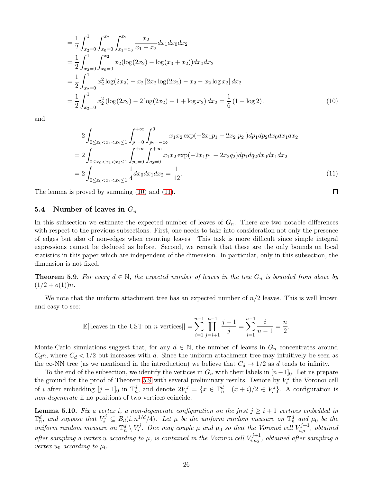$$
= \frac{1}{2} \int_{x_2=0}^{1} \int_{x_0=0}^{x_2} \int_{x_1=x_0}^{x_2} \frac{x_2}{x_1+x_2} dx_1 dx_0 dx_2
$$
  
\n
$$
= \frac{1}{2} \int_{x_2=0}^{1} \int_{x_0=0}^{x_2} x_2 (\log(2x_2) - \log(x_0 + x_2)) dx_0 dx_2
$$
  
\n
$$
= \frac{1}{2} \int_{x_2=0}^{1} x_2^2 \log(2x_2) - x_2 [2x_2 \log(2x_2) - x_2 - x_2 \log x_2] dx_2
$$
  
\n
$$
= \frac{1}{2} \int_{x_2=0}^{1} x_2^2 (\log(2x_2) - 2 \log(2x_2) + 1 + \log x_2) dx_2 = \frac{1}{6} (1 - \log 2),
$$
 (10)

and

<span id="page-25-1"></span><span id="page-25-0"></span>
$$
2\int_{0 \le x_0 < x_1 < x_2 \le 1} \int_{p_1=0}^{+\infty} \int_{p_2=-\infty}^{0} x_1 x_2 \exp(-2x_1 p_1 - 2x_2 |p_2|) dp_1 dp_2 dx_0 dx_1 dx_2
$$
\n
$$
= 2\int_{0 \le x_0 < x_1 < x_2 \le 1} \int_{p_1=0}^{+\infty} \int_{q_2=0}^{+\infty} x_1 x_2 \exp(-2x_1 p_1 - 2x_2 q_2) dp_1 dq_2 dx_0 dx_1 dx_2
$$
\n
$$
= 2\int_{0 \le x_0 < x_1 < x_2 \le 1} \frac{1}{4} dx_0 dx_1 dx_2 = \frac{1}{12}.
$$
\n
$$
(11)
$$

The lemma is proved by summing [\(10\)](#page-25-0) and [\(11\)](#page-25-1).

### 5.4 Number of leaves in  $G_n$

In this subsection we estimate the expected number of leaves of  $G_n$ . There are two notable differences with respect to the previous subsections. First, one needs to take into consideration not only the presence of edges but also of non-edges when counting leaves. This task is more difficult since simple integral expressions cannot be deduced as before. Second, we remark that these are the only bounds on local statistics in this paper which are independent of the dimension. In particular, only in this subsection, the dimension is not fixed.

<span id="page-25-2"></span>**Theorem 5.9.** For every  $d \in \mathbb{N}$ , the expected number of leaves in the tree  $G_n$  is bounded from above by  $(1/2+o(1))n$ .

We note that the uniform attachment tree has an expected number of  $n/2$  leaves. This is well known and easy to see:

$$
\mathbb{E}[|\text{leaves in the UST on } n \text{ vertices}] = \sum_{i=1}^{n-1} \prod_{j=i+1}^{n-1} \frac{j-1}{j} = \sum_{i=1}^{n-1} \frac{i}{n-1} = \frac{n}{2}.
$$

Monte-Carlo simulations suggest that, for any  $d \in \mathbb{N}$ , the number of leaves in  $G_n$  concentrates around  $C_d n$ , where  $C_d < 1/2$  but increases with d. Since the uniform attachment tree may intuitively be seen as the  $\infty$ -NN tree (as we mentioned in the introduction) we believe that  $C_d \rightarrow 1/2$  as d tends to infinity.

To the end of the subsection, we identify the vertices in  $G_n$  with their labels in  $[n-1]_0$ . Let us prepare the ground for the proof of Theorem [5.9](#page-25-2) with several preliminary results. Denote by  $V_i^j$  $i^j$  the Voronoi cell of *i* after embedding  $[j-1]_0$  in  $\mathbb{T}_n^d$ , and denote  $2V_i^j = \{x \in \mathbb{T}_n^d \mid (x+i)/2 \in V_i^j\}$  $\binom{7}{i}$ . A configuration is non-degenerate if no positions of two vertices coincide.

<span id="page-25-3"></span>**Lemma 5.10.** Fix a vertex i, a non-degenerate configuration on the first  $j \geq i+1$  vertices embedded in  $\mathbb{T}_n^d$ , and suppose that  $V_i^j \subseteq B_d(i, n^{1/d}/4)$ . Let  $\mu$  be the uniform random measure on  $\mathbb{T}_n^d$  and  $\mu_0$  be the uniform random measure on  $\mathbb{T}_n^d \setminus V_i^j$  $\mathcal{F}_i^j$ . One may couple  $\mu$  and  $\mu_0$  so that the Voronoi cell  $V_{i,\mu}^{j+1}$ , obtained after sampling a vertex u according to  $\mu$ , is contained in the Voronoi cell  $V_{i,\mu_0}^{j+1}$  $\epsilon_{i,\mu_0}^{\tau j+1}$ , obtained after sampling a vertex  $u_0$  according to  $\mu_0$ .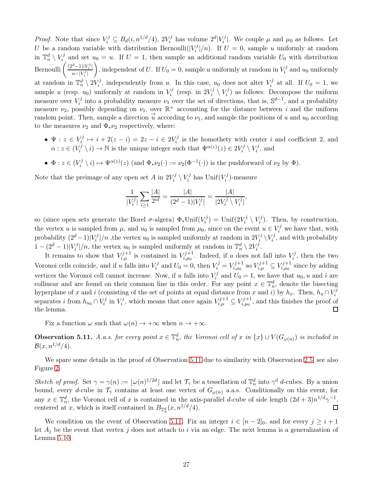*Proof.* Note that since  $V_i^j \subseteq B_d(i, n^{1/d}/4), 2V_i^j$  $\sum_{i}^{j}$  has volume  $2^d |V_i^j$  $\mathcal{L}_i^{(j)}$ . We couple  $\mu$  and  $\mu_0$  as follows. Let U be a random variable with distribution Bernoulli $(|V_i^j|)$  $\binom{7}{i}/n$ . If  $U = 0$ , sample u uniformly at random in  $\mathbb{T}_n^d \setminus V_i^j$  $u_0 = u$ . If  $U = 1$ , then sample an additional random variable  $U_0$  with distribution Bernoulli  $\left( \frac{(2^d-1)|V_i^j|}{\sum_{i=1}^n |V_i^j|} \right)$  $n-|V_i^j|$ ), independent of U. If  $U_0 = 0$ , sample u uniformly at random in  $V_i^j$  $i^j$  and  $u_0$  uniformly at random in  $\mathbb{T}_n^d \setminus 2V_i^j$  $i^{j}$ , independently from u. In this case,  $u_0$  does not alter  $V_i^j$  $i^j$  at all. If  $U_0 = 1$ , we sample u (resp.  $u_0$ ) uniformly at random in  $V_i^j$  $i^j$  (resp. in  $2V_i^j$  $\binom{rj}{i}\setminus V_i^j$  $\binom{7}{i}$  as follows: Decompose the uniform measure over  $V_i^j$ <sup>*i*</sup> into a probability measure  $\nu_1$  over the set of directions, that is,  $\mathbb{S}^{d-1}$ , and a probability measure  $\nu_2$ , possibly depending on  $\nu_1$ , over  $\mathbb{R}^+$  accounting for the distance between i and the uniform random point. Then, sample a direction  $\vec{u}$  according to  $\nu_1$ , and sample the positions of u and  $u_0$  according to the measures  $\nu_2$  and  $\Phi_*\nu_2$  respectively, where:

- $\bullet\; \Psi : z\in V_i^j$  $\chi_i^{j} \mapsto i + 2(z - i) = 2z - i \in 2V_i^{j}$  $i<sup>j</sup>$  is the homothety with center i and coefficient 2, and  $\alpha: z \in (V_i^j)$  $\mathbb{F}_i^{j} \setminus i$   $\to \mathbb{N}$  is the unique integer such that  $\Psi^{\alpha(z)}(z) \in 2V_i^{j}$  $\bar{i}^{j} \setminus V^{j}_i$  $i^j$ , and
- $\Phi: z \in (V_i^j)$  $\mathcal{I}_{i}^{j} \setminus i) \mapsto \Psi^{\alpha(z)}(z)$  (and  $\Phi_{*} \nu_2(\cdot) := \nu_2(\Phi^{-1}(\cdot))$  is the pushforward of  $\nu_2$  by  $\Phi$ ).

Note that the preimage of any open set A in  $2V_i^j$  $\bar{i}^{j} \setminus V^{j}_i$  $V_i^j$  has  $\text{Unif}(V_i^j)$  $i^{\prime\prime}$ )-measure

$$
\frac{1}{|V_i^j|} \sum_{i \ge 1} \frac{|A|}{2^{id}} = \frac{|A|}{(2^d - 1)|V_i^j|} = \frac{|A|}{|2V_i^j \setminus V_i^j|},
$$

so (since open sets generate the Borel  $\sigma$ -algera)  $\Phi_*$ Unif $(V_i^j)$  $\mathbf{U}^{(j)}_i = \text{Unif}(2V_i^j)$  $\binom{j}{i}\setminus V_i^j$  $\binom{7}{i}$ . Then, by construction, the vertex u is sampled from  $\mu$ , and  $u_0$  is sampled from  $\mu_0$ , since on the event  $u \in V_i^j$  we have that, with probability  $(2^d - 1)|V_i^j$  $\sum_{i}^{j}$  |/n , the vertex  $u_0$  is sampled uniformly at random in  $2V_i^j$  $\big\langle \begin{smallmatrix} i\ i \end{smallmatrix} \big\rangle V_i^j$  $\mathbf{z}_i^j$ , and with probability  $1 - (2^d - 1)|V_i^j|/n$ , the vertex  $u_0$  is sampled uniformly at random in  $\mathbb{T}_n^d \setminus 2V_i^j$ .  $_i$  /*n*, the vertex  $u_0$  is sampled uniformly at random in  $\mathbb{I}_n \setminus 2v_i$ 

It remains to show that  $V_{i,\mu}^{j+1}$  is contained in  $V_{i,\mu_0}^{j+1}$  $\chi_{i,\mu_0}^{j+1}$ . Indeed, if u does not fall into  $V_i^j$  $\zeta_i^j$ , then the two Voronoi cells coincide, and if u falls into  $V_i^j$  $V_i^j$  and  $U_0 = 0$ , then  $V_i^j = V_{i,\mu_0}^{j+1}$  $V_{i,\mu_0}^{j+1}$  so  $V_{i,\mu}^{j+1} \subseteq V_{i,\mu_0}^{j+1}$  $\sum_{i,\mu_0}^{\tau j+1}$  since by adding vertices the Voronoi cell cannot increase. Now, if u falls into  $V_i^j$  $U_i^j$  and  $U_0 = 1$ , we have that  $u_0, u$  and i are collinear and are found on their common line in this order. For any point  $x \in \mathbb{T}_n^d$ , denote the bisecting hyperplane of x and i (consisting of the set of points at equal distance from x and i) by  $h_x$ . Then,  $h_u \cap V_i^j$ i separates i from  $h_{u_0} \cap V_i^j$  $\int_i^j$  in  $V_i^j$  $V_i^j$ , which means that once again  $V_{i,\mu}^{j+1} \subseteq V_{i,\mu_0}^{j+1}$  $i_{i,\mu_0}^{j+1}$ , and this finishes the proof of the lemma. 口

Fix a function  $\omega$  such that  $\omega(n) \to +\infty$  when  $n \to +\infty$ .

<span id="page-26-0"></span>**Observation 5.11.** A.a.s. for every point  $x \in \mathbb{T}_n^d$ , the Voronoi cell of x in  $\{x\} \cup V(G_{\omega(n)})$  is included in  $\mathcal{B}(x, n^{1/d}/4)$ .

We spare some details in the proof of Observation [5.11](#page-26-0) due to similarity with Observation [2.5,](#page-10-1) see also Figure [2.](#page-11-1)

Sketch of proof. Set  $\gamma = \gamma(n) := \lfloor \omega(n)^{1/2d} \rfloor$  and let  $\mathcal{T}_{\gamma}$  be a tessellation of  $\mathbb{T}_n^d$  into  $\gamma^d$  d-cubes. By a union bound, every d-cube in  $\mathcal{T}_{\gamma}$  contains at least one vertex of  $G_{\omega(n)}$  a.a.s. Conditionally on this event, for any  $x \in \mathbb{T}_n^d$ , the Voronoi cell of x is contained in the axis-parallel d-cube of side length  $(2d+3)n^{1/d}\gamma^{-1}$ , centered at x, which is itself contained in  $B_{\mathbb{T}_n^d}(x, n^{1/d}/4)$ .  $\Box$ 

We condition on the event of Observation [5.11.](#page-26-0) Fix an integer  $i \in [n-2]_0$ , and for every  $j \geq i+1$ let  $A_i$  be the event that vertex j does not attach to i via an edge. The next lemma is a generalization of Lemma [5.10.](#page-25-3)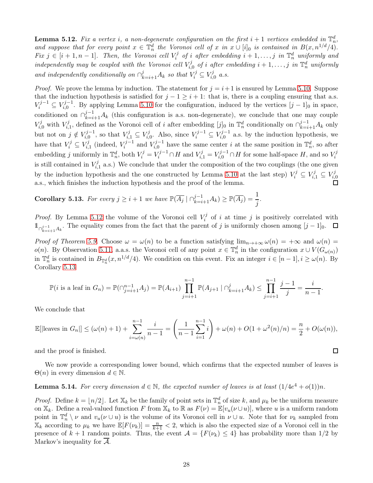<span id="page-27-0"></span>**Lemma 5.12.** Fix a vertex i, a non-degenerate configuration on the first  $i + 1$  vertices embedded in  $\mathbb{T}_n^d$ , and suppose that for every point  $x \in \mathbb{T}_n^d$  the Voronoi cell of x in  $x \cup [i]_0$  is contained in  $B(x, n^{1/d}/4)$ . *Fix*  $j \in [i + 1, n - 1]$ . Then, the Voronoi cell  $V_i^j$  $\mathbf{F}_i^j$  of i after embedding  $i+1,\ldots,j$  in  $\mathbb{T}_n^d$  uniformly and independently may be coupled with the Voronoi cell  $V_i^j$  $\mathcal{F}_{i,0}^j$  of i after embedding  $i+1,\ldots,j$  in  $\mathbb{T}_n^d$  uniformly and independently conditionally on  $\bigcap_{k=i+1}^{j} A_k$  so that  $V_i^j \subseteq V_{i,j}^j$  $\zeta_{i,0}^j$  a.s.

*Proof.* We prove the lemma by induction. The statement for  $j = i + 1$  is ensured by Lemma [5.10.](#page-25-3) Suppose that the induction hypothesis is satisfied for  $j - 1 \geq i + 1$ : that is, there is a coupling ensuring that a.s.  $V_i^{j-1} \subseteq V_{i,0}^{j-1}$ . By applying Lemma [5.10](#page-25-3) for the configuration, induced by the vertices  $[j-1]_0$  in space, conditioned on  $\bigcap_{k=i+1}^{j-1} A_k$  (this configuration is a.s. non-degenerate), we conclude that one may couple  $V_{i,0}^j$  with  $V_{i,}^j$  $\prod_{i=1}^{j}$ , defined as the Voronoi cell of i after embedding  $[j]_0$  in  $\mathbb{T}_n^d$  conditionally on  $\bigcap_{k=i+1}^{j-1} A_k$  only but not on  $j \notin V_{i,0}^{j-1}$ , so that  $V_{i,1}^j \subseteq V_{i,0}^j$  $i_{i,0}^{j}$ . Also, since  $V_i^{j-1}$  ⊆  $V_{i,0}^{j-1}$  a.s. by the induction hypothesis, we have that  $V_i^j \subseteq V_{i,j}^j$  $i_{i,1}^{j}$  (indeed,  $V_i^{j-1}$  and  $V_{i,0}^{j-1}$  have the same center i at the same position in  $\mathbb{T}_n^d$ , so after embedding j uniformly in  $\mathbb{T}_n^d$ , both  $V_i^j = V_i^{j-1} \cap H$  and  $V_{i,1}^j = V_{i,0}^{j-1} \cap H$  for some half-space H, and so  $V_i^j$ i is still contained in  $V_i^j$  $i_{i,1}^{(j)}$  a.s.) We conclude that under the composition of the two couplings (the one given by the induction hypothesis and the one constructed by Lemma [5.10](#page-25-3) at the last step)  $V_i^j \subseteq V_{i,1}^j \subseteq V_{i,1}^j$  $_{i,0}$ a.s., which finishes the induction hypothesis and the proof of the lemma.

<span id="page-27-1"></span>Corollary 5.13. For every  $j \geq i+1$  we have  $\mathbb{P}(\overline{A_j} \mid \bigcap_{k=i+1}^{j-1} A_k) \geq \mathbb{P}(\overline{A_j}) = \frac{1}{j}$ .

*Proof.* By Lemma [5.12](#page-27-0) the volume of the Voronoi cell  $V_i^j$  $\tilde{i}$  of i at time j is positively correlated with 1 $\cap_{k=i+1}^{j-1} A_k$ . The equality comes from the fact that the parent of j is uniformly chosen among  $[j-1]_0$ .

Proof of Theorem [5.9.](#page-25-2) Choose  $\omega = \omega(n)$  to be a function satisfying  $\lim_{n\to+\infty}\omega(n) = +\infty$  and  $\omega(n) =$  $o(n)$ . By Observation [5.11,](#page-26-0) a.a.s. the Voronoi cell of any point  $x \in \mathbb{T}_n^d$  in the configuration  $x \cup V(G_{\omega(n)})$ in  $\mathbb{T}_n^d$  is contained in  $B_{\mathbb{T}_n^d}(x, n^{1/d}/4)$ . We condition on this event. Fix an integer  $i \in [n-1], i \geq \omega(n)$ . By Corollary [5.13](#page-27-1)

$$
\mathbb{P}(i \text{ is a leaf in } G_n) = \mathbb{P}(\bigcap_{j=i+1}^{n-1} A_j) = \mathbb{P}(A_{i+1}) \prod_{j=i+1}^{n-1} \mathbb{P}(A_{j+1} \mid \bigcap_{k=i+1}^{j} A_k) \le \prod_{j=i+1}^{n-1} \frac{j-1}{j} = \frac{i}{n-1}.
$$

We conclude that

$$
\mathbb{E}[\text{leaves in } G_n] \le (\omega(n) + 1) + \sum_{i = \omega(n)}^{n-1} \frac{i}{n-1} = \left(\frac{1}{n-1} \sum_{i=1}^{n-1} i\right) + \omega(n) + O(1 + \omega^2(n)/n) = \frac{n}{2} + O(\omega(n)),
$$

and the proof is finished.

We now provide a corresponding lower bound, which confirms that the expected number of leaves is  $\Theta(n)$  in every dimension  $d \in \mathbb{N}$ .

 $\Box$ 

<span id="page-27-2"></span>**Lemma 5.14.** For every dimension  $d \in \mathbb{N}$ , the expected number of leaves is at least  $(1/4e^4 + o(1))n$ .

*Proof.* Define  $k = \lfloor n/2 \rfloor$ . Let  $\mathbb{X}_k$  be the family of point sets in  $\mathbb{T}_n^d$  of size k, and  $\mu_k$  be the uniform measure on  $\mathbb{X}_k$ . Define a real-valued function F from  $\mathbb{X}_k$  to  $\mathbb{R}$  as  $F(\nu) = \mathbb{E}[v_u(\nu \cup u)]$ , where u is a uniform random point in  $\mathbb{T}_n^d \setminus \nu$  and  $v_u(\nu \cup u)$  is the volume of its Voronoi cell in  $\nu \cup u$ . Note that for  $\nu_k$  sampled from  $\mathbb{X}_k$  according to  $\mu_k$  we have  $\mathbb{E}[F(\nu_k)] = \frac{n}{k+1} < 2$ , which is also the expected size of a Voronoi cell in the presence of  $k + 1$  random points. Thus, the event  $\mathcal{A} = \{F(\nu_k) \leq 4\}$  has probability more than 1/2 by Markov's inequality for  $\mathcal{A}$ .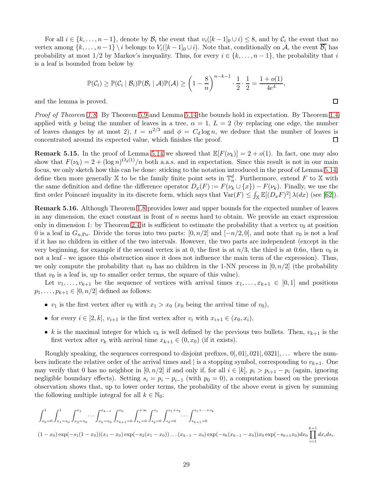For all  $i \in \{k, \ldots, n-1\}$ , denote by  $\mathcal{B}_i$  the event that  $v_i(|k-1|_0 \cup i) \leq 8$ , and by  $\mathcal{C}_i$  the event that no vertex among  $\{k, \ldots, n-1\} \backslash i$  belongs to  $V_i([k-1]_0 \cup i)$ . Note that, conditionally on A, the event  $\overline{\mathcal{B}_i}$  has probability at most  $1/2$  by Markov's inequality. Thus, for every  $i \in \{k, \ldots, n-1\}$ , the probability that i is a leaf is bounded from below by

$$
\mathbb{P}(\mathcal{C}_i) \geq \mathbb{P}(\mathcal{C}_i \mid \mathcal{B}_i) \mathbb{P}(\mathcal{B}_i \mid \mathcal{A}) \mathbb{P}(\mathcal{A}) \geq \left(1 - \frac{8}{n}\right)^{n-k-1} \cdot \frac{1}{2} \cdot \frac{1}{2} = \frac{1 + o(1)}{4e^4},
$$

and the lemma is proved.

Proof of Theorem [1.8.](#page-3-2) By Theorem [5.9](#page-25-2) and Lemma [5.14](#page-27-2) the bounds hold in expectation. By Theorem [1.4](#page-3-0) applied with g being the number of leaves in a tree,  $\alpha = 1$ ,  $L = 2$  (by replacing one edge, the number of leaves changes by at most 2),  $t = n^{2/3}$  and  $\phi = C_d \log n$ , we deduce that the number of leaves is concentrated around its expected value, which finishes the proof.  $\Box$ 

**Remark 5.15.** In the proof of Lemma [5.14](#page-27-2) we showed that  $\mathbb{E}[F(\nu_k)] = 2 + o(1)$ . In fact, one may also show that  $F(\nu_k) = 2 + (\log n)^{O_d(1)}/n$  both a.a.s. and in expectation. Since this result is not in our main focus, we only sketch how this can be done: sticking to the notation introduced in the proof of Lemma [5.14,](#page-27-2) define then more generally X to be the family finite point sets in  $\mathbb{T}_n^d$ . Furthermore, extend F to X with the same definition and define the difference operator  $D_x(F) := F(\nu_k \cup \{x\}) - F(\nu_k)$ . Finally, we use the first order Poincaré inquality in its discrete form, which says that  $\text{Var}(F) \leq \int_{\mathbb{X}} \mathbb{E}[(D_x F)^2] \lambda(dx)$  (see [\[62\]](#page-46-19)).

Remark 5.16. Although Theorem [1.8](#page-3-2) provides lower and upper bounds for the expected number of leaves in any dimension, the exact constant in front of  $n$  seems hard to obtain. We provide an exact expression only in dimension 1: by Theorem [2.4](#page-10-2) it is sufficient to estimate the probability that a vertex  $v_0$  at position 0 is a leaf in  $G_{n,P_0}$ . Divide the torus into two parts:  $[0, n/2]$  and  $[-n/2, 0]$ , and note that  $v_0$  is not a leaf if it has no children in either of the two intervals. However, the two parts are independent (except in the very beginning, for example if the second vertex is at 0, the first is at  $n/3$ , the third is at 0.6n, then  $v_0$  is not a leaf - we ignore this obstruction since it does not influence the main term of the expression). Thus, we only compute the probability that  $v_0$  has no children in the 1-NN process in  $[0, n/2]$  (the probability that  $v_0$  is a leaf is, up to smaller order terms, the square of this value).

Let  $v_1, \ldots, v_{k+1}$  be the sequence of vertices with arrival times  $x_1, \ldots, x_{k+1} \in [0,1]$  and positions  $p_1, \ldots, p_{k+1} \in [0, n/2]$  defined as follows:

- $v_1$  is the first vertex after  $v_0$  with  $x_1 > x_0$  ( $x_0$  being the arrival time of  $v_0$ ),
- for every  $i \in [2, k]$ ,  $v_{i+1}$  is the first vertex after  $v_i$  with  $x_{i+1} \in (x_0, x_i)$ ,
- k is the maximal integer for which  $v_k$  is well defined by the previous two bullets. Then,  $v_{k+1}$  is the first vertex after  $v_k$  with arrival time  $x_{k+1} \in (0, x_0)$  (if it exists).

Roughly speaking, the sequences correspond to disjoint prefixes,  $0|, 01|, 021|, 0321|, \ldots$  where the numbers indicate the relative order of the arrival times and | is a stopping symbol, corresponding to  $v_{k+1}$ . One may verify that 0 has no neighbor in  $[0, n/2]$  if and only if, for all  $i \in [k]$ ,  $p_i > p_{i+1} - p_i$  (again, ignoring negligible boundary effects). Setting  $s_i = p_i - p_{i-1}$  (with  $p_0 = 0$ ), a computation based on the previous observation shows that, up to lower order terms, the probability of the above event is given by summing the following multiple integral for all  $k \in \mathbb{N}_0$ :

$$
\int_{x_0=0}^1 \int_{x_1=x_0}^1 \int_{x_2=x_0}^{x_1} \cdots \int_{x_k=x_0}^{x_{k-1}} \int_{x_{k+1}=0}^{x_0} \int_{s_1=0}^{+\infty} \int_{s_2=0}^{s_1} \int_{s_3=0}^{s_1+s_2} \cdots \int_{s_{k+1}=0}^{s_1+\cdots+s_k}
$$
\n
$$
(1-x_0) \exp(-s_1(1-x_0))(x_1-x_0) \exp(-s_2(x_1-x_0)) \dots (x_{k-1}-x_0) \exp(-s_k(x_{k-1}-x_0))x_0 \exp(-s_{k+1}x_0) dx_0 \prod_{i=1}^{k+1} dx_i ds_i.
$$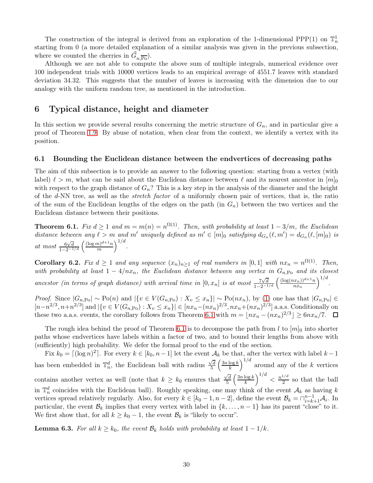The construction of the integral is derived from an exploration of the 1-dimensional PPP(1) on  $\mathbb{T}_n^1$ starting from 0 (a more detailed explanation of a similar analysis was given in the previous subsection, where we counted the cherries in  $\vec{G}_{n,\overline{PQ}}$ .

Although we are not able to compute the above sum of multiple integrals, numerical evidence over 100 independent trials with 10000 vertices leads to an empirical average of 4551.7 leaves with standard deviation 34.32. This suggests that the number of leaves is increasing with the dimension due to our analogy with the uniform random tree, as mentioned in the introduction.

# <span id="page-29-0"></span>6 Typical distance, height and diameter

In this section we provide several results concerning the metric structure of  $G_n$ , and in particular give a proof of Theorem [1.9.](#page-3-5) By abuse of notation, when clear from the context, we identify a vertex with its position.

### 6.1 Bounding the Euclidean distance between the endvertices of decreasing paths

The aim of this subsection is to provide an answer to the following question: starting from a vertex (with label)  $\ell > m$ , what can be said about the Euclidean distance between  $\ell$  and its nearest ancestor in  $[m]_0$ with respect to the graph distance of  $G_n$ ? This is a key step in the analysis of the diameter and the height of the d-NN tree, as well as the stretch factor of a uniformly chosen pair of vertices, that is, the ratio of the sum of the Euclidean lengths of the edges on the path (in  $G_n$ ) between the two vertices and the Euclidean distance between their positions.

<span id="page-29-1"></span>**Theorem 6.1.** Fix  $d \geq 1$  and  $m = m(n) = n^{\Omega(1)}$ . Then, with probability at least  $1 - 3/m$ , the Euclidean distance between any  $\ell > m$  and m' uniquely defined as  $m' \in [m]_0$  satisfying  $d_{G_n}(\ell, m') = d_{G_n}(\ell, [m]_0)$  is at most  $\frac{6\sqrt{d}}{1-2^{-1/d}} \left( \frac{(\log m)^{d+1}n}{m} \right)$  $\frac{(m)^{d+1}n}{m}\Big)^{1/d}.$ 

<span id="page-29-3"></span>**Corollary 6.2.** Fix  $d \ge 1$  and any sequence  $(x_n)_{n\ge1}$  of real numbers in  $[0,1]$  with  $nx_n = n^{\Omega(1)}$ . Then, with probability at least  $1 - 4/nx_n$ , the Euclidean distance between any vertex in  $G_{n,\text{Po}}$  and its closest ancestor (in terms of graph distance) with arrival time in  $[0, x_n]$  is at most  $\frac{7\sqrt{d}}{1-2^{-1/d}} \left( \frac{(\log(nx_n))^{d+1}n}{nx_n} \right)$  $\frac{(x_n))^{d+1}n}{nx_n}\Big)^{1/d}.$ 

Proof. Since  $|G_{n,P_0}| \sim Po(n)$  and  $|\{v \in V(G_{n,P_0}) : X_v \leq x_n\}| \sim Po(nx_n)$ , by [\(1\)](#page-8-3) one has that  $|G_{n,P_0}| \in$  $[n-n^{2/3},n+n^{2/3}]$  and  $|\{v \in V(G_{n,\text{Po}}): X_v \le x_n\}| \in [nx_n - (nx_n)^{2/3}, nx_n + (nx_n)^{2/3}]$  a.a.s. Conditionally on these two a.a.s. events, the corollary follows from Theorem [6.1](#page-29-1) with  $m = \lfloor nx_n - (nx_n)^{2/3} \rfloor \ge 6nx_n/7$ .

The rough idea behind the proof of Theorem [6.1](#page-29-1) is to decompose the path from l to  $[m]_0$  into shorter paths whose endvertices have labels within a factor of two, and to bound their lengths from above with (sufficiently) high probability. We defer the formal proof to the end of the section.

Fix  $k_0 = \lfloor (\log n)^2 \rfloor$ . For every  $k \in [k_0, n-1]$  let the event  $\mathcal{A}_k$  be that, after the vertex with label  $k-1$ has been embedded in  $\mathbb{T}_n^d$ , the Euclidean ball with radius  $\frac{\sqrt{d}}{5}$  $\sqrt{\frac{d}{5}}\left(\frac{3n\log k}{k}\right)$  $\left(\frac{\log k}{k}\right)^{1/d}$  around any of the k vertices contains another vertex as well (note that  $k \geq k_0$  ensures that  $\frac{\sqrt{d}}{5}$  $\sqrt{\frac{d}{5}}\left(\frac{3n\log k}{k}\right)$  $\left(\frac{\log k}{k}\right)^{1/d} < \frac{n^{1/d}}{2}$  $\frac{1}{2}$  so that the ball in  $\mathbb{T}_n^d$  coincides with the Euclidean ball). Roughly speaking, one may think of the event  $\mathcal{A}_k$  as having k vertices spread relatively regularly. Also, for every  $k \in [k_0 - 1, n - 2]$ , define the event  $\mathcal{B}_k = \bigcap_{i=k+1}^{n-1} A_i$ . In particular, the event  $\mathcal{B}_k$  implies that every vertex with label in  $\{k, \ldots, n-1\}$  has its parent "close" to it. We first show that, for all  $k \geq k_0 - 1$ , the event  $\mathcal{B}_k$  is "likely to occur".

<span id="page-29-2"></span>**Lemma 6.3.** For all  $k \geq k_0$ , the event  $\mathcal{B}_k$  holds with probability at least  $1 - 1/k$ .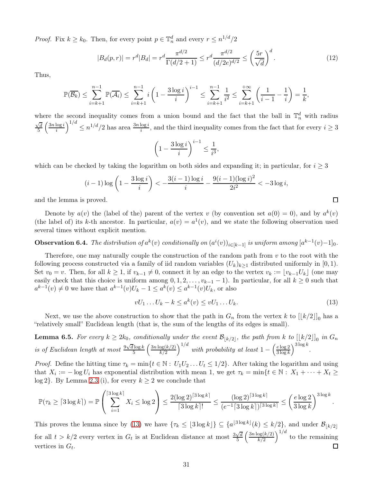*Proof.* Fix  $k \geq k_0$ . Then, for every point  $p \in \mathbb{T}_n^d$  and every  $r \leq n^{1/d}/2$ 

<span id="page-30-2"></span>
$$
|B_d(p,r)| = r^d |B_d| = r^d \frac{\pi^{d/2}}{\Gamma(d/2+1)} \le r^d \frac{\pi^{d/2}}{(d/2e)^{d/2}} \le \left(\frac{5r}{\sqrt{d}}\right)^d.
$$
 (12)

Thus,

$$
\mathbb{P}(\overline{\mathcal{B}_k}) \le \sum_{i=k+1}^{n-1} \mathbb{P}(\overline{\mathcal{A}_i}) \le \sum_{i=k+1}^{n-1} i \left(1 - \frac{3 \log i}{i} \right)^{i-1} \le \sum_{i=k+1}^{n-1} \frac{1}{i^2} \le \sum_{i=k+1}^{+\infty} \left(\frac{1}{i-1} - \frac{1}{i}\right) = \frac{1}{k},
$$

where the second inequality comes from a union bound and the fact that the ball in  $\mathbb{T}_n^d$  with radius  $\sqrt{d} \left( \frac{3n \log i}{\sqrt{d}} \right)^{1/d} \leq n^{1/d}/2$  has area  $\frac{3n \log i}{\sqrt{d}}$  and the third inequality comes from the fact tha  $\sqrt{\frac{d}{5}}\left(\frac{3n\log i}{i}\right)$  $\frac{\log i}{i}$  $\Big)^{1/d} \leq n^{1/d}/2$  has area  $\frac{3n \log i}{i}$ , and the third inequality comes from the fact that for every  $i \geq 3$ 

$$
\left(1 - \frac{3\log i}{i}\right)^{i-1} \le \frac{1}{i^3},
$$

which can be checked by taking the logarithm on both sides and expanding it; in particular, for  $i \geq 3$ 

$$
(i-1)\log\left(1-\frac{3\log i}{i}\right) < -\frac{3(i-1)\log i}{i} - \frac{9(i-1)(\log i)^2}{2i^2} < -3\log i,
$$

and the lemma is proved.

Denote by  $a(v)$  the (label of the) parent of the vertex v (by convention set  $a(0) = 0$ ), and by  $a^k(v)$ (the label of) its k-th ancestor. In particular,  $a(v) = a^1(v)$ , and we state the following observation used several times without explicit mention.

**Observation 6.4.** The distribution of  $a^k(v)$  conditionally on  $(a^i(v))_{i\in[k-1]}$  is uniform among  $[a^{k-1}(v)-1]_0$ .

Therefore, one may naturally couple the construction of the random path from  $v$  to the root with the following process constructed via a family of iid random variables  $(U_k)_{k>1}$  distributed uniformly in [0, 1). Set  $v_0 = v$ . Then, for all  $k \geq 1$ , if  $v_{k-1} \neq 0$ , connect it by an edge to the vertex  $v_k := \lfloor v_{k-1}U_k \rfloor$  (one may easily check that this choice is uniform among  $0, 1, 2, \ldots, v_{k-1} - 1$ . In particular, for all  $k \geq 0$  such that  $a^{k-1}(v) \neq 0$  we have that  $a^{k-1}(v)U_k - 1 \leq a^k(v) \leq a^{k-1}(v)U_k$ , or also

<span id="page-30-0"></span>
$$
vU_1 \dots U_k - k \le a^k(v) \le vU_1 \dots U_k. \tag{13}
$$

Next, we use the above construction to show that the path in  $G_n$  from the vertex k to  $[[k/2]]_0$  has a "relatively small" Euclidean length (that is, the sum of the lengths of its edges is small).

<span id="page-30-1"></span>**Lemma 6.5.** For every  $k \ge 2k_0$ , conditionally under the event  $\mathcal{B}_{\lfloor k/2 \rfloor}$ , the path from k to  $\lfloor \lfloor k/2 \rfloor \rfloor_0$  in  $G_n$ is of Euclidean length at most  $\frac{9\sqrt{d}\log k}{5}$  $rac{\log k}{5}$   $\left(\frac{3n \log(k/2)}{k/2}\right)$  $\left(\frac{\log(k/2)}{k/2}\right)^{1/d}$  with probability at least  $1-\left(\frac{e\log2}{3\log k}\right)$  $\frac{e \log 2}{3 \log k}$  $\bigg)^{3 \log k}$ .

*Proof.* Define the hitting time  $\tau_k = \min\{t \in \mathbb{N} : U_1U_2...U_t \leq 1/2\}$ . After taking the logarithm and using that  $X_i := -\log U_i$  has exponential distribution with mean 1, we get  $\tau_k = \min\{t \in \mathbb{N} : X_1 + \cdots + X_t \geq 0\}$ log 2}. By Lemma [2.3](#page-9-2) (i), for every  $k \geq 2$  we conclude that

$$
\mathbb{P}(\tau_k \geq \lceil 3\log k \rceil) = \mathbb{P}\left(\sum_{i=1}^{\lceil 3\log k \rceil} X_i \leq \log 2\right) \leq \frac{2(\log 2)^{\lceil 3\log k \rceil}}{\lceil 3\log k \rceil!} \leq \frac{(\log 2)^{\lceil 3\log k \rceil}}{(e^{-1}\lceil 3\log k \rceil)^{\lceil 3\log k \rceil}} \leq \left(\frac{e\log 2}{3\log k}\right)^{3\log k}.
$$

This proves the lemma since by [\(13\)](#page-30-0) we have  $\{\tau_k \leq \lfloor 3 \log k \rfloor\} \subseteq \{a^{\lfloor 3 \log k \rfloor}(k) \leq k/2\}$ , and under  $\mathcal{B}_{\lfloor k/2 \rfloor}$ for all  $t > k/2$  every vertex in  $G_t$  is at Euclidean distance at most  $\frac{3\sqrt{d}}{5}$  $\frac{\log(k/2)}{k/2}\Big)^{1/d}$  to the remaining  $\frac{\sqrt{d}}{5}\left(\frac{3n\log(k/2)}{k/2}\right)$  $\Box$ vertices in  $G_t$ .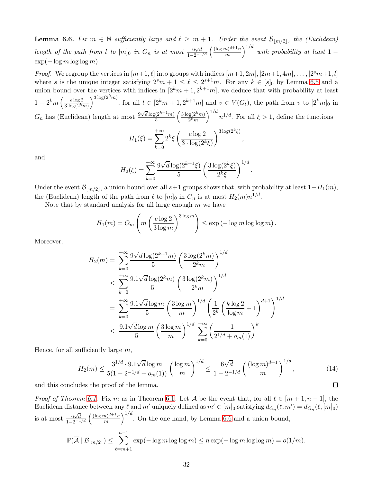<span id="page-31-0"></span>**Lemma 6.6.** Fix  $m \in \mathbb{N}$  sufficiently large and  $\ell \geq m+1$ . Under the event  $\mathcal{B}_{\lfloor m/2 \rfloor}$ , the (Euclidean) length of the path from l to  $[m]_0$  in  $G_n$  is at most  $\frac{6\sqrt{d}}{1-2^{-1/d}}\left(\frac{(\log m)^{d+1}n}{m}\right)$  $\left(\frac{m}{m}\right)^{d+1}n$ <sup>1/d</sup> with probability at least 1 –  $\exp(-\log m \log \log m)$ .

*Proof.* We regroup the vertices in  $[m+1, \ell]$  into groups with indices  $[m+1, 2m], [2m+1, 4m], \ldots, [2^sm+1, l]$ where s is the unique integer satisfying  $2^s m + 1 \leq \ell \leq 2^{s+1} m$ . For any  $k \in [s]_0$  by Lemma [6.5](#page-30-1) and a union bound over the vertices with indices in  $[2<sup>k</sup>m+1, 2<sup>k+1</sup>m]$ , we deduce that with probability at least  $1-2^km\left(\frac{e\log 2}{3\cdot \log(2^k)}\right)$  $3\cdot \log(2^k m)$  $\int^{3\log(2^k m)}$ , for all  $t \in [2^k m + 1, 2^{k+1} m]$  and  $v \in V(G_t)$ , the path from v to  $[2^k m]_0$  in  $G_n$  has (Euclidean) length at most  $\frac{9\sqrt{d}\log(2^{k+1}m)}{5}$  $\frac{(2^{k+1}m)}{5} \left( \frac{3 \log(2^k m)}{2^k m} \right)$  $\frac{g(2^k m)}{2^k m}$  $\Big)^{1/d}$   $n^{1/d}$ . For all  $\xi > 1$ , define the functions

$$
H_1(\xi) = \sum_{k=0}^{+\infty} 2^k \xi \left( \frac{e \log 2}{3 \cdot \log(2^k \xi)} \right)^{3 \log(2^k \xi)},
$$

and

$$
H_2(\xi) = \sum_{k=0}^{+\infty} \frac{9\sqrt{d}\log(2^{k+1}\xi)}{5} \left(\frac{3\log(2^k\xi)}{2^k\xi}\right)^{1/d}.
$$

Under the event  $\mathcal{B}_{\lfloor m/2 \rfloor}$ , a union bound over all s+1 groups shows that, with probability at least  $1-H_1(m)$ , the (Euclidean) length of the path from  $\ell$  to  $[m]_0$  in  $G_n$  is at most  $H_2(m)n^{1/d}$ .

Note that by standard analysis for all large enough  $m$  we have

$$
H_1(m) = O_m\left(m\left(\frac{e\log 2}{3\log m}\right)^{3\log m}\right) \le \exp\left(-\log m \log \log m\right).
$$

Moreover,

$$
H_2(m) = \sum_{k=0}^{+\infty} \frac{9\sqrt{d}\log(2^{k+1}m)}{5} \left(\frac{3\log(2^k m)}{2^k m}\right)^{1/d}
$$
  
\n
$$
\leq \sum_{k=0}^{+\infty} \frac{9.1\sqrt{d}\log(2^k m)}{5} \left(\frac{3\log(2^k m)}{2^k m}\right)^{1/d}
$$
  
\n
$$
= \sum_{k=0}^{+\infty} \frac{9.1\sqrt{d}\log m}{5} \left(\frac{3\log m}{m}\right)^{1/d} \left(\frac{1}{2^k} \left(\frac{k\log 2}{\log m} + 1\right)^{d+1}\right)^{1/d}
$$
  
\n
$$
\leq \frac{9.1\sqrt{d}\log m}{5} \left(\frac{3\log m}{m}\right)^{1/d} \sum_{k=0}^{+\infty} \left(\frac{1}{2^{1/d} + o_m(1)}\right)^k.
$$

Hence, for all sufficiently large  $m$ ,

$$
H_2(m) \le \frac{3^{1/d} \cdot 9.1 \sqrt{d} \log m}{5(1 - 2^{-1/d} + o_m(1))} \left(\frac{\log m}{m}\right)^{1/d} \le \frac{6\sqrt{d}}{1 - 2^{-1/d}} \left(\frac{(\log m)^{d+1}}{m}\right)^{1/d},\tag{14}
$$

 $\Box$ 

and this concludes the proof of the lemma.

*Proof of Theorem [6.1.](#page-29-1)* Fix m as in Theorem 6.1. Let A be the event that, for all  $\ell \in [m+1, n-1]$ , the Euclidean distance between any  $\ell$  and m' uniquely defined as  $m' \in [m]_0$  satisfying  $d_{G_n}(\ell, m') = d_{G_n}(\ell, [m]_0)$ is at most  $\frac{6\sqrt{d}}{1-2^{-1/d}} \left( \frac{(\log m)^{d+1} n}{m} \right)$  $\left(\frac{m^{d+1}n}{m}\right)^{1/d}$ . On the one hand, by Lemma [6.6](#page-31-0) and a union bound,

$$
\mathbb{P}(\overline{\mathcal{A}} \mid \mathcal{B}_{\lfloor m/2 \rfloor}) \leq \sum_{\ell=m+1}^{n-1} \exp(-\log m \log \log m) \leq n \exp(-\log m \log \log m) = o(1/m).
$$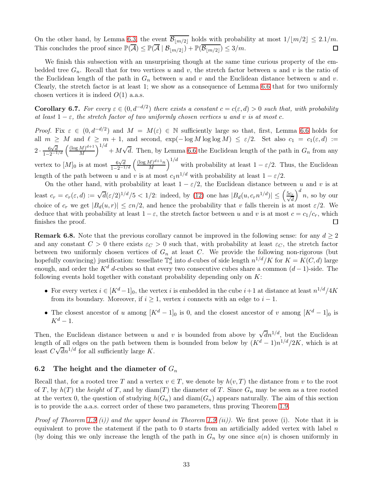On the other hand, by Lemma [6.3,](#page-29-2) the event  $\overline{\mathcal{B}_{\lfloor m/2\rfloor}}$  holds with probability at most  $1/[m/2] \leq 2.1/m$ .<br>This concludes the proof since  $\mathbb{P}(\overline{\mathcal{A}}) \leq \mathbb{P}(\overline{\mathcal{A}} \mid \mathcal{B}_{\lfloor m/2\rfloor}) + \mathbb{P}(\overline{\mathcal{B}_{\lfloor m/2\$ This concludes the proof since  $\mathbb{P}(\overline{A}) \leq \mathbb{P}(\overline{A} \mid \mathcal{B}_{\lfloor m/2 \rfloor}) + \mathbb{P}(\overline{\mathcal{B}_{\lfloor m/2 \rfloor}}) \leq 3/m$ .

We finish this subsection with an unsurprising though at the same time curious property of the embedded tree  $G_n$ . Recall that for two vertices u and v, the stretch factor between u and v is the ratio of the Euclidean length of the path in  $G_n$  between u and v and the Euclidean distance between u and v. Clearly, the stretch factor is at least 1; we show as a consequence of Lemma [6.6](#page-31-0) that for two uniformly chosen vertices it is indeed  $O(1)$  a.a.s.

**Corollary 6.7.** For every  $\varepsilon \in (0, d^{-d/2})$  there exists a constant  $c = c(\varepsilon, d) > 0$  such that, with probability at least  $1 - \varepsilon$ , the stretch factor of two uniformly chosen vertices u and v is at most c.

*Proof.* Fix  $\varepsilon \in (0, d^{-d/2})$  and  $M = M(\varepsilon) \in \mathbb{N}$  sufficiently large so that, first, Lemma [6.6](#page-31-0) holds for all  $m \geq M$  and  $\ell \geq m+1$ , and second,  $\exp(-\log M \log \log M) \leq \varepsilon/2$ . Set also  $c_1 = c_1(\varepsilon,d) :=$  $2 \cdot \frac{6\sqrt{d}}{1-2^{-1/d}} \left( \frac{(\log M)^{d+1}}{M} \right)$  $\left(\frac{M}{M}\right)^{d+1}$  +  $M\sqrt{d}$ . Then, by Lemma [6.6](#page-31-0) the Euclidean length of the path in  $G_n$  from any vertex to  $[M]_0$  is at most  $\frac{6\sqrt{d}}{1-2^{-1/d}} \left( \frac{(\log M)^{d+1}n}{M} \right)$  $\left(\frac{M}{M}\right)^{d+1}$  with probability at least  $1 - \varepsilon/2$ . Thus, the Euclidean length of the path between u and v is at most  $c_1 n^{1/d}$  with probability at least  $1 - \varepsilon/2$ .

On the other hand, with probability at least  $1 - \varepsilon/2$ , the Euclidean distance between u and v is at least  $c_r = c_r(\varepsilon, d) := \sqrt{d}(\varepsilon/2)^{1/d}/5 < 1/2$ : indeed, by [\(12\)](#page-30-2) one has  $|B_d(u, c_r n^{1/d})| \leq \left(\frac{5c_r}{\sqrt{d}}\right)^{1/d}$  $\big)^d$  n, so by our choice of  $c_r$  we get  $|B_d(u, r)| \leq \varepsilon n/2$ , and hence the probability that v falls therein is at most  $\varepsilon/2$ . We deduce that with probability at least  $1 - \varepsilon$ , the stretch factor between u and v is at most  $c = c_1/c_r$ , which finishes the proof. finishes the proof.

**Remark 6.8.** Note that the previous corollary cannot be improved in the following sense: for any  $d \geq 2$ and any constant  $C > 0$  there exists  $\varepsilon_C > 0$  such that, with probability at least  $\varepsilon_C$ , the stretch factor between two uniformly chosen vertices of  $G_n$  at least C. We provide the following non-rigorous (but hopefully convincing) justification: tessellate  $\mathbb{T}_n^d$  into d-cubes of side length  $n^{1/d}/K$  for  $K = K(C, d)$  large enough, and order the K<sup>d</sup> d-cubes so that every two consecutive cubes share a common  $(d-1)$ -side. The following events hold together with constant probability depending only on  $K$ :

- For every vertex  $i \in [K^d-1]_0$ , the vertex i is embedded in the cube  $i+1$  at distance at least  $n^{1/d}/4K$ from its boundary. Moreover, if  $i \geq 1$ , vertex i connects with an edge to  $i - 1$ .
- The closest ancestor of u among  $[K^d 1]_0$  is 0, and the closest ancestor of v among  $[K^d 1]_0$  is  $K^d-1$ .

Then, the Euclidean distance between u and v is bounded from above by  $\sqrt{d}n^{1/d}$ , but the Euclidean length of all edges on the path between them is bounded from below by  $(K^d-1)n^{1/d}/2K$ , which is at least  $C\sqrt{d}n^{1/d}$  for all sufficiently large K.

### 6.2 The height and the diameter of  $G_n$

Recall that, for a rooted tree T and a vertex  $v \in T$ , we denote by  $h(v, T)$  the distance from v to the root of T, by  $h(T)$  the height of T, and by diam(T) the diameter of T. Since  $G_n$  may be seen as a tree rooted at the vertex 0, the question of studying  $h(G_n)$  and  $\text{diam}(G_n)$  appears naturally. The aim of this section is to provide the a.a.s. correct order of these two parameters, thus proving Theorem [1.9.](#page-3-5)

*Proof of Theorem [1.9](#page-3-5) (i)) and the upper bound in Theorem 1.9 (ii)).* We first prove (i). Note that it is equivalent to prove the statement if the path to 0 starts from an artificially added vertex with label  $n$ (by doing this we only increase the length of the path in  $G_n$  by one since  $a(n)$  is chosen uniformly in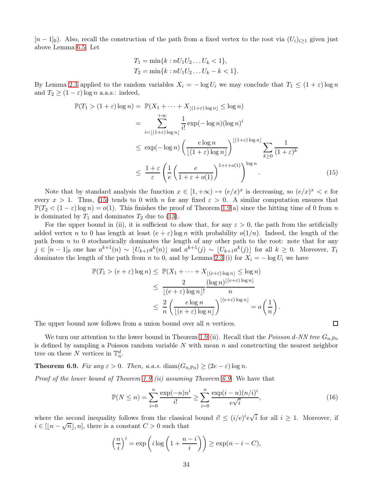$[n-1]_0$ ). Also, recall the construction of the path from a fixed vertex to the root via  $(U_i)_{i\geq 1}$  given just above Lemma [6.5.](#page-30-1) Let

$$
T_1 = \min\{k : nU_1U_2...U_k < 1\},
$$
  
\n
$$
T_2 = \min\{k : nU_1U_2...U_k - k < 1\}.
$$

By Lemma [2.3](#page-9-2) applied to the random variables  $X_i = -\log U_i$  we may conclude that  $T_1 \leq (1+\varepsilon)\log n$ and  $T_2 \ge (1 - \varepsilon) \log n$  a.a.s.: indeed,

$$
\mathbb{P}(T_1 > (1+\varepsilon)\log n) = \mathbb{P}(X_1 + \dots + X_{\lfloor(1+\varepsilon)\log n\rfloor} \le \log n)
$$
  
\n
$$
= \sum_{i=\lfloor(1+\varepsilon)\log n\rfloor}^{+\infty} \frac{1}{i!} \exp(-\log n)(\log n)^i
$$
  
\n
$$
\le \exp(-\log n) \left(\frac{e\log n}{\lfloor(1+\varepsilon)\log n\rfloor}\right)^{\lfloor(1+\varepsilon)\log n\rfloor} \sum_{k\ge 0} \frac{1}{(1+\varepsilon)^k}
$$
  
\n
$$
\le \frac{1+\varepsilon}{\varepsilon} \left(\frac{1}{e} \left(\frac{e}{1+\varepsilon+o(1)}\right)^{1+\varepsilon+o(1)}\right)^{\log n}.
$$
 (15)

Note that by standard analysis the function  $x \in [1, +\infty) \mapsto (e/x)^x$  is decreasing, so  $(e/x)^x < e$  for every  $x > 1$ . Thus, [\(15\)](#page-33-0) tends to 0 with n for any fixed  $\varepsilon > 0$ . A similar computation ensures that  $\mathbb{P}(T_2 < (1-\varepsilon) \log n) = o(1)$ . This finishes the proof of Theorem [1.9](#page-3-5) a) since the hitting time of 0 from n is dominated by  $T_1$  and dominates  $T_2$  due to [\(13\)](#page-30-0).

For the upper bound in (ii), it is sufficient to show that, for any  $\varepsilon > 0$ , the path from the artificially added vertex n to 0 has length at least  $(e + \varepsilon)$  log n with probability  $o(1/n)$ . Indeed, the length of the path from  $n$  to 0 stochastically dominates the length of any other path to the root: note that for any  $j \in [n-1]_0$  one has  $a^{k+1}(n) \sim \lfloor U_{k+1}a^k(n) \rfloor$  and  $a^{k+1}(j) \sim \lfloor U_{k+1}a^k(j) \rfloor$  for all  $k \geq 0$ . Moreover,  $T_1$ dominates the length of the path from n to 0, and by Lemma [2.3](#page-9-2) (i) for  $X_i = -\log U_i$  we have

$$
\mathbb{P}(T_1 > (e+\varepsilon)\log n) \leq \mathbb{P}(X_1 + \dots + X_{\lfloor(e+\varepsilon)\log n\rfloor} \leq \log n)
$$
  
\n
$$
\leq \frac{2}{\lfloor(e+\varepsilon)\log n\rfloor!} \frac{(\log n)^{\lfloor(e+\varepsilon)\log n\rfloor}}{n}
$$
  
\n
$$
\leq \frac{2}{n} \left(\frac{e\log n}{\lfloor(e+\varepsilon)\log n\rfloor}\right)^{\lfloor(e+\varepsilon)\log n\rfloor} = o\left(\frac{1}{n}\right).
$$

The upper bound now follows from a union bound over all n vertices.

We turn our attention to the lower bound in Theorem [1.9](#page-3-5) (ii). Recall that the Poisson d-NN tree  $G_{n,\text{Po}}$ is defined by sampling a Poisson random variable  $N$  with mean  $n$  and constructing the nearest neighbor tree on these N vertices in  $\mathbb{T}_n^d$ .

<span id="page-33-1"></span>**Theorem 6.9.** Fix any  $\varepsilon > 0$ . Then, a.a.s. diam $(G_{n, Po}) \ge (2e - \varepsilon) \log n$ .

Proof of the lower bound of Theorem [1.9](#page-3-5) (ii) assuming Theorem [6.9.](#page-33-1) We have that

<span id="page-33-2"></span>
$$
\mathbb{P}(N \le n) = \sum_{i=0}^{n} \frac{\exp(-n)n^i}{i!} \ge \sum_{i=0}^{n} \frac{\exp(i-n)(n/i)^i}{e\sqrt{i}},
$$
\n(16)

where the second inequality follows from the classical bound  $i! \leq (i/e)^{i} e^{\sqrt{i}}$  for all  $i \geq 1$ . Moreover, if  $i \in [\lfloor n-\sqrt{n} \rfloor, n]$ , there is a constant  $C > 0$  such that

$$
\left(\frac{n}{i}\right)^i = \exp\left(i\log\left(1 + \frac{n-i}{i}\right)\right) \ge \exp(n - i - C),
$$

<span id="page-33-0"></span>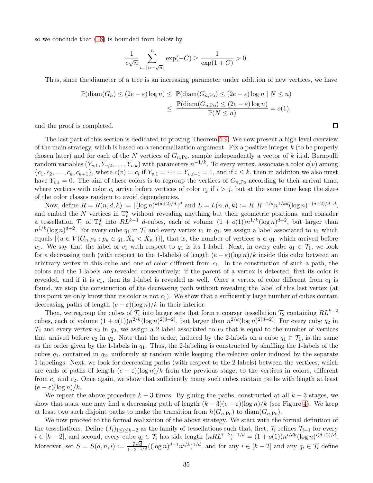so we conclude that [\(16\)](#page-33-2) is bounded from below by

$$
\frac{1}{e\sqrt{n}}\sum_{i=\lfloor n-\sqrt{n}\rfloor}^n \exp(-C) \ge \frac{1}{\exp(1+C)} > 0.
$$

Thus, since the diameter of a tree is an increasing parameter under addition of new vertices, we have

$$
\mathbb{P}(\text{diam}(G_n) \le (2e - \varepsilon) \log n) \le \mathbb{P}(\text{diam}(G_{n,\text{Po}}) \le (2e - \varepsilon) \log n \mid N \le n)
$$
  

$$
\le \frac{\mathbb{P}(\text{diam}(G_{n,\text{Po}}) \le (2e - \varepsilon) \log n)}{\mathbb{P}(N \le n)} = o(1),
$$

and the proof is completed.

The last part of this section is dedicated to proving Theorem [6.9.](#page-33-1) We now present a high level overview of the main strategy, which is based on a renormalization argument. Fix a positive integer  $k$  (to be properly chosen later) and for each of the N vertices of  $G_{n,Po}$ , sample independently a vector of k i.i.d. Bernoulli random variables  $(Y_{v,1}, Y_{v,2}, \ldots, Y_{v,k})$  with parameters  $n^{-1/k}$ . To every vertex, associate a color  $c(v)$  among  $\{c_1, c_2, \ldots, c_k, c_{k+1}\},\$  where  $c(v) = c_i$  if  $Y_{v,1} = \cdots = Y_{v,i-1} = 1$ , and if  $i \leq k$ , then in addition we also must have  $Y_{v,i} = 0$ . The aim of these colors is to regroup the vertices of  $G_{n,P_0}$  according to their arrival time, where vertices with color  $c_i$  arrive before vertices of color  $c_j$  if  $i > j$ , but at the same time keep the sizes of the color classes random to avoid dependencies.

Now, define  $R = R(n, d, k) := \lfloor (\log n)^{k(d+2)/d} \rfloor^d$  and  $L = L(n, d, k) := R\lfloor R^{-1/d} n^{1/kd} (\log n)^{-(d+2)/d} \rfloor^d$ , and embed the N vertices in  $\mathbb{T}_n^d$  without revealing anything but their geometric positions, and consider a tessellation  $\mathcal{T}_1$  of  $\mathbb{T}_n^d$  into  $RL^{k-1}$  d-cubes, each of volume  $(1 + o(1))n^{1/k}(\log n)^{d+2}$ , but larger than  $n^{1/k}(\log n)^{d+2}$ . For every cube  $q_1$  in  $\mathcal{T}_1$  and every vertex  $v_1$  in  $q_1$ , we assign a label associated to  $v_1$  which equals  $|\{u \in V(G_{n,P_o}: p_u \in q_1, X_u \lt X_{v_1})\}|$ , that is, the number of vertices  $u \in q_1$ , which arrived before v<sub>1</sub>. We say that the label of v<sub>1</sub> with respect to  $q_1$  is its 1-label. Next, in every cube  $q_1 \in \mathcal{T}_1$ , we look for a decreasing path (with respect to the 1-labels) of length  $(e - \varepsilon)(\log n)/k$  inside this cube between an arbitrary vertex in this cube and one of color different from  $c_1$ . In the construction of such a path, the colors and the 1-labels are revealed consecutively: if the parent of a vertex is detected, first its color is revealed, and if it is  $c_1$ , then its 1-label is revealed as well. Once a vertex of color different from  $c_1$  is found, we stop the construction of the decreasing path without revealing the label of this last vertex (at this point we only know that its color is not  $c_1$ ). We show that a sufficiently large number of cubes contain decreasing paths of length  $(e - \varepsilon)(\log n)/k$  in their interior.

Then, we regroup the cubes of  $\mathcal{T}_1$  into larger sets that form a coarser tessellation  $\mathcal{T}_2$  containing  $RL^{k-2}$ cubes, each of volume  $(1 + o(1))n^{2/k}(\log n)^{2(d+2)}$ , but larger than  $n^{2/k}(\log n)^{2(d+2)}$ . For every cube  $q_2$  in  $\mathcal{T}_2$  and every vertex  $v_2$  in  $q_2$ , we assign a 2-label associated to  $v_2$  that is equal to the number of vertices that arrived before  $v_2$  in  $q_2$ . Note that the order, induced by the 2-labels on a cube  $q_1 \in \mathcal{T}_1$ , is the same as the order given by the 1-labels in  $q_1$ . Thus, the 2-labeling is constructed by shuffling the 1-labels of the cubes  $q_1$ , contained in  $q_2$ , uniformly at random while keeping the relative order induced by the separate 1-labelings. Next, we look for decreasing paths (with respect to the 2-labels) between the vertices, which are ends of paths of length  $(e - \varepsilon)(\log n)/k$  from the previous stage, to the vertices in colors, different from  $c_1$  and  $c_2$ . Once again, we show that sufficiently many such cubes contain paths with length at least  $(e - \varepsilon)(\log n)/k$ .

We repeat the above procedure  $k-3$  times. By gluing the paths, constructed at all  $k-3$  stages, we show that a.a.s. one may find a decreasing path of length  $(k-3)(e-\varepsilon)(\log n)/k$  (see Figure [4\)](#page-35-0). We keep at least two such disjoint paths to make the transition from  $h(G_{n,\text{Po}})$  to diam( $G_{n,\text{Po}}$ ).

We now proceed to the formal realization of the above strategy. We start with the formal definition of the tessellations. Define  $(\mathcal{T}_i)_{1\leq i\leq k-2}$  as the family of tessellations such that, first,  $\mathcal{T}_i$  refines  $\mathcal{T}_{i+1}$  for every  $i \in [k-2]$ , and second, every cube  $q_i \in \mathcal{T}_i$  has side length  $(nRL^{i-k})^{-1/d} = (1+o(1))n^{i/dk}(\log n)^{i(d+2)/d}$ . Moreover, set  $S = S(d, n, i) := \frac{7\sqrt{d}}{1-2^{-1/d}}((\log n)^{d+1}n^{i/k})^{1/d}$ , and for any  $i \in [k-2]$  and any  $q_i \in \mathcal{T}_i$  define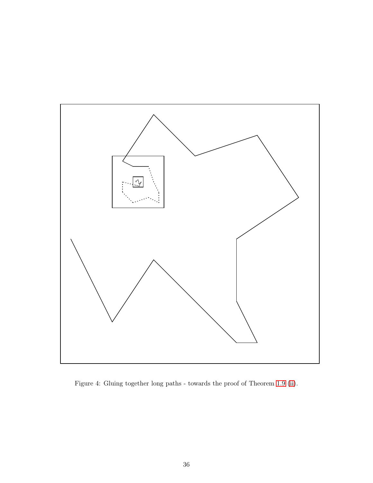<span id="page-35-0"></span>

Figure 4: Gluing together long paths - towards the proof of Theorem [1.9](#page-3-5) [\(ii\)](#page-3-7).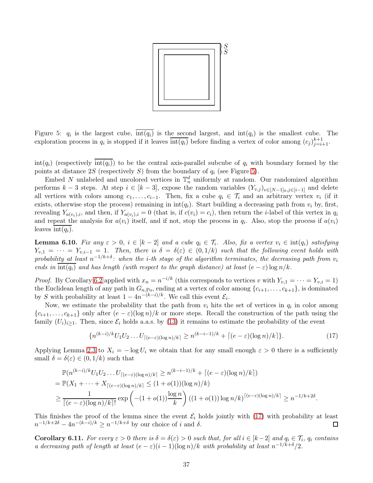

<span id="page-36-0"></span>Figure 5:  $q_i$  is the largest cube,  $int(q_i)$  is the second largest, and  $int(q_i)$  is the smallest cube. The exploration process in  $q_i$  is stopped if it leaves  $\overline{\text{int}(q_i)}$  before finding a vertex of color among  $(c_j)_{j=i+1}^{k+1}$ .

 $\text{int}(q_i)$  (respectively  $\text{int}(q_i)$ ) to be the central axis-parallel subcube of  $q_i$  with boundary formed by the points at distance 2S (respectively S) from the boundary of  $q_i$  (see Figure [5\)](#page-36-0).

Embed N unlabeled and uncolored vertices in  $\mathbb{T}_n^d$  uniformly at random. Our randomized algorithm performs  $k-3$  steps. At step  $i \in [k-3]$ , expose the random variables  $(Y_{v,j})_{v\in[N-1]_0,j\in[i-1]}$  and delete all vertices with colors among  $c_1, \ldots, c_{i-1}$ . Then, fix a cube  $q_i \in \mathcal{T}_i$  and an arbitrary vertex  $v_i$  (if it exists, otherwise stop the process) remaining in  $int(q_i)$ . Start building a decreasing path from  $v_i$  by, first, revealing  $Y_{a(v_i),i}$ , and then, if  $Y_{a(v_i),i} = 0$  (that is, if  $c(v_i) = c_i$ ), then return the *i*-label of this vertex in  $q_i$ and repeat the analysis for  $a(v_i)$  itself, and if not, stop the process in  $q_i$ . Also, stop the process if  $a(v_i)$ leaves  $\mathrm{int}(q_i)$ .

<span id="page-36-2"></span>**Lemma 6.10.** Fix any  $\varepsilon > 0$ ,  $i \in [k-2]$  and a cube  $q_i \in \mathcal{T}_i$ . Also, fix a vertex  $v_i \in \text{int}(q_i)$  satisfying  $Y_{v,1} = \cdots = Y_{v,i-1} = 1$ . Then, there is  $\delta = \delta(\varepsilon) \in (0,1/k)$  such that the following event holds with probability at least  $n^{-1/k+\delta}$ : when the i-th stage of the algorithm terminates, the decreasing path from  $v_i$ ends in  $\overline{\text{int}(q_i)}$  and has length (with respect to the graph distance) at least  $(e - \varepsilon) \log n/k$ .

*Proof.* By Corollary [6.2](#page-29-3) applied with  $x_n = n^{-i/k}$  (this corresponds to vertices v with  $Y_{v,1} = \cdots = Y_{v,i} = 1$ ) the Euclidean length of any path in  $G_{n, Po}$ , ending at a vertex of color among  $\{c_{i+1}, \ldots, c_{k+1}\}$ , is dominated by S with probability at least  $1 - 4n^{-(k-i)/k}$ . We call this event  $\mathcal{E}_i$ .

Now, we estimate the probability that the path from  $v_i$  hits the set of vertices in  $q_i$  in color among  ${c_{i+1}, \ldots, c_{k+1}}$  only after  $(e - \varepsilon)(\log n)/k$  or more steps. Recall the construction of the path using the family  $(U_i)_{i\geq 1}$ . Then, since  $\mathcal{E}_i$  holds a.a.s. by [\(13\)](#page-30-0) it remains to estimate the probability of the event

<span id="page-36-1"></span>
$$
\{n^{(k-i)/k}U_1U_2\ldots U_{\lceil(e-\varepsilon)(\log n)/k\rceil} \ge n^{(k-i-1)/k} + \lceil(e-\varepsilon)(\log n)/k\rceil\}.
$$
 (17)

Applying Lemma [2.3](#page-9-2) to  $X_i = -\log U_i$  we obtain that for any small enough  $\varepsilon > 0$  there is a sufficiently small  $\delta = \delta(\varepsilon) \in (0, 1/k)$  such that

$$
\mathbb{P}(n^{(k-i)/k}U_1U_2\ldots U_{\lceil(e-\varepsilon)(\log n)/k\rceil} \ge n^{(k-i-1)/k} + \lceil(e-\varepsilon)(\log n)/k\rceil)
$$
  
= 
$$
\mathbb{P}(X_1 + \cdots + X_{\lceil(e-\varepsilon)(\log n)/k\rceil} \le (1+o(1))(\log n)/k)
$$
  

$$
\ge \frac{1}{\lceil(e-\varepsilon)(\log n)/k\rceil!} \exp\left(-(1+o(1))\frac{\log n}{k}\right)((1+o(1))\log n/k)^{\lceil(e-\varepsilon)(\log n)/k\rceil} \ge n^{-1/k+2\delta}.
$$

This finishes the proof of the lemma since the event  $\mathcal{E}_i$  holds jointly with [\(17\)](#page-36-1) with probability at least  $n^{-1/k+2\delta} - 4n^{-(k-i)/k} > n^{-1/k+\delta}$  by our choice of i and  $\delta$ .  $n^{-1/k+2\delta} - 4n^{-(k-i)/k} \geq n^{-1/k+\delta}$  by our choice of i and  $\delta$ .

<span id="page-36-3"></span>**Corollary 6.11.** For every  $\varepsilon > 0$  there is  $\delta = \delta(\varepsilon) > 0$  such that, for all  $i \in [k-2]$  and  $q_i \in \mathcal{T}_i$ ,  $q_i$  contains a decreasing path of length at least  $(e - \varepsilon)(i - 1)(\log n)/k$  with probability at least  $n^{-1/k+\delta}/2$ .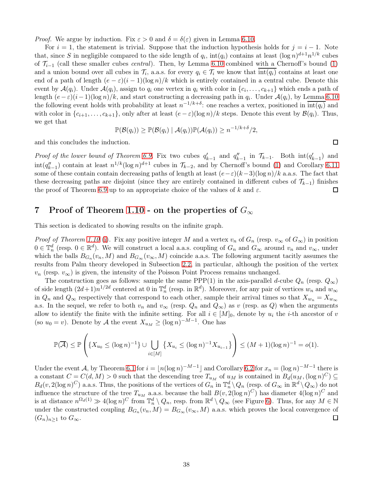*Proof.* We argue by induction. Fix  $\varepsilon > 0$  and  $\delta = \delta(\varepsilon)$  given in Lemma [6.10.](#page-36-2)

For  $i = 1$ , the statement is trivial. Suppose that the induction hypothesis holds for  $j = i - 1$ . Note that, since S in negligible compared to the side length of  $q_i$ , int $(q_i)$  contains at least  $(\log n)^{d+1} n^{1/k}$  cubes of  $\mathcal{T}_{i-1}$  (call these smaller cubes *central*). Then, by Lemma [6.10](#page-36-2) combined with a Chernoff's bound [\(1\)](#page-8-3) and a union bound over all cubes in  $\mathcal{T}_i$ , a.a.s. for every  $q_i \in \mathcal{T}_i$  we know that  $\text{int}(q_i)$  contains at least one end of a path of length  $(e - \varepsilon)(i - 1)(\log n)/k$  which is entirely contained in a central cube. Denote this event by  $\mathcal{A}(q_i)$ . Under  $\mathcal{A}(q_i)$ , assign to  $q_i$  one vertex in  $q_i$  with color in  $\{c_i, \ldots, c_{k+1}\}$  which ends a path of length  $(e-\varepsilon)(i-1)(\log n)/k$ , and start constructing a decreasing path in  $q_i$ . Under  $\mathcal{A}(q_i)$ , by Lemma [6.10](#page-36-2) the following event holds with probability at least  $n^{-1/k+\delta}$ : one reaches a vertex, positioned in  $\overline{\text{int}(q_i)}$  and with color in  $\{c_{i+1}, \ldots, c_{k+1}\}$ , only after at least  $(e - \varepsilon)(\log n)/k$  steps. Denote this event by  $\mathcal{B}(q_i)$ . Thus, we get that

$$
\mathbb{P}(\mathcal{B}(q_i)) \geq \mathbb{P}(\mathcal{B}(q_i) | \mathcal{A}(q_i)) \mathbb{P}(\mathcal{A}(q_i)) \geq n^{-1/k + \delta}/2,
$$

and this concludes the induction.

Proof of the lower bound of Theorem [6.9.](#page-33-1) Fix two cubes  $q'_{k-1}$  and  $q''_{k-1}$  in  $\mathcal{T}_{k-1}$ . Both  $\text{int}(q'_{k-1})$  and  $\int \int_0^y f(x) \, dx$  contain at least  $n^{1/k} (\log n)^{d+1}$  cubes in  $\mathcal{T}_{k-2}$ , and by Chernoff's bound [\(1\)](#page-8-3) and Corollary [6.11](#page-36-3) some of these contain contain decreasing paths of length at least  $(e-\varepsilon)(k-3)(\log n)/k$  a.a.s. The fact that these decreasing paths are disjoint (since they are entirely contained in different cubes of  $\mathcal{T}_{k-1}$ ) finishes the proof of Theorem 6.9 up to an appropriate choice of the values of k and  $\varepsilon$ . the proof of Theorem [6.9](#page-33-1) up to an appropriate choice of the values of k and  $\varepsilon$ .

# <span id="page-37-0"></span>7 Proof of Theorem 1.10 - on the properties of  $G_{\infty}$

This section is dedicated to showing results on the infinite graph.

*Proof of Theorem 1.10* [\(i\)](#page-3-8). Fix any positive integer M and a vertex  $v_n$  of  $G_n$  (resp.  $v_\infty$  of  $G_\infty$ ) in position  $0 \in \mathbb{T}_n^d$  (resp.  $0 \in \mathbb{R}^d$ ). We will construct a local a.a.s. coupling of  $G_n$  and  $G_\infty$  around  $v_n$  and  $v_\infty$ , under which the balls  $B_{G_n}(v_n, M)$  and  $B_{G_\infty}(v_\infty, M)$  coincide a.a.s. The following argument tacitly assumes the results from Palm theory developed in Subsection [2.2,](#page-10-3) in particular, although the position of the vertex  $v_n$  (resp.  $v_\infty$ ) is given, the intensity of the Poisson Point Process remains unchanged.

The construction goes as follows: sample the same PPP(1) in the axis-parallel d-cube  $Q_n$  (resp.  $Q_{\infty}$ ) of side length  $(2d+1)n^{1/2d}$  centered at 0 in  $\mathbb{T}_n^d$  (resp. in  $\mathbb{R}^d$ ). Moreover, for any pair of vertices  $w_n$  and  $w_\infty$ in  $Q_n$  and  $Q_\infty$  respectively that correspond to each other, sample their arrival times so that  $X_{w_n} = X_{w_\infty}$ a.s. In the sequel, we refer to both  $v_n$  and  $v_{\infty}$  (resp.  $Q_n$  and  $Q_{\infty}$ ) as v (resp. as Q) when the arguments allow to identify the finite with the infinite setting. For all  $i \in [M]_0$ , denote by  $u_i$  the *i*-th ancestor of v (so  $u_0 = v$ ). Denote by A the event  $X_{u_M} \ge (\log n)^{-M-1}$ . One has

$$
\mathbb{P}(\overline{\mathcal{A}}) \le \mathbb{P}\left(\left\{X_{u_0} \le (\log n)^{-1}\right\} \cup \bigcup_{i \in [M]} \left\{X_{u_i} \le (\log n)^{-1} X_{u_{i-1}}\right\}\right) \le (M+1)(\log n)^{-1} = o(1).
$$

Under the event A, by Theorem [6.1](#page-29-1) for  $i = \lfloor n(\log n)^{-M-1} \rfloor$  and Corollary [6.2](#page-29-3) for  $x_n = (\log n)^{-M-1}$  there is a constant  $C = C(d, M) > 0$  such that the descending tree  $T_{u_M}$  of  $u_M$  is contained in  $B_d(u_M, (\log n)^C) \subseteq$  $B_d(v, 2(\log n)^C)$  a.a.s. Thus, the positions of the vertices of  $G_n$  in  $\mathbb{T}_n^d \setminus Q_n$  (resp. of  $G_\infty$  in  $\mathbb{R}^d \setminus Q_\infty$ ) do not influence the structure of the tree  $T_{u_M}$  a.a.s. because the ball  $B(v, 2(\log n)^C)$  has diameter  $4(\log n)^C$  and is at distance  $n^{\Omega_d(1)} \gg 4(\log n)^C$  from  $\mathbb{T}_n^d \setminus Q_n$ , resp. from  $\mathbb{R}^d \setminus Q_\infty$  (see Figure [6\)](#page-38-0). Thus, for any  $M \in \mathbb{N}$ under the constructed coupling  $B_{G_n}(v_n, M) = B_{G_\infty}(v_\infty, M)$  a.a.s. which proves the local convergence of  $(G_n)_{n\geq 1}$  to  $G_{\infty}$ .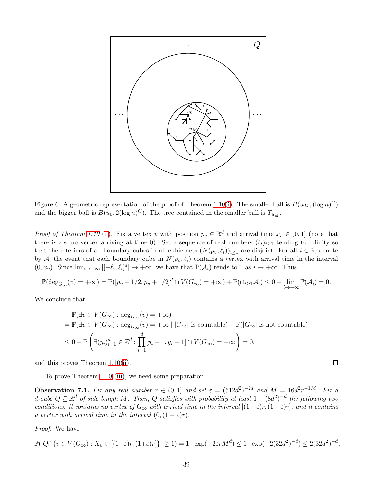<span id="page-38-0"></span>

Figure 6: A geometric representation of the proof of Theorem 1.10[\(i\)](#page-3-8). The smaller ball is  $B(u_M, (\log n)^C)$ and the bigger ball is  $B(u_0, 2(\log n)^C)$ . The tree contained in the smaller ball is  $T_{u_M}$ .

*Proof of Theorem 1.10* [\(ii\)](#page-3-9). Fix a vertex v with position  $p_v \in \mathbb{R}^d$  and arrival time  $x_v \in (0,1]$  (note that there is a.s. no vertex arriving at time 0). Set a sequence of real numbers  $(\ell_i)_{i\geq 1}$  tending to infinity so that the interiors of all boundary cubes in all cubic nets  $(N(p_v, \ell_i))_{i\geq 1}$  are disjoint. For all  $i \in \mathbb{N}$ , denote by  $A_i$  the event that each boundary cube in  $N(p_v, \ell_i)$  contains a vertex with arrival time in the interval  $(0, x_v)$ . Since  $\lim_{i \to +\infty} |[-\ell_i, \ell_i]^d| \to +\infty$ , we have that  $\mathbb{P}(\mathcal{A}_i)$  tends to 1 as  $i \to +\infty$ . Thus,

$$
\mathbb{P}(\deg_{G_{\infty}}(v) = +\infty) = \mathbb{P}([p_v - 1/2, p_v + 1/2]^d \cap V(G_{\infty}) = +\infty) + \mathbb{P}(\cap_{i \ge 1} \overline{\mathcal{A}_i}) \le 0 + \lim_{i \to +\infty} \mathbb{P}(\overline{\mathcal{A}_i}) = 0.
$$

We conclude that

$$
\mathbb{P}(\exists v \in V(G_{\infty}) : \deg_{G_{\infty}}(v) = +\infty)
$$
  
=  $\mathbb{P}(\exists v \in V(G_{\infty}) : \deg_{G_{\infty}}(v) = +\infty | |G_{\infty}| \text{ is countable}) + \mathbb{P}(|G_{\infty}| \text{ is not countable})$   
 $\leq 0 + \mathbb{P}\left(\exists (y_i)_{i=1}^d \in \mathbb{Z}^d : \prod_{i=1}^d [y_i - 1, y_i + 1] \cap V(G_{\infty}) = +\infty\right) = 0,$ 

 $\Box$ 

and this proves Theorem 1.10[\(ii\)](#page-3-9).

To prove Theorem 1.10 [\(iii\)](#page-3-10), we need some preparation.

<span id="page-38-1"></span>**Observation** 7.1. Fix any real number  $r \in (0,1]$  and set  $\varepsilon = (512d^2)^{-2d}$  and  $M = 16d^2r^{-1/d}$ . Fix a d-cube  $Q \subseteq \mathbb{R}^d$  of side length M. Then, Q satisfies with probability at least  $1 - (8d^2)^{-d}$  the following two conditions: it contains no vertex of  $G_{\infty}$  with arrival time in the interval  $[(1-\varepsilon)r,(1+\varepsilon)r]$ , and it contains a vertex with arrival time in the interval  $(0,(1-\varepsilon)r)$ .

Proof. We have

$$
\mathbb{P}(|Q \cap \{v \in V(G_{\infty}) : X_v \in [(1-\varepsilon)r, (1+\varepsilon)r] \}| \ge 1) = 1 - \exp(-2\varepsilon rM^d) \le 1 - \exp(-2(32d^2)^{-d}) \le 2(32d^2)^{-d},
$$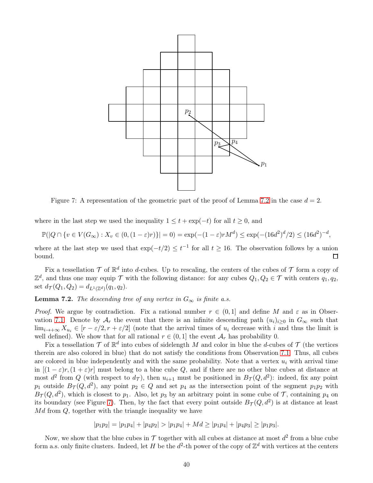<span id="page-39-1"></span>

Figure 7: A representation of the geometric part of the proof of Lemma [7.2](#page-39-0) in the case  $d = 2$ .

where in the last step we used the inequality  $1 \le t + \exp(-t)$  for all  $t \ge 0$ , and

$$
\mathbb{P}(|Q \cap \{v \in V(G_{\infty}) : X_v \in (0, (1-\varepsilon)r)\}| = 0) = \exp(-(1-\varepsilon)rM^d) \le \exp(-(16d^2)^d/2) \le (16d^2)^{-d},
$$

where at the last step we used that  $\exp(-t/2) \leq t^{-1}$  for all  $t \geq 16$ . The observation follows by a union bound.

Fix a tessellation  $\mathcal T$  of  $\mathbb R^d$  into d-cubes. Up to rescaling, the centers of the cubes of  $\mathcal T$  form a copy of  $\mathbb{Z}^d$ , and thus one may equip  $\mathcal T$  with the following distance: for any cubes  $Q_1, Q_2 \in \mathcal T$  with centers  $q_1, q_2$ , set  $d_{\mathcal{T}}(Q_1, Q_2) = d_{L^1(\mathbb{Z}^d)}(q_1, q_2).$ 

<span id="page-39-0"></span>**Lemma 7.2.** The descending tree of any vertex in  $G_{\infty}$  is finite a.s.

*Proof.* We argue by contradiction. Fix a rational number  $r \in (0,1]$  and define M and  $\varepsilon$  as in Obser-vation [7.1.](#page-38-1) Denote by  $A_r$  the event that there is an infinite descending path  $(u_i)_{i>0}$  in  $G_\infty$  such that  $\lim_{i\to+\infty} X_{u_i} \in [r-\varepsilon/2, r+\varepsilon/2]$  (note that the arrival times of  $u_i$  decrease with i and thus the limit is well defined). We show that for all rational  $r \in (0, 1]$  the event  $\mathcal{A}_r$  has probability 0.

Fix a tessellation  $\mathcal T$  of  $\mathbb R^d$  into cubes of sidelength M and color in blue the d-cubes of  $\mathcal T$  (the vertices therein are also colored in blue) that do not satisfy the conditions from Observation [7.1.](#page-38-1) Thus, all cubes are colored in blue independently and with the same probability. Note that a vertex  $u_i$  with arrival time in  $[(1 - \varepsilon)r, (1 + \varepsilon)r]$  must belong to a blue cube Q, and if there are no other blue cubes at distance at most  $d^2$  from Q (with respect to  $d_{\mathcal{T}}$ ), then  $u_{i+1}$  must be positioned in  $B_{\mathcal{T}}(Q, d^2)$ : indeed, fix any point  $p_1$  outside  $B_{\mathcal{T}}(Q, d^2)$ , any point  $p_2 \in Q$  and set  $p_4$  as the intersection point of the segment  $p_1p_2$  with  $B_{\mathcal{T}}(Q, d^2)$ , which is closest to  $p_1$ . Also, let  $p_3$  by an arbitrary point in some cube of  $\mathcal{T}$ , containing  $p_4$  on its boundary (see Figure [7\)](#page-39-1). Then, by the fact that every point outside  $B_{\mathcal{T}}(Q, d^2)$  is at distance at least  $Md$  from  $Q$ , together with the triangle inequality we have

$$
|p_1p_2| = |p_1p_4| + |p_4p_2| > |p_1p_4| + Md \ge |p_1p_4| + |p_4p_3| \ge |p_1p_3|.
$$

Now, we show that the blue cubes in  $\mathcal T$  together with all cubes at distance at most  $d^2$  from a blue cube form a.s. only finite clusters. Indeed, let H be the  $d^2$ -th power of the copy of  $\mathbb{Z}^d$  with vertices at the centers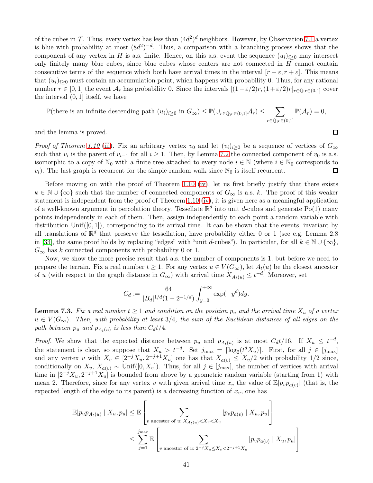of the cubes in  $\mathcal{T}$ . Thus, every vertex has less than  $(4d^2)^d$  neighbors. However, by Observation [7.1](#page-38-1) a vertex is blue with probability at most  $(8d^2)^{-d}$ . Thus, a comparison with a branching process shows that the component of any vertex in H is a.s. finite. Hence, on this a.s. event the sequence  $(u_i)_{i>0}$  may intersect only finitely many blue cubes, since blue cubes whose centers are not connected in  $H$  cannot contain consecutive terms of the sequence which both have arrival times in the interval  $[r - \varepsilon, r + \varepsilon]$ . This means that  $(u_i)_{i>0}$  must contain an accumulation point, which happens with probability 0. Thus, for any rational number  $r \in [0,1]$  the event  $\mathcal{A}_r$  has probability 0. Since the intervals  $[(1-\varepsilon/2)r, (1+\varepsilon/2)r]_{r\in\mathbb{Q}:r\in(0,1]}$  cover the interval  $(0, 1]$  itself, we have

$$
\mathbb{P}(\text{there is an infinite descending path } (u_i)_{i\geq 0} \text{ in } G_{\infty}) \leq \mathbb{P}(\cup_{r \in \mathbb{Q}; r \in (0,1]} \mathcal{A}_r) \leq \sum_{r \in \mathbb{Q}; r \in (0,1]} \mathbb{P}(\mathcal{A}_r) = 0,
$$

and the lemma is proved.

*Proof of Theorem 1.10* [\(iii\)](#page-3-10). Fix an arbitrary vertex  $v_0$  and let  $(v_i)_{i>0}$  be a sequence of vertices of  $G_{\infty}$ such that  $v_i$  is the parent of  $v_{i-1}$  for all  $i \ge 1$ . Then, by Lemma [7.2](#page-39-0) the connected component of  $v_0$  is a.s. isomorphic to a copy of  $\mathbb{N}_0$  with a finite tree attached to every node  $i \in \mathbb{N}$  (where  $i \in \mathbb{N}_0$  corresponds to  $v_i$ ). The last graph is recurrent for the simple random walk since  $\mathbb{N}_0$  is itself recurrent.  $v_i$ ). The last graph is recurrent for the simple random walk since  $\mathbb{N}_0$  is itself recurrent.

Before moving on with the proof of Theorem 1.10 [\(iv\)](#page-3-11), let us first briefly justify that there exists  $k \in \mathbb{N} \cup \{\infty\}$  such that the number of connected components of  $G_{\infty}$  is a.s. k. The proof of this weaker statement is independent from the proof of Theorem 1.10 [\(iv\)](#page-3-11), it is given here as a meaningful application of a well-known argument in percolation theory. Tessellate  $\mathbb{R}^d$  into unit d-cubes and generate Po(1) many points independently in each of them. Then, assign independently to each point a random variable with distribution Unif $([0, 1])$ , corresponding to its arrival time. It can be shown that the events, invariant by all translations of  $\mathbb{R}^d$  that preserve the tessellation, have probability either 0 or 1 (see e.g. Lemma 2.8) in [\[33\]](#page-45-18), the same proof holds by replacing "edges" with "unit d-cubes"). In particular, for all  $k \in \mathbb{N} \cup \{\infty\}$ ,  $G_{\infty}$  has k connected components with probability 0 or 1.

Now, we show the more precise result that a.s. the number of components is 1, but before we need to prepare the terrain. Fix a real number  $t \geq 1$ . For any vertex  $u \in V(G_{\infty})$ , let  $A_t(u)$  be the closest ancestor of u (with respect to the graph distance in  $G_{\infty}$ ) with arrival time  $X_{A_t(u)} \leq t^{-d}$ . Moreover, set

$$
C_d := \frac{64}{|B_d|^{1/d} (1 - 2^{-1/d})} \int_{y=0}^{+\infty} \exp(-y^d) dy.
$$

<span id="page-40-0"></span>**Lemma 7.3.** Fix a real number  $t \ge 1$  and condition on the position  $p_u$  and the arrival time  $X_u$  of a vertex  $u \in V(G_{\infty})$ . Then, with probability at least 3/4, the sum of the Euclidean distances of all edges on the path between  $p_u$  and  $p_{A_t(u)}$  is less than  $C_d t/4$ .

*Proof.* We show that the expected distance between  $p_u$  and  $p_{A_t(u)}$  is at most  $C_d t/16$ . If  $X_u \leq t^{-d}$ , the statement is clear, so suppose that  $X_u > t^{-d}$ . Set  $j_{\max} = \lceil \log_2(t^d X_u) \rceil$ . First, for all  $j \in [j_{\max}]$ and any vertex v with  $X_v \in [2^{-j}X_u, 2^{-j+1}X_u]$  one has that  $X_{a(v)} \leq X_v/2$  with probability 1/2 since, conditionally on  $X_v$ ,  $X_{a(v)} \sim \text{Unif}([0, X_v])$ . Thus, for all  $j \in [j_{\text{max}}]$ , the number of vertices with arrival time in  $[2^{-j}X_u, 2^{-j+1}X_u]$  is bounded from above by a geometric random variable (starting from 1) with mean 2. Therefore, since for any vertex v with given arrival time  $x_v$  the value of  $\mathbb{E}|p_vp_{a(v)}|$  (that is, the expected length of the edge to its parent) is a decreasing function of  $x_v$ , one has

$$
\mathbb{E}|p_{u}p_{A_t(u)}| X_u, p_u| \leq \mathbb{E}\left[\sum_{v \text{ ancestor of } u: X_{A_t(u)} < X_v < X_u} |p_v p_{a(v)}| X_u, p_u|\right]
$$
\n
$$
\leq \sum_{j=1}^{j_{\text{max}}} \mathbb{E}\left[\sum_{v \text{ ancestor of } u: 2^{-j}X_u \leq X_v < 2^{-j+1}X_u} |p_v p_{a(v)}| X_u, p_u|\right]
$$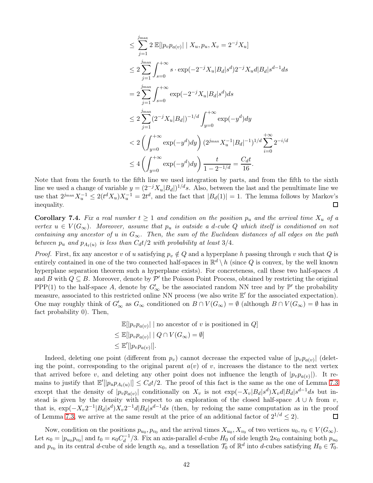$$
\leq \sum_{j=1}^{j_{\text{max}}} 2 \mathbb{E}[|p_v p_{a(v)}| \mid X_u, p_u, X_v = 2^{-j} X_u]
$$
  
\n
$$
\leq 2 \sum_{j=1}^{j_{\text{max}}} \int_{s=0}^{+\infty} s \cdot \exp(-2^{-j} X_u |B_d| s^d) 2^{-j} X_u d|B_d| s^{d-1} ds
$$
  
\n
$$
= 2 \sum_{j=1}^{j_{\text{max}}} \int_{s=0}^{+\infty} \exp(-2^{-j} X_u |B_d| s^d) ds
$$
  
\n
$$
\leq 2 \sum_{j=1}^{j_{\text{max}}} (2^{-j} X_u |B_d|)^{-1/d} \int_{y=0}^{+\infty} \exp(-y^d) dy
$$
  
\n
$$
< 2 \left( \int_{y=0}^{+\infty} \exp(-y^d) dy \right) (2^{j_{\text{max}}} X_u^{-1} |B_d|^{-1})^{1/d} \sum_{i=0}^{+\infty} 2^{-i/d}
$$
  
\n
$$
\leq 4 \left( \int_{y=0}^{+\infty} \exp(-y^d) dy \right) \frac{t}{1 - 2^{-1/d}} = \frac{C_d t}{16}.
$$

Note that from the fourth to the fifth line we used integration by parts, and from the fifth to the sixth line we used a change of variable  $y = (2^{-j}X_u|B_d|)^{1/d}s$ . Also, between the last and the penultimate line we use that  $2^{j_{\max}}X_u^{-1} \leq 2(t^d X_u)X_u^{-1} = 2t^d$ , and the fact that  $|B_d(1)| = 1$ . The lemma follows by Markov's inequality.

<span id="page-41-0"></span>**Corollary 7.4.** Fix a real number  $t \ge 1$  and condition on the position  $p_u$  and the arrival time  $X_u$  of a vertex  $u \in V(G_{\infty})$ . Moreover, assume that  $p_u$  is outside a d-cube Q which itself is conditioned on not containing any ancestor of u in  $G_{\infty}$ . Then, the sum of the Euclidean distances of all edges on the path between  $p_u$  and  $p_{A_t(u)}$  is less than  $C_d t/2$  with probability at least 3/4.

*Proof.* First, fix any ancestor v of u satisfying  $p_v \notin Q$  and a hyperplane h passing through v such that Q is entirely contained in one of the two connected half-spaces in  $\mathbb{R}^d \setminus h$  (since Q is convex, by the well known hyperplane separation theorem such a hyperplane exists). For concreteness, call these two half-spaces A and B with  $Q \subseteq B$ . Moreover, denote by  $\mathcal{P}'$  the Poisson Point Process, obtained by restricting the original PPP(1) to the half-space A, denote by  $G'_{\infty}$  be the associated random NN tree and by  $\mathbb{P}'$  the probability measure, associated to this restricted online NN process (we also write  $E'$  for the associated expectation). One may roughly think of  $G'_{\infty}$  as  $G_{\infty}$  conditioned on  $B \cap V(G_{\infty}) = \emptyset$  (although  $B \cap V(G_{\infty}) = \emptyset$  has in fact probability 0). Then,

> $\mathbb{E}[|p_v p_{a(v)}| \mid \text{no ancestor of } v \text{ is positioned in } Q]$  $\leq \mathbb{E}[|p_v p_{a(v)}| \mid Q \cap V(G_{\infty}) = \emptyset]$  $\leq \mathbb{E}'[|p_v p_{a(v)}|].$

Indeed, deleting one point (different from  $p_v$ ) cannot decrease the expected value of  $|p_v p_{a(v)}|$  (deleting the point, corresponding to the original parent  $a(v)$  of v, increases the distance to the next vertex that arrived before v, and deleting any other point does not influence the length of  $|p_v p_{a(v)}|$ . It remains to justify that  $\mathbb{E}'[|p_u p_{A_t(u)}|] \leq C_d t/2$ . The proof of this fact is the same as the one of Lemma [7.3](#page-40-0) except that the density of  $|p_v p_{a(v)}|$  conditionally on  $X_v$  is not  $\exp(-X_v|B_d|s^d)X_vd|B_d|s^{d-1}ds$  but instead is given by the density with respect to an exploration of the closed half-space  $A \cup h$  from v, that is,  $\exp(-X_v 2^{-1}|B_d|s^d)X_v 2^{-1}d|B_d|s^{d-1}ds$  (then, by redoing the same computation as in the proof of Lemma [7.3,](#page-40-0) we arrive at the same result at the price of an additional factor of  $2^{1/d} \le 2$ ).  $\Box$ 

Now, condition on the positions  $p_{u_0}, p_{v_0}$  and the arrival times  $X_{u_0}, X_{v_0}$  of two vertices  $u_0, v_0 \in V(G_{\infty})$ . Let  $\kappa_0 = |p_{u_0}p_{v_0}|$  and  $t_0 = \kappa_0 C_d^{-1}/3$ . Fix an axis-parallel d-cube  $H_0$  of side length  $2\kappa_0$  containing both  $p_{u_0}$ and  $p_{v_0}$  in its central d-cube of side length  $\kappa_0$ , and a tessellation  $\mathcal{T}_0$  of  $\mathbb{R}^d$  into d-cubes satisfying  $H_0 \in \mathcal{T}_0$ .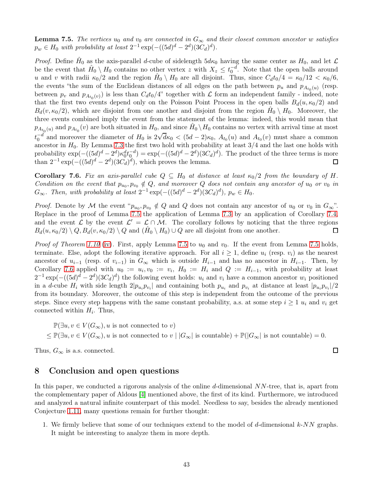<span id="page-42-1"></span>**Lemma 7.5.** The vertices  $u_0$  and  $v_0$  are connected in  $G_\infty$  and their closest common ancestor w satisfies  $p_w \in H_0$  with probability at least  $2^{-1} \exp(-((5d)^d - 2^d)(3C_d)^d)$ .

*Proof.* Define  $\hat{H}_0$  as the axis-parallel d-cube of sidelength  $5d\kappa_0$  having the same center as  $H_0$ , and let  $\mathcal{L}$ be the event that  $\hat{H}_0 \setminus H_0$  contains no other vertex z with  $X_z \leq t_0^{-d}$ . Note that the open balls around u and v with radii  $\kappa_0/2$  and the region  $\hat{H}_0 \setminus H_0$  are all disjoint. Thus, since  $C_d t_0/4 = \kappa_0/12 < \kappa_0/6$ , the events "the sum of the Euclidean distances of all edges on the path between  $p_u$  and  $p_{A_{t_0}(u)}$  (resp. between  $p_v$  and  $p_{A_{t_0}(v)}$  is less than  $C_d t_0/4$ " together with  $\mathcal L$  form an independent family - indeed, note that the first two events depend only on the Poisson Point Process in the open balls  $B_d(u, \kappa_0/2)$  and  $B_d(v, \kappa_0/2)$ , which are disjoint from one another and disjoint from the region  $\hat{H}_0 \setminus H_0$ . Moreover, the three events combined imply the event from the statement of the lemma: indeed, this would mean that  $p_{A_{t_0}(u)}$  and  $p_{A_{t_0}}(v)$  are both situated in  $H_0$ , and since  $\hat{H}_0 \setminus H_0$  contains no vertex with arrival time at most  $t_0^{(1)}$  and moreover the diameter of  $H_0$  is  $2\sqrt{d\kappa_0} < (5d-2)\kappa_0$ ,  $A_{t_0}(u)$  and  $A_{t_0}(v)$  must share a common ancestor in  $H_0$ . By Lemma [7.3](#page-40-0) the first two hold with probability at least  $3/4$  and the last one holds with probability  $\exp(-(5d)^d - 2^d)\kappa_0^dt_0^{-d}) = \exp(-(5d)^d - 2^d)(3C_d)^d$ . The product of the three terms is more than  $2^{-1} \exp(-(5d)^d - 2^d)(3C_d)^d)$ , which proves the lemma.  $\Box$ 

<span id="page-42-2"></span>**Corollary 7.6.** Fix an axis-parallel cube  $Q \subseteq H_0$  at distance at least  $\kappa_0/2$  from the boundary of H. Condition on the event that  $p_{u_0}, p_{v_0} \notin Q$ , and moreover Q does not contain any ancestor of  $u_0$  or  $v_0$  in  $G_{\infty}$ . Then, with probability at least  $2^{-1} \exp(-(5d)^d - 2^d)(3C_d)^d$ ,  $p_w \in H_0$ .

*Proof.* Denote by M the event " $p_{u_0}, p_{v_0} \notin Q$  and Q does not contain any ancestor of  $u_0$  or  $v_0$  in  $G_{\infty}$ ". Replace in the proof of Lemma [7.5](#page-42-1) the application of Lemma [7.3](#page-40-0) by an application of Corollary [7.4,](#page-41-0) and the event  $\mathcal L$  by the event  $\mathcal L' = \mathcal L \cap \mathcal M$ . The corollary follows by noticing that the three regions  $B_d(u, \kappa_0/2) \setminus Q, B_d(v, \kappa_0/2) \setminus Q$  and  $(\hat{H}_0 \setminus H_0) \cup Q$  are all disjoint from one another.

*Proof of Theorem 1.10* [\(iv\)](#page-3-11). First, apply Lemma [7.5](#page-42-1) to  $u_0$  and  $v_0$ . If the event from Lemma 7.5 holds, terminate. Else, adopt the following iterative approach. For all  $i \geq 1$ , define  $u_i$  (resp.  $v_i$ ) as the nearest ancestor of  $u_{i-1}$  (resp. of  $v_{i-1}$ ) in  $G_{\infty}$  which is outside  $H_{i-1}$  and has no ancestor in  $H_{i-1}$ . Then, by Corollary [7.6](#page-42-2) applied with  $u_0 := u_i, v_0 := v_i$ ,  $H_0 := H_i$  and  $Q := H_{i-1}$ , with probability at least  $2^{-1} \exp(-(5d)^d - 2^d)(3C_d)^d$  the following event holds:  $u_i$  and  $v_i$  have a common ancestor  $w_i$  positioned in a d-cube  $H_i$  with side length  $2|p_{u_i}p_{v_i}|$  and containing both  $p_{u_i}$  and  $p_{v_i}$  at distance at least  $|p_{u_i}p_{v_i}|/2$ from its boundary. Moreover, the outcome of this step is independent from the outcome of the previous steps. Since every step happens with the same constant probability, a.s. at some step  $i \geq 1$   $u_i$  and  $v_i$  get connected within  $H_i$ . Thus,

 $\mathbb{P}(\exists u, v \in V(G_{\infty}), u \text{ is not connected to } v)$  $\leq \mathbb{P}(\exists u, v \in V(G_{\infty}), u \text{ is not connected to } v \mid |G_{\infty}| \text{ is countable}) + \mathbb{P}(|G_{\infty}| \text{ is not countable}) = 0.$ 

 $\Box$ 

<span id="page-42-0"></span>Thus,  $G_{\infty}$  is a.s. connected.

### 8 Conclusion and open questions

In this paper, we conducted a rigorous analysis of the online d-dimensional  $NN$ -tree, that is, apart from the complementary paper of Aldous [\[4\]](#page-43-1) mentioned above, the first of its kind. Furthermore, we introduced and analyzed a natural infinite counterpart of this model. Needless to say, besides the already mentioned Conjecture [1.11,](#page-5-0) many questions remain for further thought:

1. We firmly believe that some of our techniques extend to the model of  $d$ -dimensional  $k$ -NN graphs. It might be interesting to analyze them in more depth.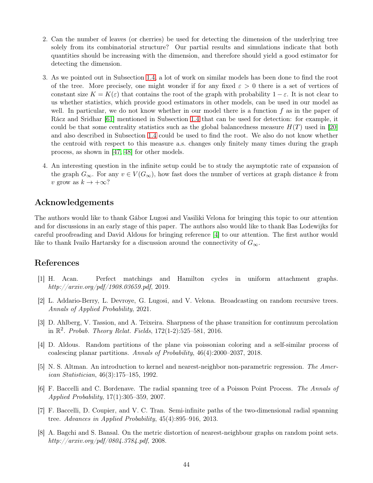- 2. Can the number of leaves (or cherries) be used for detecting the dimension of the underlying tree solely from its combinatorial structure? Our partial results and simulations indicate that both quantities should be increasing with the dimension, and therefore should yield a good estimator for detecting the dimension.
- 3. As we pointed out in Subsection [1.4,](#page-5-1) a lot of work on similar models has been done to find the root of the tree. More precisely, one might wonder if for any fixed  $\varepsilon > 0$  there is a set of vertices of constant size  $K = K(\varepsilon)$  that contains the root of the graph with probability  $1 - \varepsilon$ . It is not clear to us whether statistics, which provide good estimators in other models, can be used in our model as well. In particular, we do not know whether in our model there is a function  $f$  as in the paper of Rácz and Sridhar [\[61\]](#page-46-12) mentioned in Subsection [1.4](#page-5-1) that can be used for detection: for example, it could be that some centrality statistics such as the global balancedness measure  $H(T)$  used in [\[20\]](#page-44-15) and also described in Subsection [1.4](#page-5-1) could be used to find the root. We also do not know whether the centroid with respect to this measure a.s. changes only finitely many times during the graph process, as shown in [\[47,](#page-46-15) [48\]](#page-46-16) for other models.
- 4. An interesting question in the infinite setup could be to study the asymptotic rate of expansion of the graph  $G_{\infty}$ . For any  $v \in V(G_{\infty})$ , how fast does the number of vertices at graph distance k from v grow as  $k \to +\infty$ ?

# Acknowledgements

The authors would like to thank Gábor Lugosi and Vasiliki Velona for bringing this topic to our attention and for discussions in an early stage of this paper. The authors also would like to thank Bas Lodewijks for careful proofreading and David Aldous for bringing reference [\[4\]](#page-43-1) to our attention. The first author would like to thank Ivailo Hartarsky for a discussion around the connectivity of  $G_{\infty}$ .

## <span id="page-43-4"></span>References

- [1] H. Acan. Perfect matchings and Hamilton cycles in uniform attachment graphs. http://arxiv.org/pdf/1908.03659.pdf, 2019.
- <span id="page-43-7"></span>[2] L. Addario-Berry, L. Devroye, G. Lugosi, and V. Velona. Broadcasting on random recursive trees. Annals of Applied Probability, 2021.
- <span id="page-43-2"></span>[3] D. Ahlberg, V. Tassion, and A. Teixeira. Sharpness of the phase transition for continuum percolation in  $\mathbb{R}^2$ . Probab. Theory Relat. Fields, 172(1-2):525-581, 2016.
- <span id="page-43-1"></span>[4] D. Aldous. Random partitions of the plane via poissonian coloring and a self-similar process of coalescing planar partitions. Annals of Probability, 46(4):2000–2037, 2018.
- <span id="page-43-0"></span>[5] N. S. Altman. An introduction to kernel and nearest-neighbor non-parametric regression. The American Statistician, 46(3):175–185, 1992.
- <span id="page-43-5"></span>[6] F. Baccelli and C. Bordenave. The radial spanning tree of a Poisson Point Process. The Annals of Applied Probability, 17(1):305–359, 2007.
- <span id="page-43-6"></span>[7] F. Baccelli, D. Coupier, and V. C. Tran. Semi-infinite paths of the two-dimensional radial spanning tree. Advances in Applied Probability, 45(4):895–916, 2013.
- <span id="page-43-3"></span>[8] A. Bagchi and S. Bansal. On the metric distortion of nearest-neighbour graphs on random point sets. http://arxiv.org/pdf/0804.3784.pdf, 2008.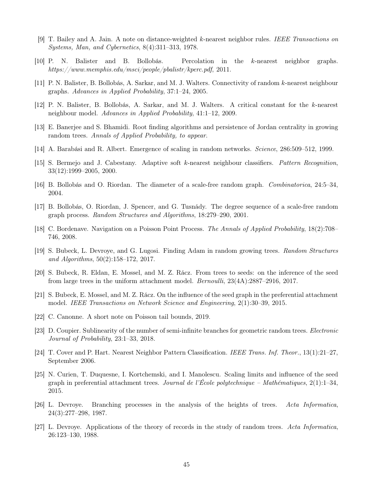- <span id="page-44-5"></span><span id="page-44-0"></span>[9] T. Bailey and A. Jain. A note on distance-weighted k-nearest neighbor rules. IEEE Transactions on Systems, Man, and Cybernetics, 8(4):311–313, 1978.
- <span id="page-44-3"></span>[10] P. N. Balister and B. Bollobás. Percolation in the k-nearest neighbor graphs. https://www.memphis.edu/msci/people/pbalistr/kperc.pdf, 2011.
- <span id="page-44-4"></span>[11] P. N. Balister, B. Bollobás, A. Sarkar, and M. J. Walters. Connectivity of random k-nearest neighbour graphs. Advances in Applied Probability, 37:1–24, 2005.
- <span id="page-44-17"></span>[12] P. N. Balister, B. Bollobás, A. Sarkar, and M. J. Walters. A critical constant for the k-nearest neighbour model. Advances in Applied Probability, 41:1–12, 2009.
- <span id="page-44-6"></span>[13] E. Banerjee and S. Bhamidi. Root finding algorithms and persistence of Jordan centrality in growing random trees. Annals of Applied Probability, to appear.
- <span id="page-44-1"></span>[14] A. Barabási and R. Albert. Emergence of scaling in random networks. Science, 286:509–512, 1999.
- <span id="page-44-8"></span>[15] S. Bermejo and J. Cabestany. Adaptive soft k-nearest neighbour classifiers. Pattern Recognition, 33(12):1999–2005, 2000.
- <span id="page-44-7"></span>[16] B. Bollobás and O. Riordan. The diameter of a scale-free random graph. Combinatorica, 24:5–34, 2004.
- <span id="page-44-11"></span>[17] B. Bollobás, O. Riordan, J. Spencer, and G. Tusnády. The degree sequence of a scale-free random graph process. Random Structures and Algorithms, 18:279–290, 2001.
- <span id="page-44-16"></span>[18] C. Bordenave. Navigation on a Poisson Point Process. The Annals of Applied Probability, 18(2):708– 746, 2008.
- <span id="page-44-15"></span>[19] S. Bubeck, L. Devroye, and G. Lugosi. Finding Adam in random growing trees. Random Structures and Algorithms, 50(2):158–172, 2017.
- <span id="page-44-13"></span>[20] S. Bubeck, R. Eldan, E. Mossel, and M. Z. Rácz. From trees to seeds: on the inference of the seed from large trees in the uniform attachment model. Bernoulli, 23(4A):2887–2916, 2017.
- [21] S. Bubeck, E. Mossel, and M. Z. Rácz. On the influence of the seed graph in the preferential attachment model. IEEE Transactions on Network Science and Engineering, 2(1):30–39, 2015.
- <span id="page-44-18"></span><span id="page-44-12"></span>[22] C. Canonne. A short note on Poisson tail bounds, 2019.
- <span id="page-44-2"></span>[23] D. Coupier. Sublinearity of the number of semi-infinite branches for geometric random trees. Electronic Journal of Probability, 23:1–33, 2018.
- <span id="page-44-14"></span>[24] T. Cover and P. Hart. Nearest Neighbor Pattern Classification. IEEE Trans. Inf. Theor., 13(1):21–27, September 2006.
- [25] N. Curien, T. Duquesne, I. Kortchemski, and I. Manolescu. Scaling limits and influence of the seed graph in preferential attachment trees. Journal de l'École polytechnique – Mathématiques, 2(1):1–34, 2015.
- <span id="page-44-10"></span>[26] L. Devroye. Branching processes in the analysis of the heights of trees. Acta Informatica, 24(3):277–298, 1987.
- <span id="page-44-9"></span>[27] L. Devroye. Applications of the theory of records in the study of random trees. Acta Informatica, 26:123–130, 1988.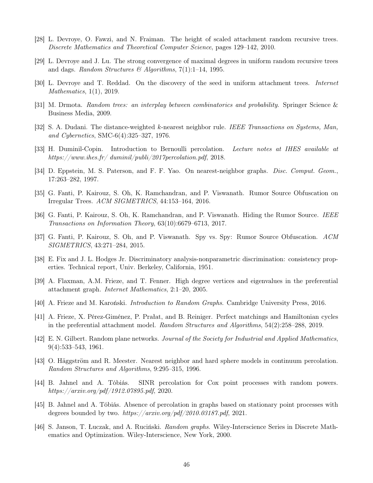- <span id="page-45-17"></span><span id="page-45-13"></span>[28] L. Devroye, O. Fawzi, and N. Fraiman. The height of scaled attachment random recursive trees. Discrete Mathematics and Theoretical Computer Science, pages 129–142, 2010.
- <span id="page-45-15"></span>[29] L. Devroye and J. Lu. The strong convergence of maximal degrees in uniform random recursive trees and dags. Random Structures & Algorithms,  $7(1):1-14$ , 1995.
- <span id="page-45-14"></span>[30] L. Devroye and T. Reddad. On the discovery of the seed in uniform attachment trees. Internet Mathematics, 1(1), 2019.
- <span id="page-45-1"></span>[31] M. Drmota. Random trees: an interplay between combinatorics and probability. Springer Science & Business Media, 2009.
- <span id="page-45-18"></span>[32] S. A. Dudani. The distance-weighted k-nearest neighbor rule. IEEE Transactions on Systems, Man, and Cybernetics, SMC-6(4):325–327, 1976.
- <span id="page-45-5"></span>[33] H. Duminil-Copin. Introduction to Bernoulli percolation. Lecture notes at IHES available at https://www.ihes.fr/ $d$ uminil/publi/2017percolation.pdf, 2018.
- <span id="page-45-7"></span>[34] D. Eppstein, M. S. Paterson, and F. F. Yao. On nearest-neighbor graphs. Disc. Comput. Geom., 17:263–282, 1997.
- <span id="page-45-8"></span>[35] G. Fanti, P. Kairouz, S. Oh, K. Ramchandran, and P. Viswanath. Rumor Source Obfuscation on Irregular Trees. ACM SIGMETRICS, 44:153–164, 2016.
- <span id="page-45-9"></span>[36] G. Fanti, P. Kairouz, S. Oh, K. Ramchandran, and P. Viswanath. Hiding the Rumor Source. IEEE Transactions on Information Theory, 63(10):6679–6713, 2017.
- <span id="page-45-0"></span>[37] G. Fanti, P. Kairouz, S. Oh, and P. Viswanath. Spy vs. Spy: Rumor Source Obfuscation. ACM SIGMETRICS, 43:271–284, 2015.
- <span id="page-45-10"></span>[38] E. Fix and J. L. Hodges Jr. Discriminatory analysis-nonparametric discrimination: consistency properties. Technical report, Univ. Berkeley, California, 1951.
- <span id="page-45-12"></span>[39] A. Flaxman, A.M. Frieze, and T. Fenner. High degree vertices and eigenvalues in the preferential attachment graph. Internet Mathematics, 2:1–20, 2005.
- <span id="page-45-11"></span>[40] A. Frieze and M. Karoński. Introduction to Random Graphs. Cambridge University Press, 2016.
- [41] A. Frieze, X. Pérez-Giménez, P. Prałat, and B. Reiniger. Perfect matchings and Hamiltonian cycles in the preferential attachment model. Random Structures and Algorithms, 54(2):258–288, 2019.
- <span id="page-45-2"></span>[42] E. N. Gilbert. Random plane networks. Journal of the Society for Industrial and Applied Mathematics, 9(4):533–543, 1961.
- <span id="page-45-4"></span>[43] O. Häggström and R. Meester. Nearest neighbor and hard sphere models in continuum percolation. Random Structures and Algorithms, 9:295–315, 1996.
- <span id="page-45-3"></span>[44] B. Jahnel and A. Tóbiás. SINR percolation for Cox point processes with random powers. https://arxiv.org/pdf/1912.07895.pdf, 2020.
- <span id="page-45-6"></span>[45] B. Jahnel and A. Tóbiás. Absence of percolation in graphs based on stationary point processes with degrees bounded by two. https://arxiv.org/pdf/2010.03187.pdf, 2021.
- <span id="page-45-16"></span>[46] S. Janson, T. Łuczak, and A. Ruciński. *Random graphs*. Wiley-Interscience Series in Discrete Mathematics and Optimization. Wiley-Interscience, New York, 2000.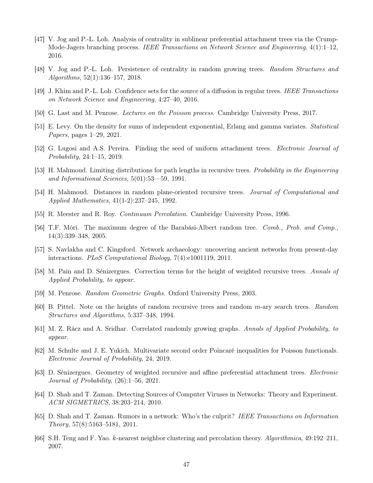- <span id="page-46-15"></span>[47] V. Jog and P.-L. Loh. Analysis of centrality in sublinear preferential attachment trees via the Crump-Mode-Jagers branching process. IEEE Transactions on Network Science and Engineering, 4(1):1–12, 2016.
- <span id="page-46-16"></span><span id="page-46-14"></span>[48] V. Jog and P.-L. Loh. Persistence of centrality in random growing trees. Random Structures and Algorithms, 52(1):136–157, 2018.
- <span id="page-46-18"></span>[49] J. Khim and P.-L. Loh. Confidence sets for the source of a diffusion in regular trees. IEEE Transactions on Network Science and Engineering, 4:27–40, 2016.
- <span id="page-46-17"></span>[50] G. Last and M. Penrose. Lectures on the Poisson process. Cambridge University Press, 2017.
- <span id="page-46-13"></span>[51] E. Levy. On the density for sums of independent exponential, Erlang and gamma variates. Statistical Papers, pages 1–29, 2021.
- <span id="page-46-11"></span>[52] G. Lugosi and A.S. Pereira. Finding the seed of uniform attachment trees. Electronic Journal of Probability, 24:1–15, 2019.
- <span id="page-46-7"></span>[53] H. Mahmoud. Limiting distributions for path lengths in recursive trees. Probability in the Engineering and Informational Sciences, 5(01):53––59, 1991.
- <span id="page-46-1"></span>[54] H. Mahmoud. Distances in random plane-oriented recursive trees. Journal of Computational and Applied Mathematics, 41(1-2):237–245, 1992.
- <span id="page-46-6"></span>[55] R. Meester and R. Roy. Continuum Percolation. Cambridge University Press, 1996.
- [56] T.F. Móri. The maximum degree of the Barabási-Albert random tree. Comb., Prob. and Comp., 14(3):339–348, 2005.
- <span id="page-46-10"></span><span id="page-46-5"></span>[57] S. Navlakha and C. Kingsford. Network archaeology: uncovering ancient networks from present-day interactions. PLoS Computational Biology, 7(4):e1001119, 2011.
- <span id="page-46-0"></span>[58] M. Pain and D. Sénizergues. Correction terms for the height of weighted recursive trees. Annals of Applied Probability, to appear.
- <span id="page-46-8"></span>[59] M. Penrose. Random Geometric Graphs. Oxford University Press, 2003.
- <span id="page-46-12"></span> $[60]$  B. Pittel. Note on the heights of random recursive trees and random m-ary search trees. Random Structures and Algorithms, 5:337–348, 1994.
- [61] M. Z. Rácz and A. Sridhar. Correlated randomly growing graphs. Annals of Applied Probability, to appear.
- <span id="page-46-19"></span>[62] M. Schulte and J. E. Yukich. Multivariate second order Poincaré inequalities for Poisson functionals. Electronic Journal of Probability, 24, 2019.
- <span id="page-46-9"></span>[63] D. Sénizergues. Geometry of weighted recursive and affine preferential attachment trees. Electronic Journal of Probability, (26):1–56, 2021.
- <span id="page-46-4"></span><span id="page-46-3"></span>[64] D. Shah and T. Zaman. Detecting Sources of Computer Viruses in Networks: Theory and Experiment. ACM SIGMETRICS, 38:203–214, 2010.
- [65] D. Shah and T. Zaman. Rumors in a network: Who's the culprit? IEEE Transactions on Information Theory, 57(8):5163–5181, 2011.
- <span id="page-46-2"></span>[66] S.H. Teng and F. Yao. k-nearest neighbor clustering and percolation theory. Algorithmica, 49:192–211, 2007.